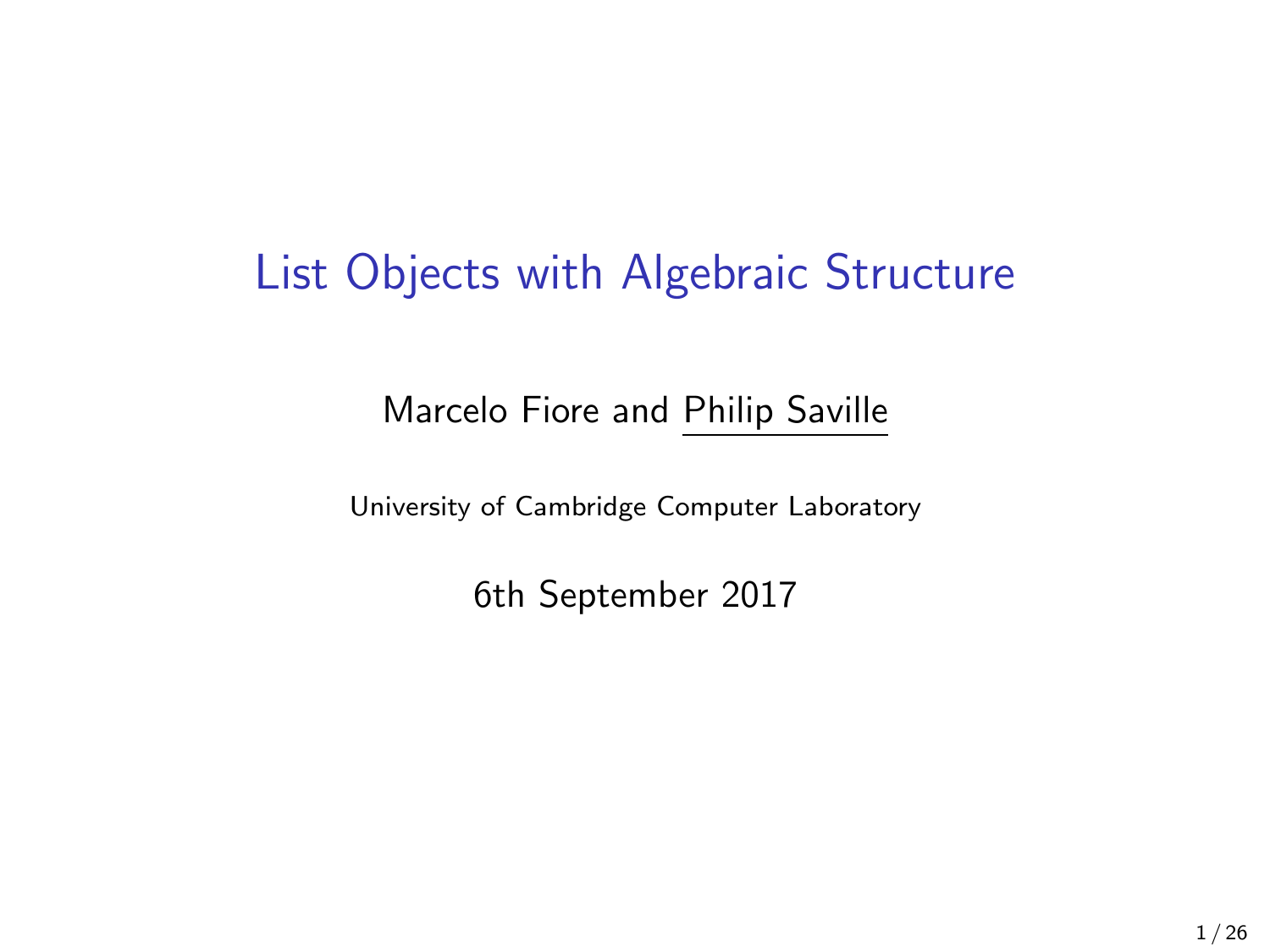## List Objects with Algebraic Structure

#### Marcelo Fiore and Philip Saville

University of Cambridge Computer Laboratory

6th September 2017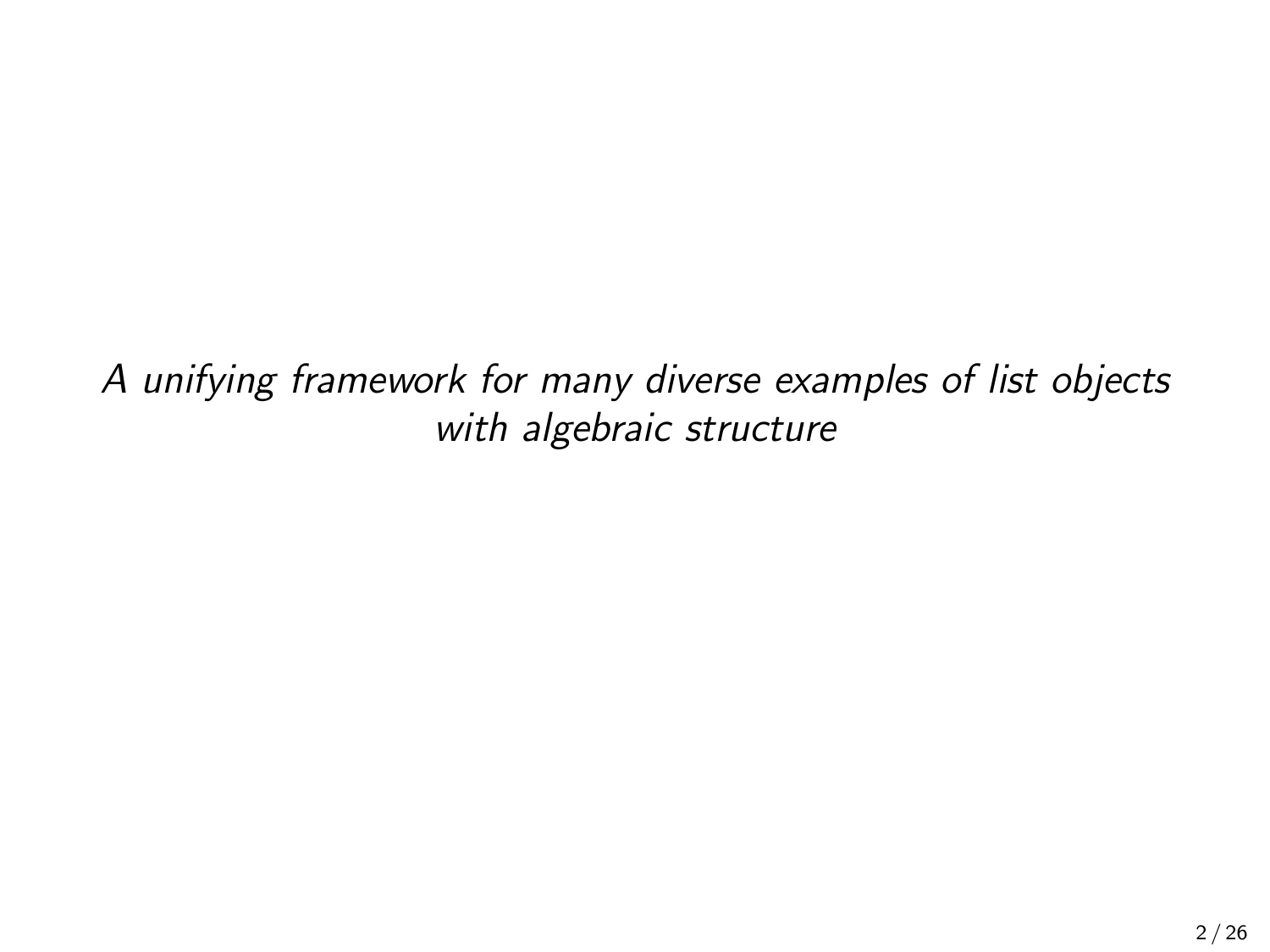A unifying framework for many diverse examples of list objects with algebraic structure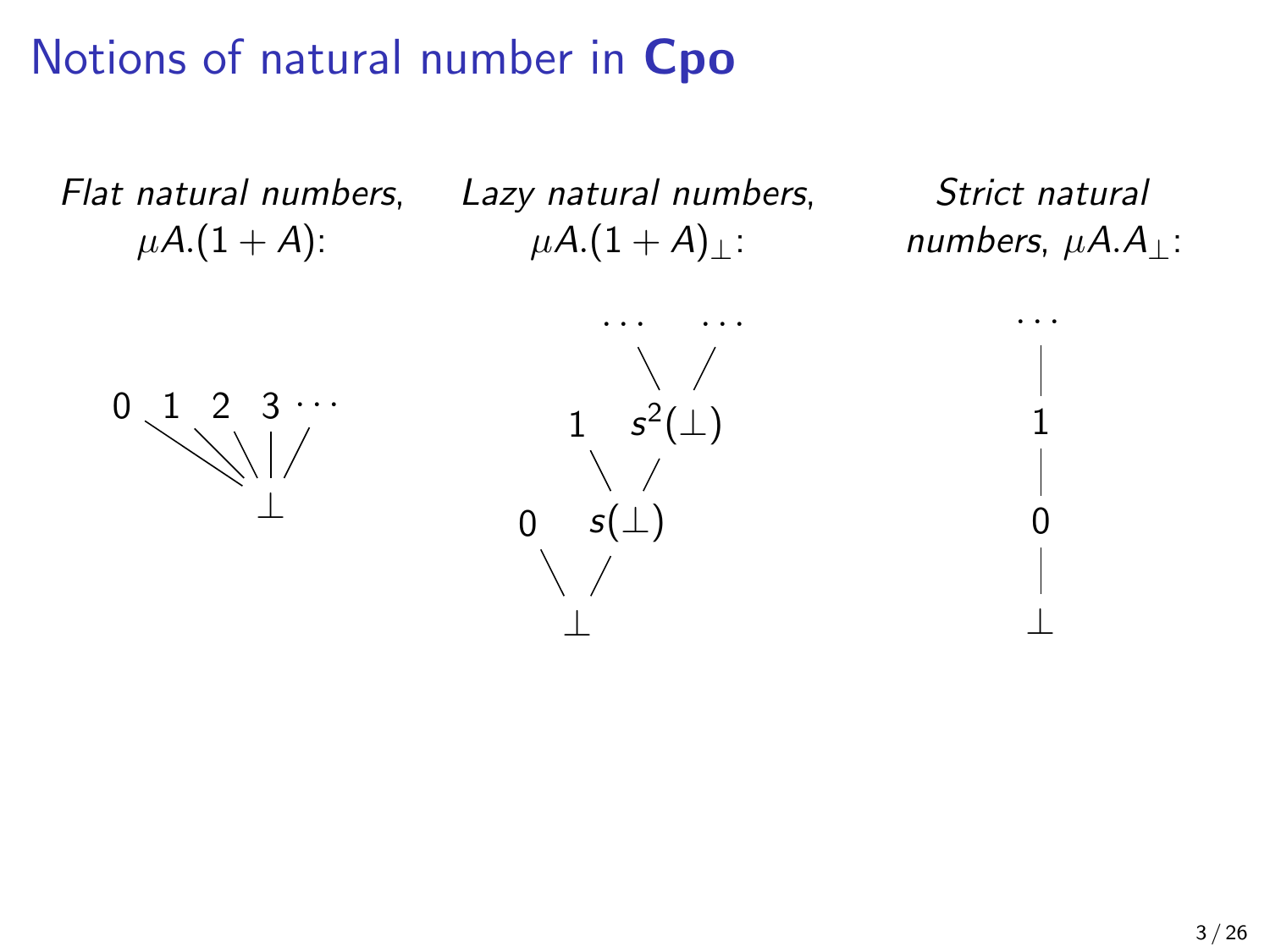# Notions of natural number in Cpo

Flat natural numbers,  $\mu A.(1 + A)$ :

Lazy natural numbers,  $\mu A.(1 + A)$ :

Strict natural numbers,  $\mu A.A_{\perp}$ :

· · ·

1

0

⊥



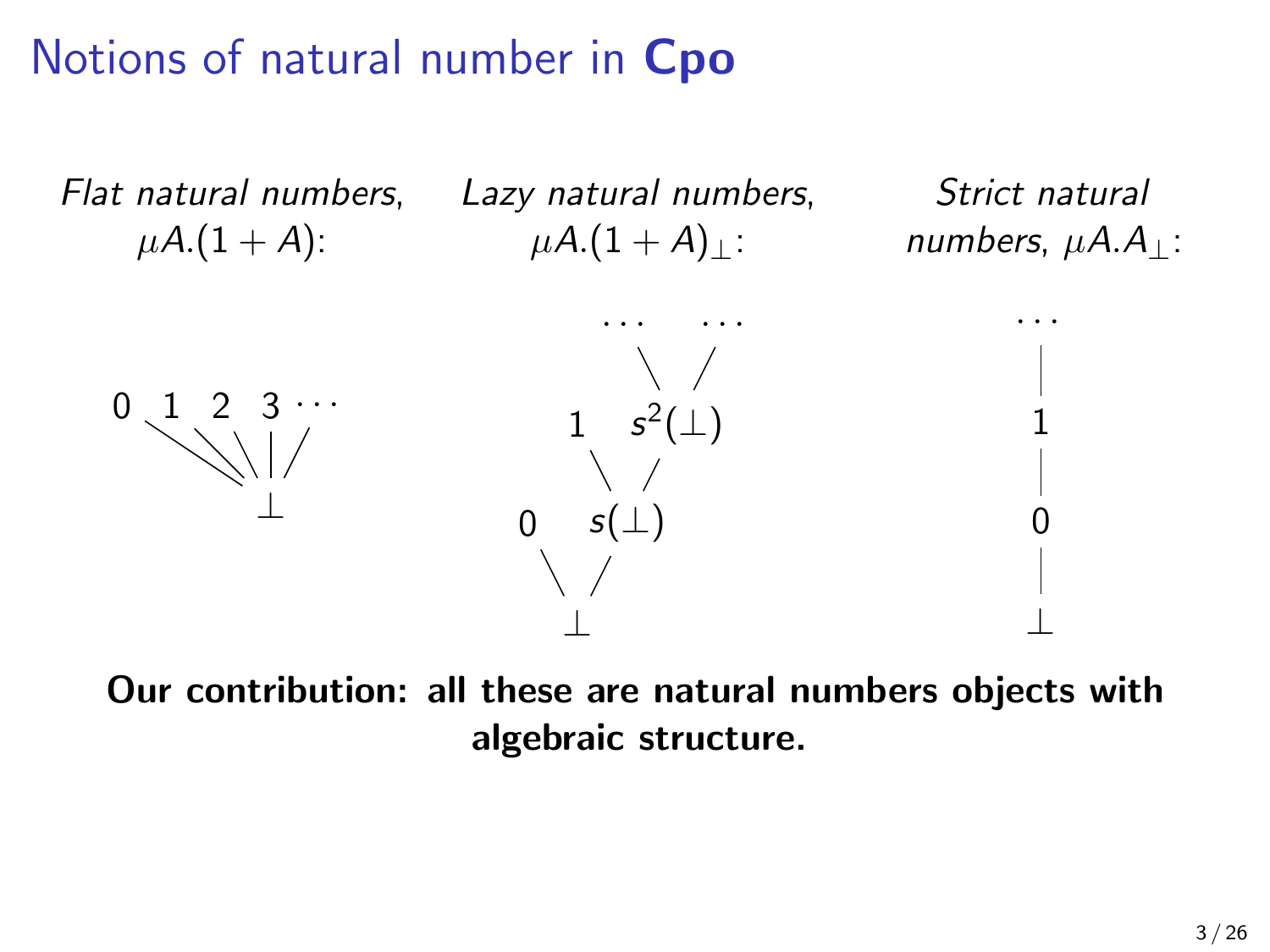# Notions of natural number in Cpo



Our contribution: all these are natural numbers objects with algebraic structure.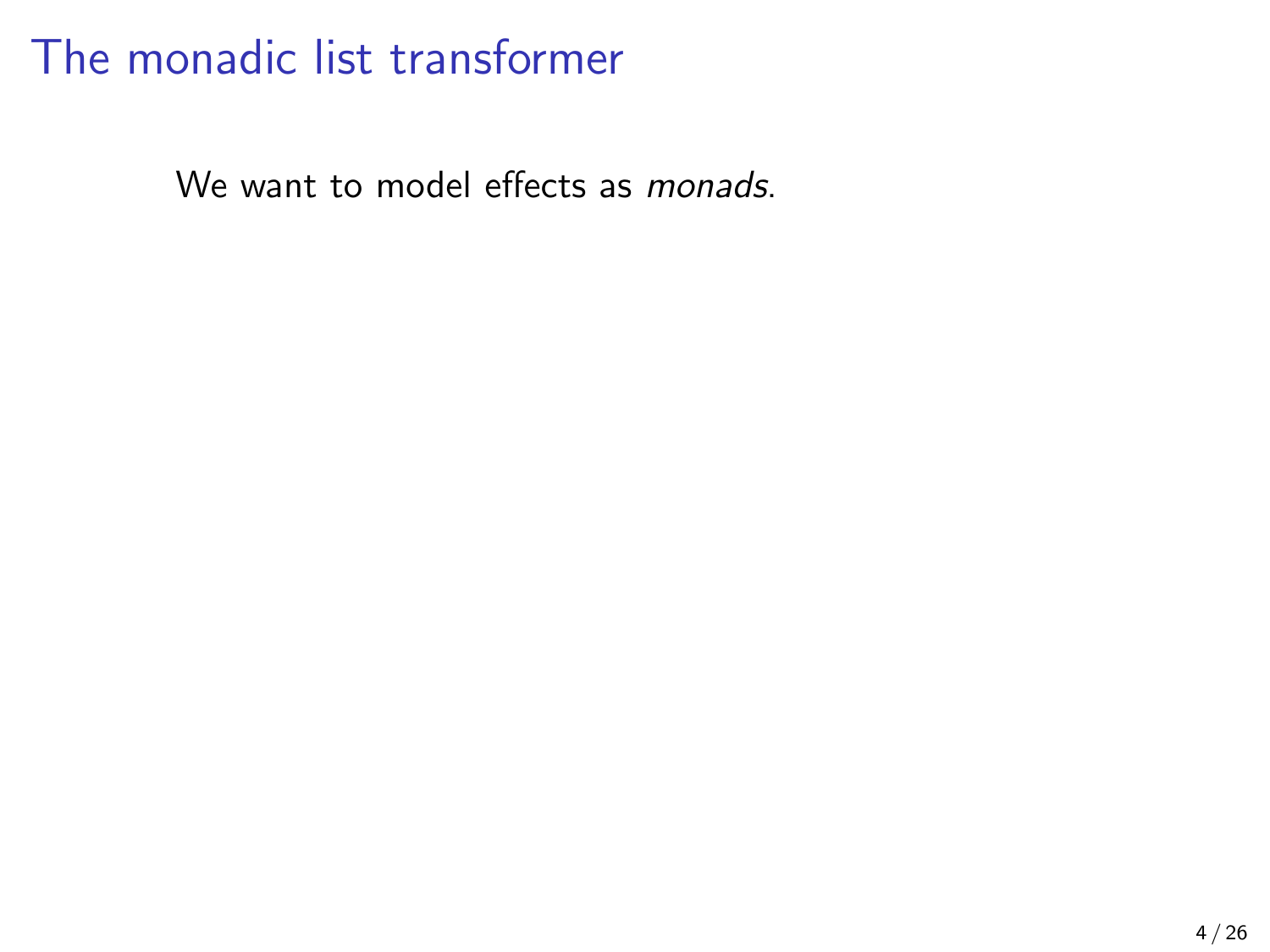We want to model effects as *monads*.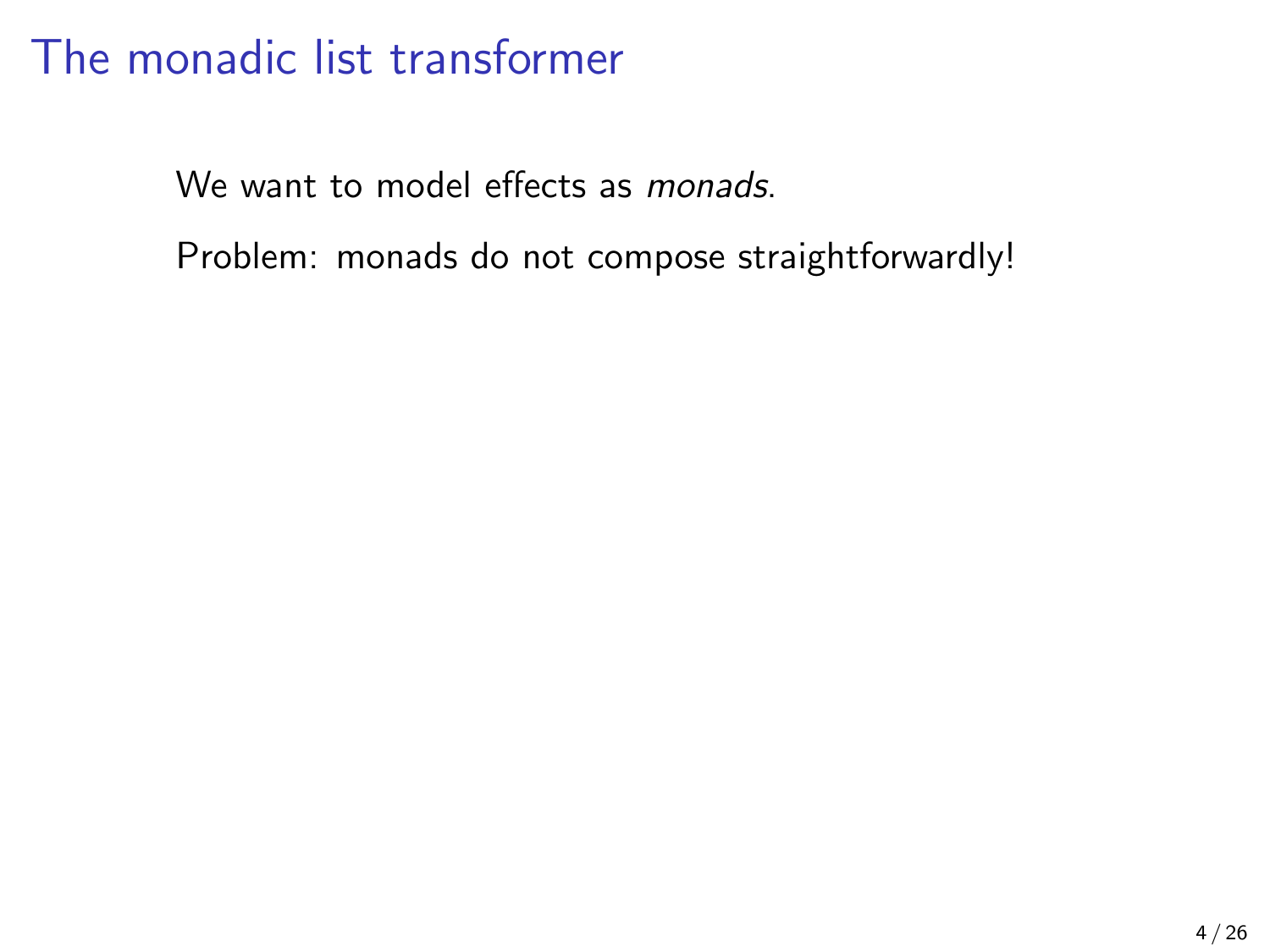We want to model effects as *monads*.

Problem: monads do not compose straightforwardly!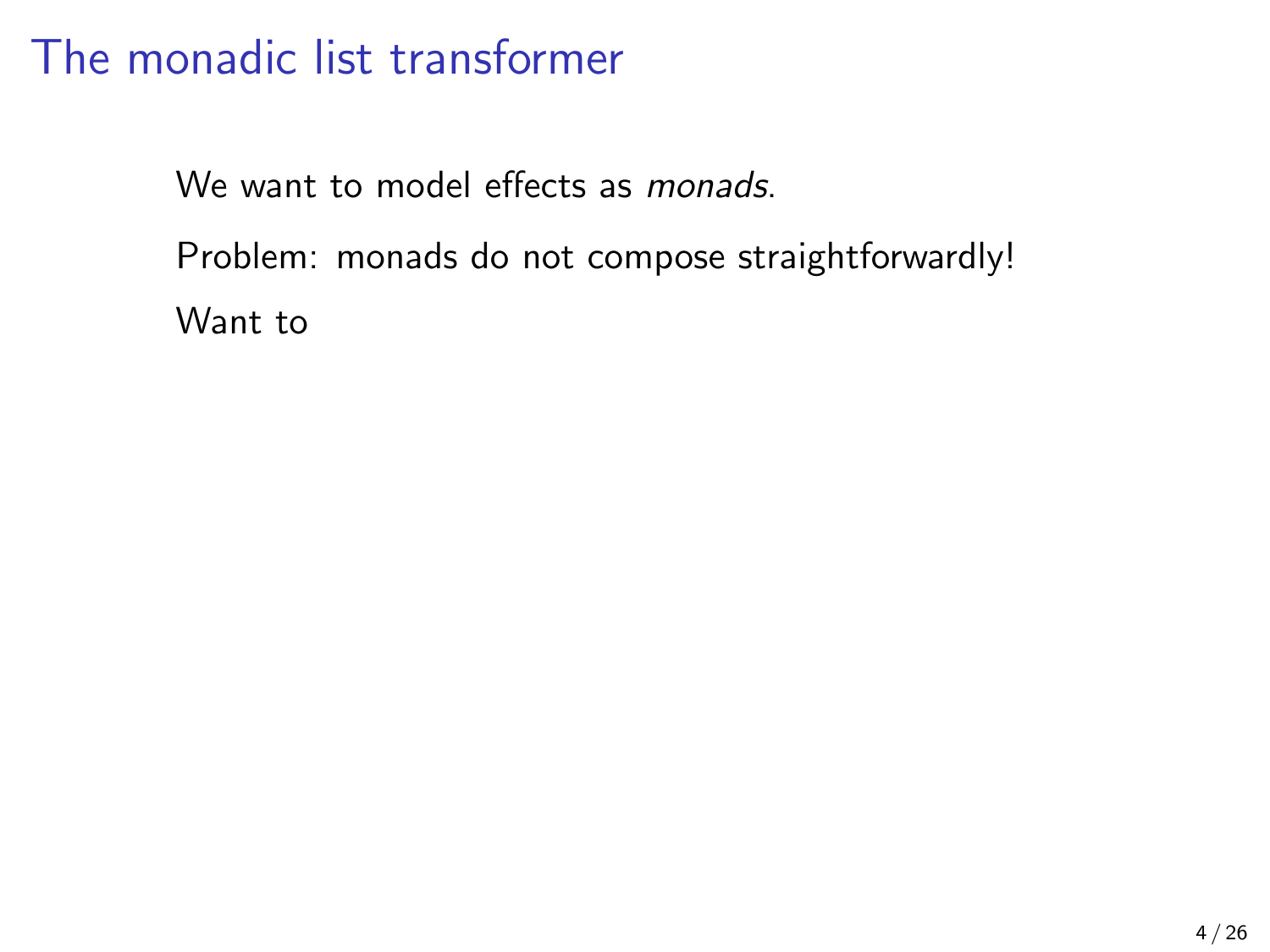We want to model effects as *monads*.

Problem: monads do not compose straightforwardly!

Want to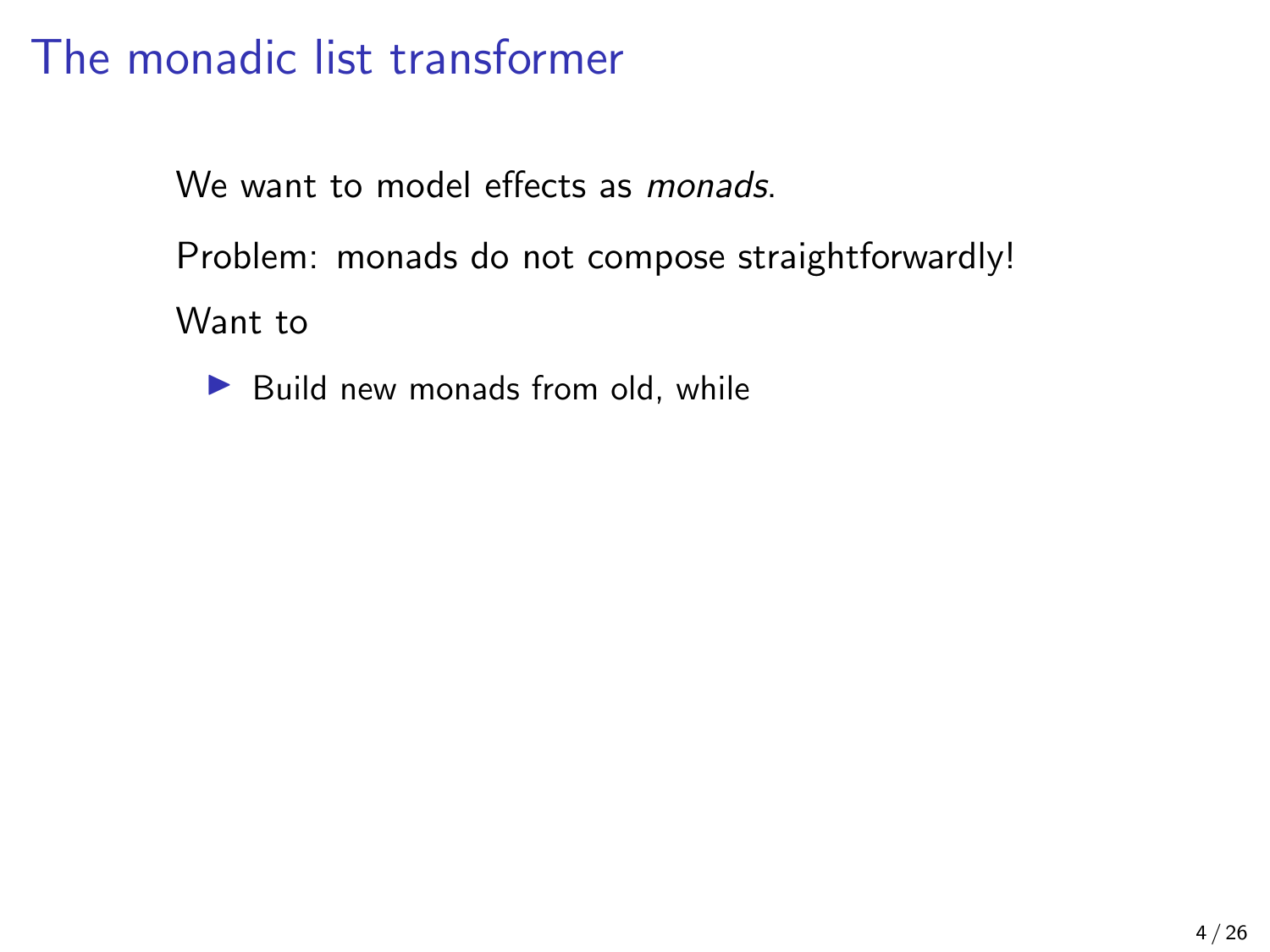We want to model effects as *monads*.

Problem: monads do not compose straightforwardly!

Want to

 $\blacktriangleright$  Build new monads from old, while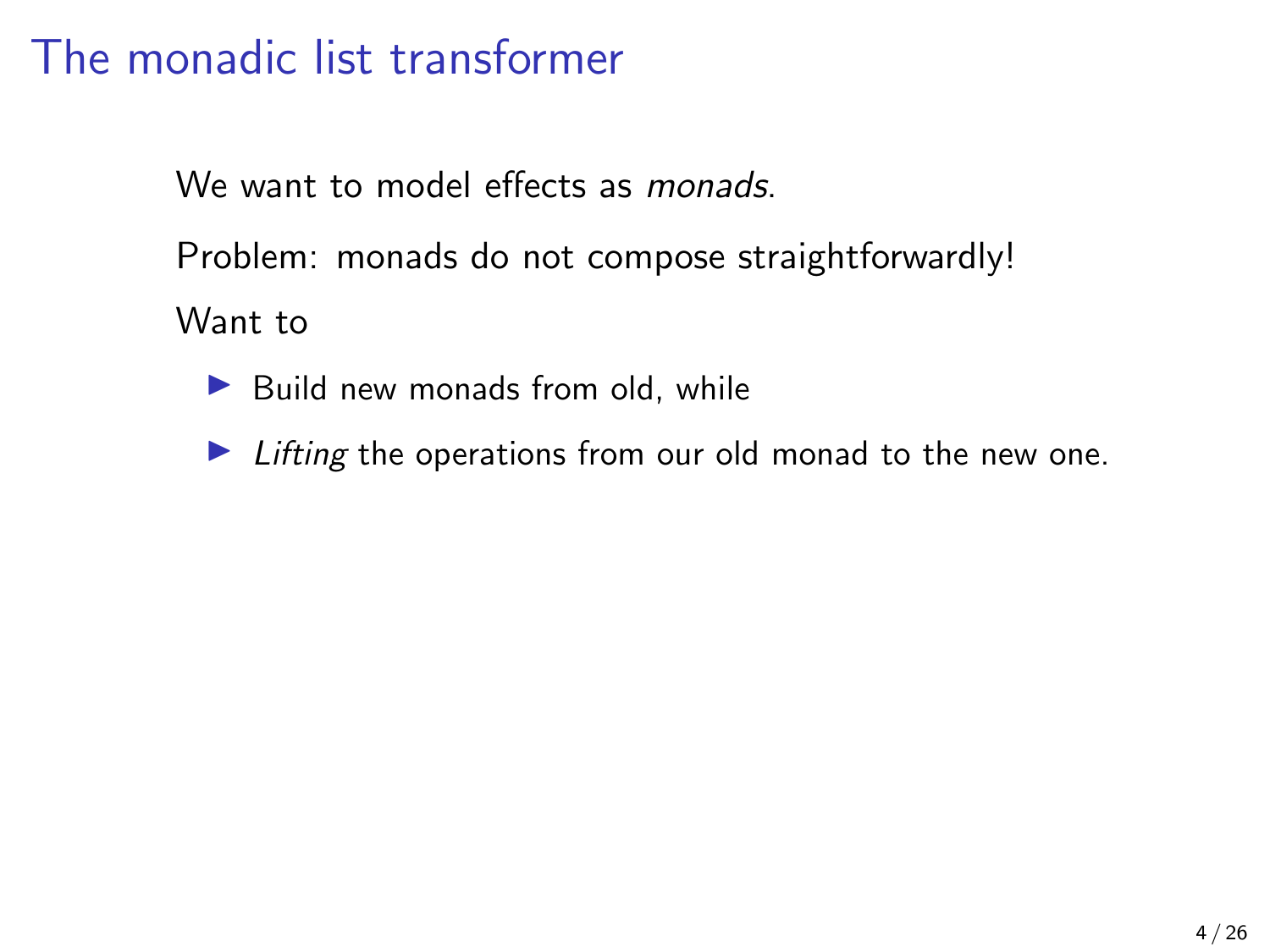We want to model effects as *monads*.

Problem: monads do not compose straightforwardly!

Want to

 $\blacktriangleright$  Build new monads from old, while

 $\blacktriangleright$  Lifting the operations from our old monad to the new one.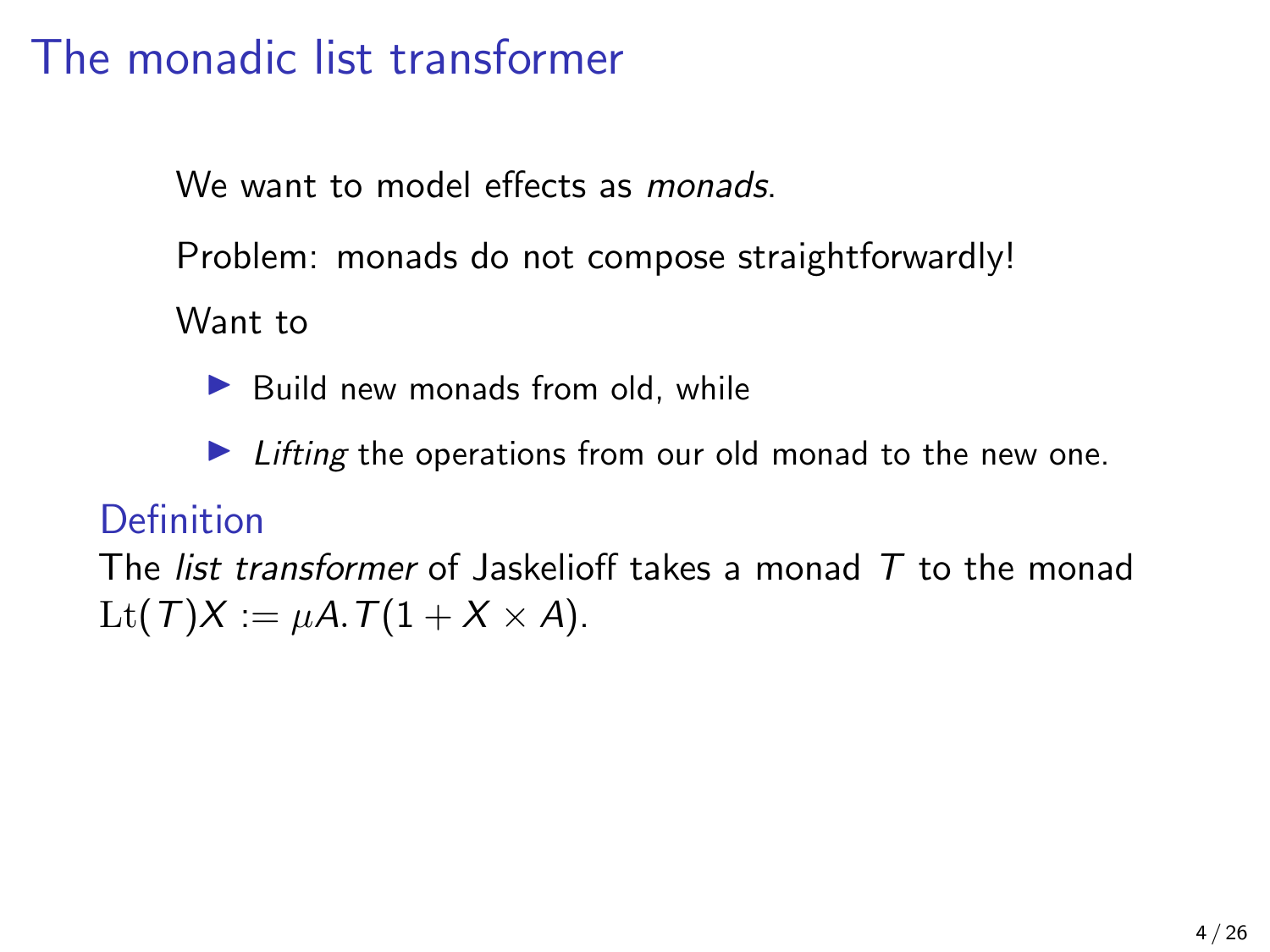We want to model effects as *monads*.

Problem: monads do not compose straightforwardly!

Want to

 $\blacktriangleright$  Build new monads from old, while

 $\blacktriangleright$  Lifting the operations from our old monad to the new one.

### **Definition**

The *list transformer* of Jaskelioff takes a monad  $\overline{T}$  to the monad Lt(T)X :=  $\mu$ A.T(1 + X × A).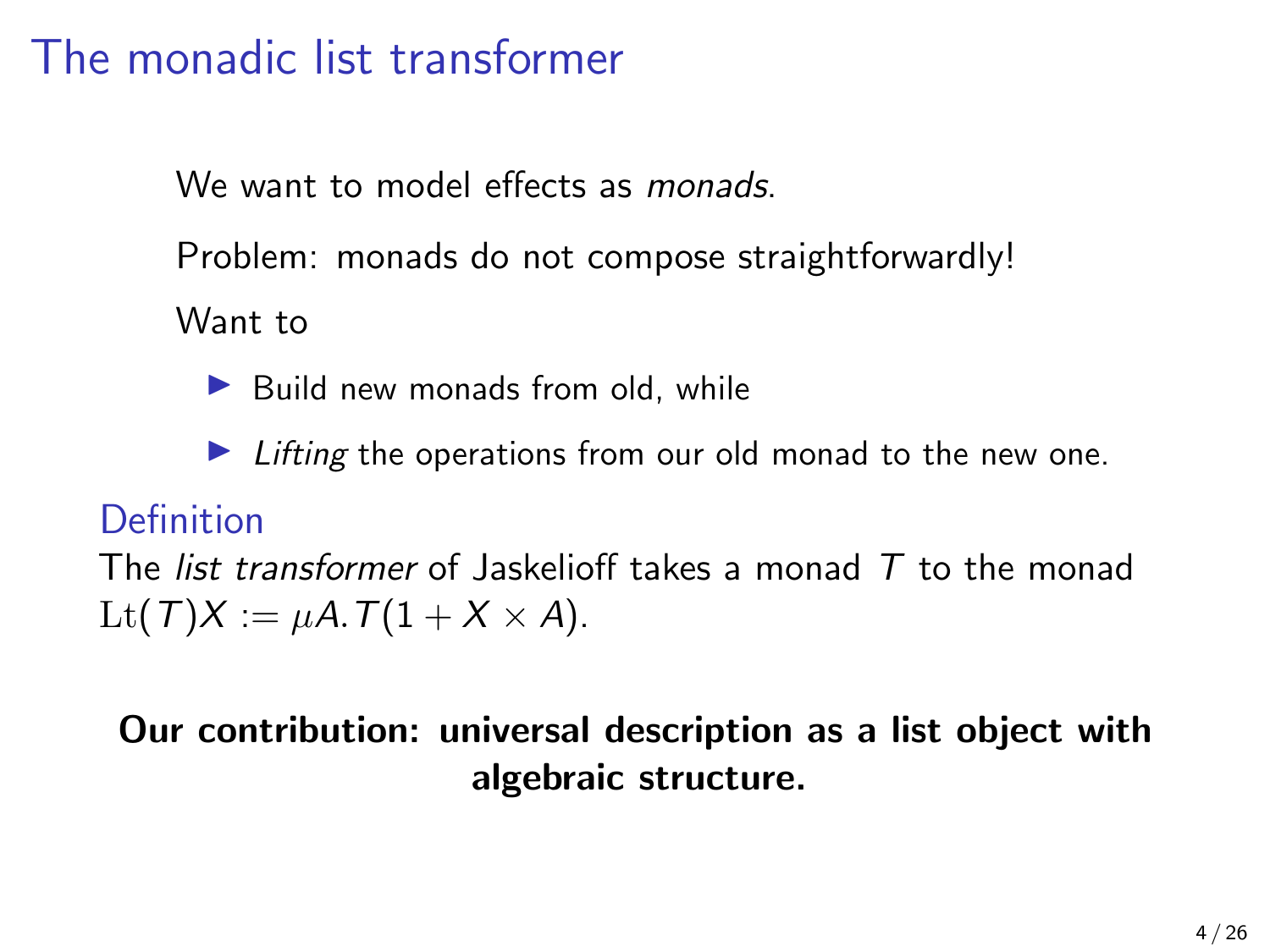We want to model effects as *monads*.

Problem: monads do not compose straightforwardly!

Want to

 $\blacktriangleright$  Build new monads from old, while

 $\blacktriangleright$  Lifting the operations from our old monad to the new one.

### Definition

The *list transformer* of Jaskelioff takes a monad  $\overline{T}$  to the monad Lt(T)X :=  $\mu$ A.T(1 + X × A).

### Our contribution: universal description as a list object with algebraic structure.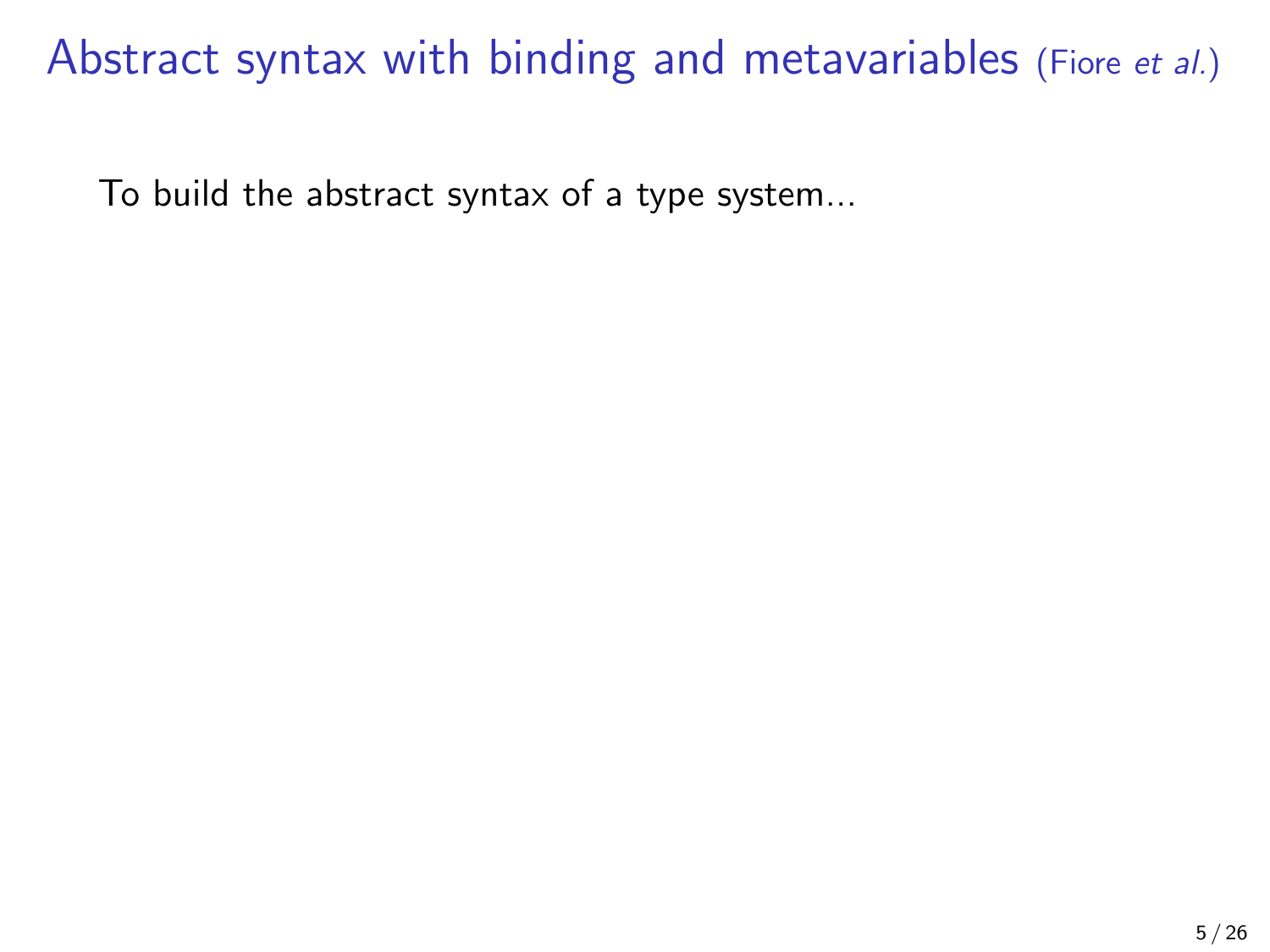To build the abstract syntax of a type system...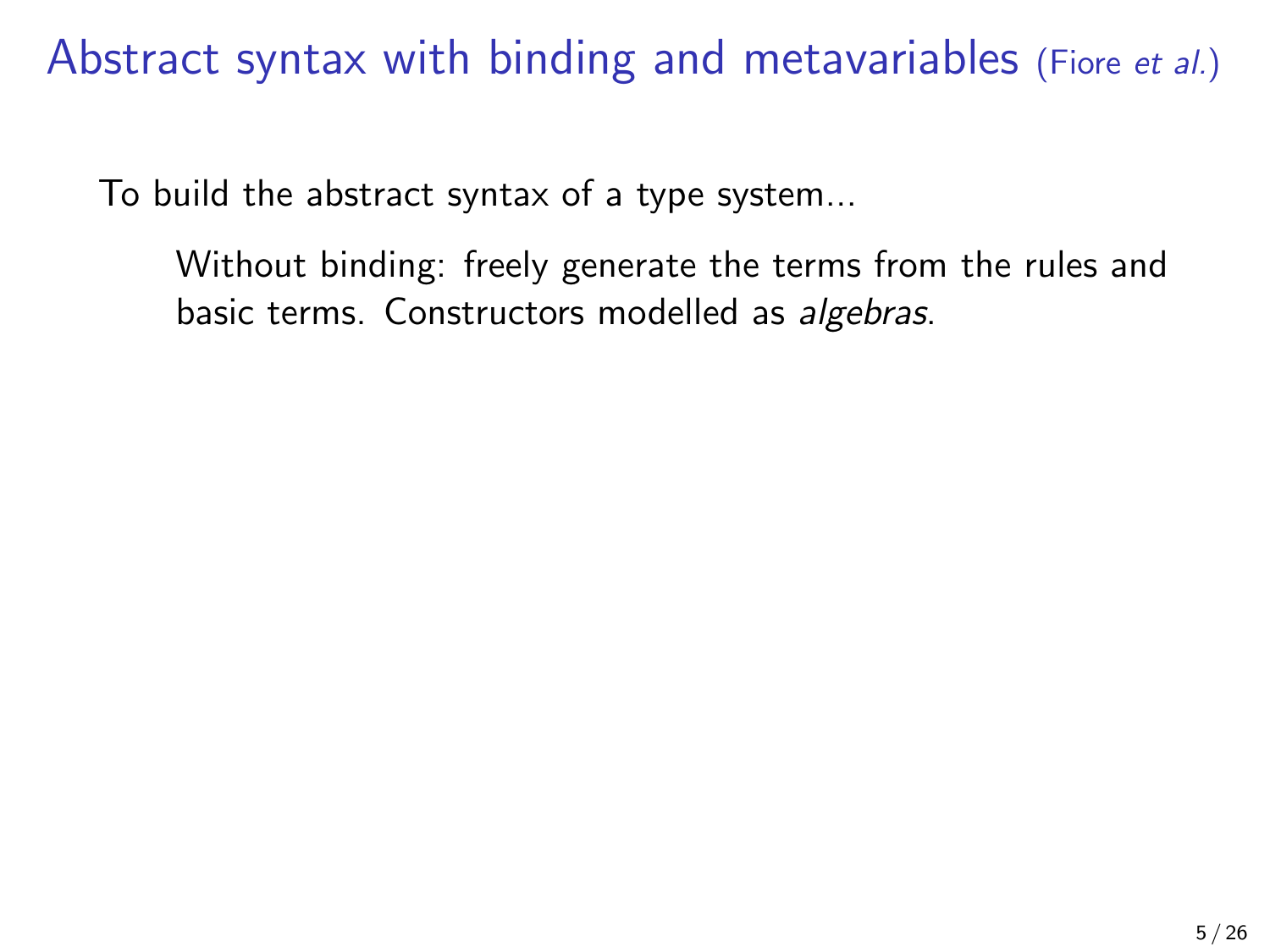To build the abstract syntax of a type system...

Without binding: freely generate the terms from the rules and basic terms. Constructors modelled as algebras.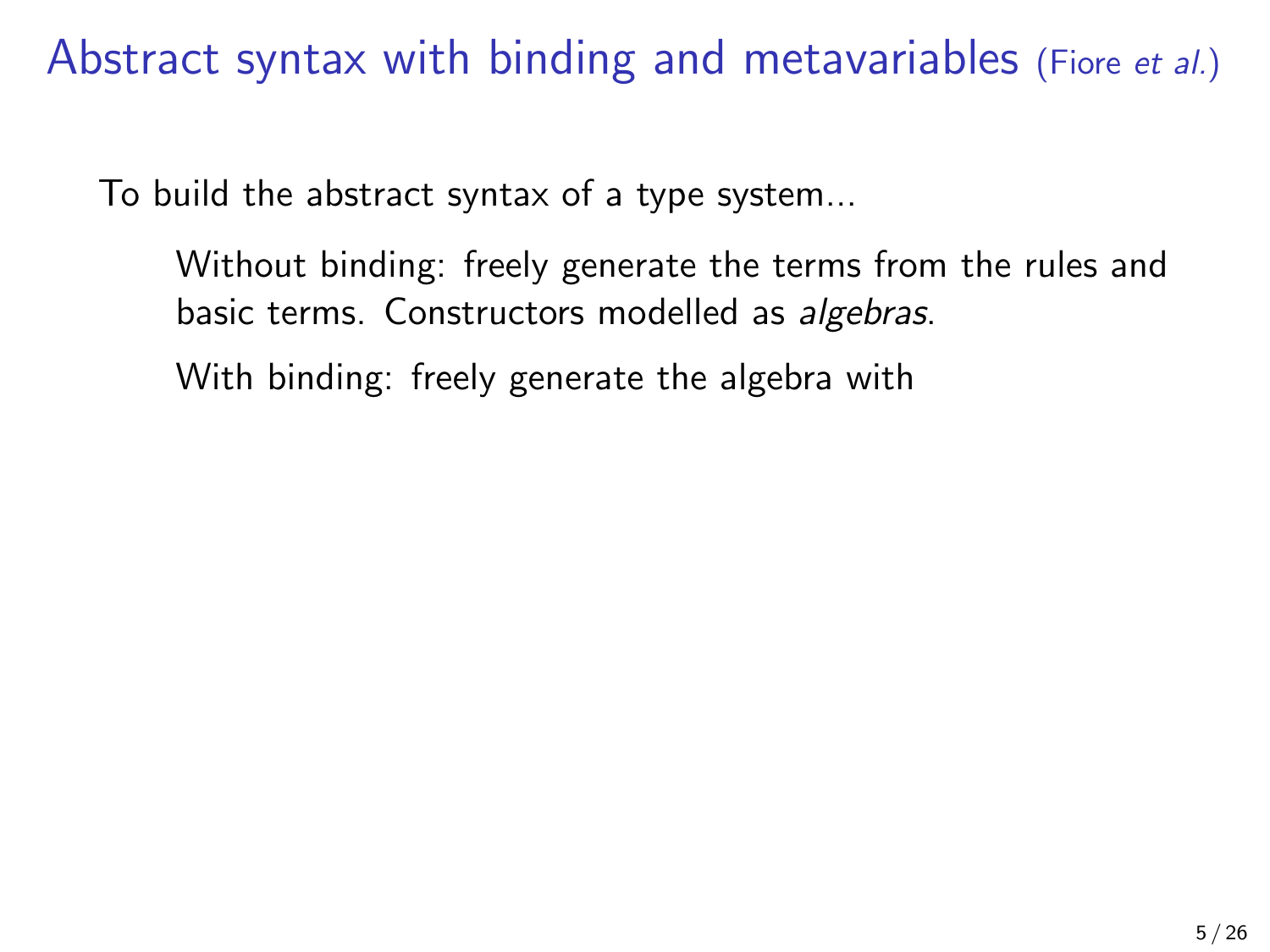To build the abstract syntax of a type system...

Without binding: freely generate the terms from the rules and basic terms. Constructors modelled as algebras.

With binding: freely generate the algebra with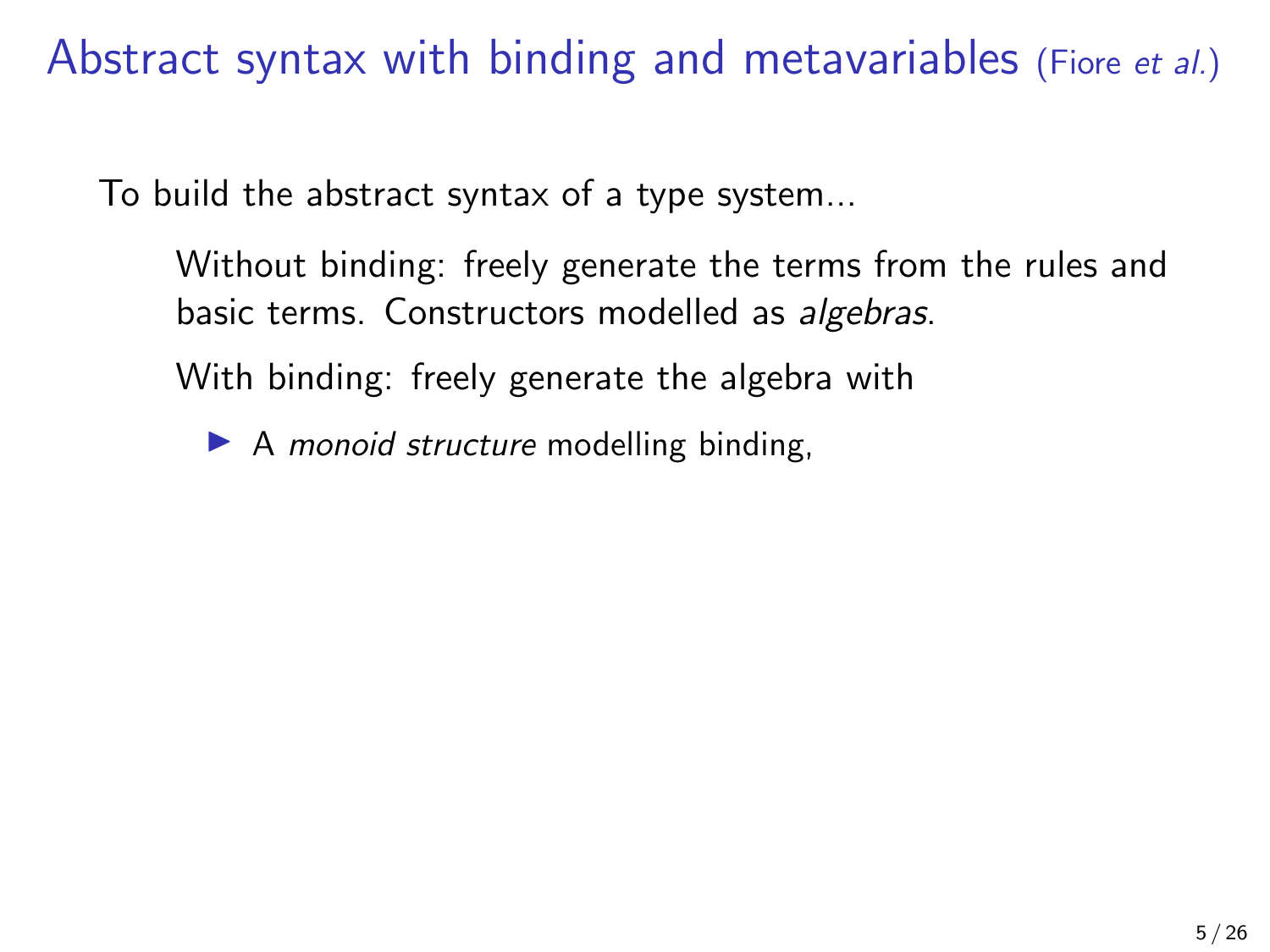To build the abstract syntax of a type system...

Without binding: freely generate the terms from the rules and basic terms. Constructors modelled as algebras.

With binding: freely generate the algebra with

 $\blacktriangleright$  A *monoid structure* modelling binding,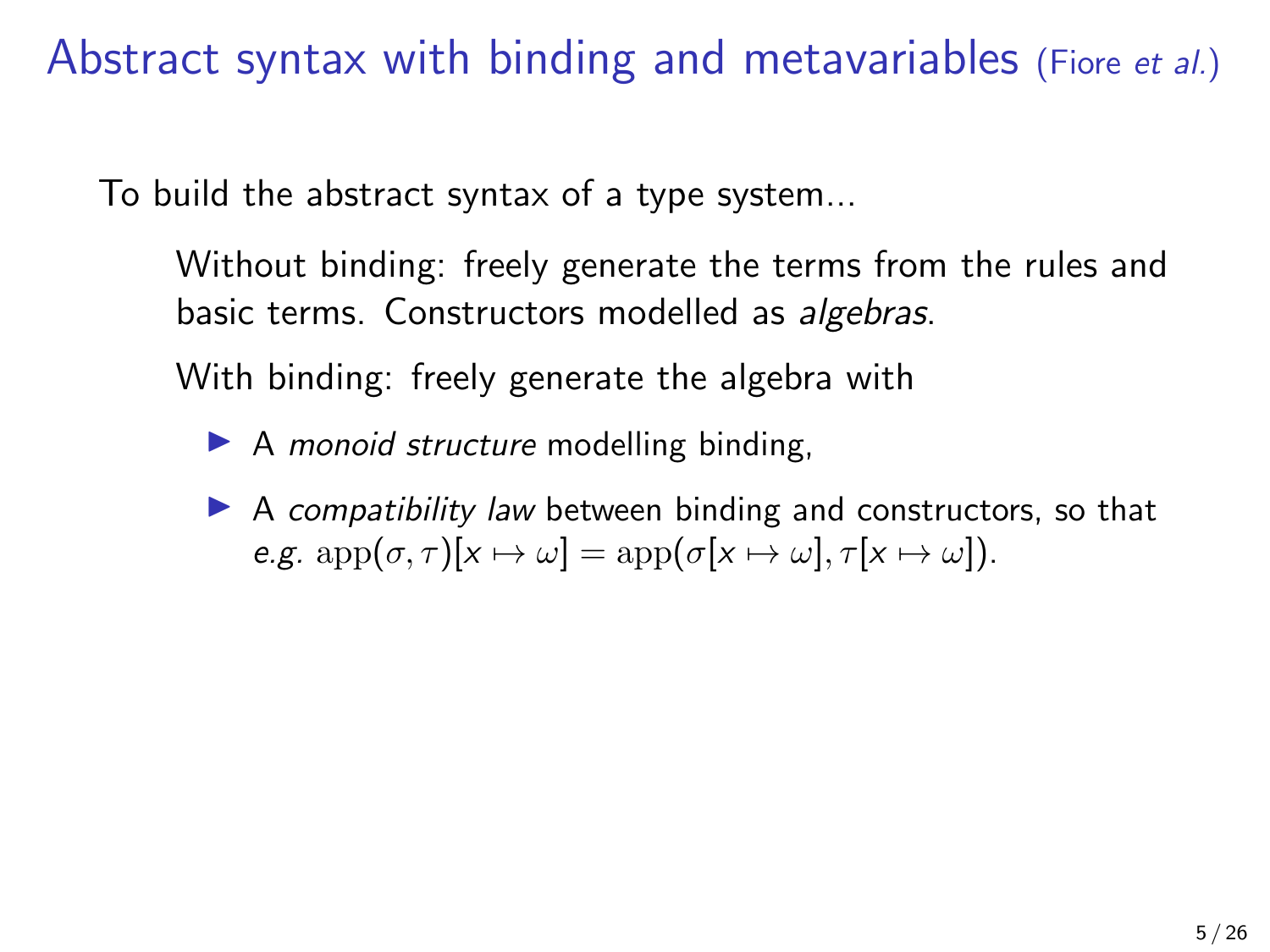To build the abstract syntax of a type system...

Without binding: freely generate the terms from the rules and basic terms. Constructors modelled as algebras.

With binding: freely generate the algebra with

 $\blacktriangleright$  A *monoid structure* modelling binding,

 $\triangleright$  A compatibility law between binding and constructors, so that e.g.  $\text{app}(\sigma, \tau)[x \mapsto \omega] = \text{app}(\sigma[x \mapsto \omega], \tau[x \mapsto \omega]).$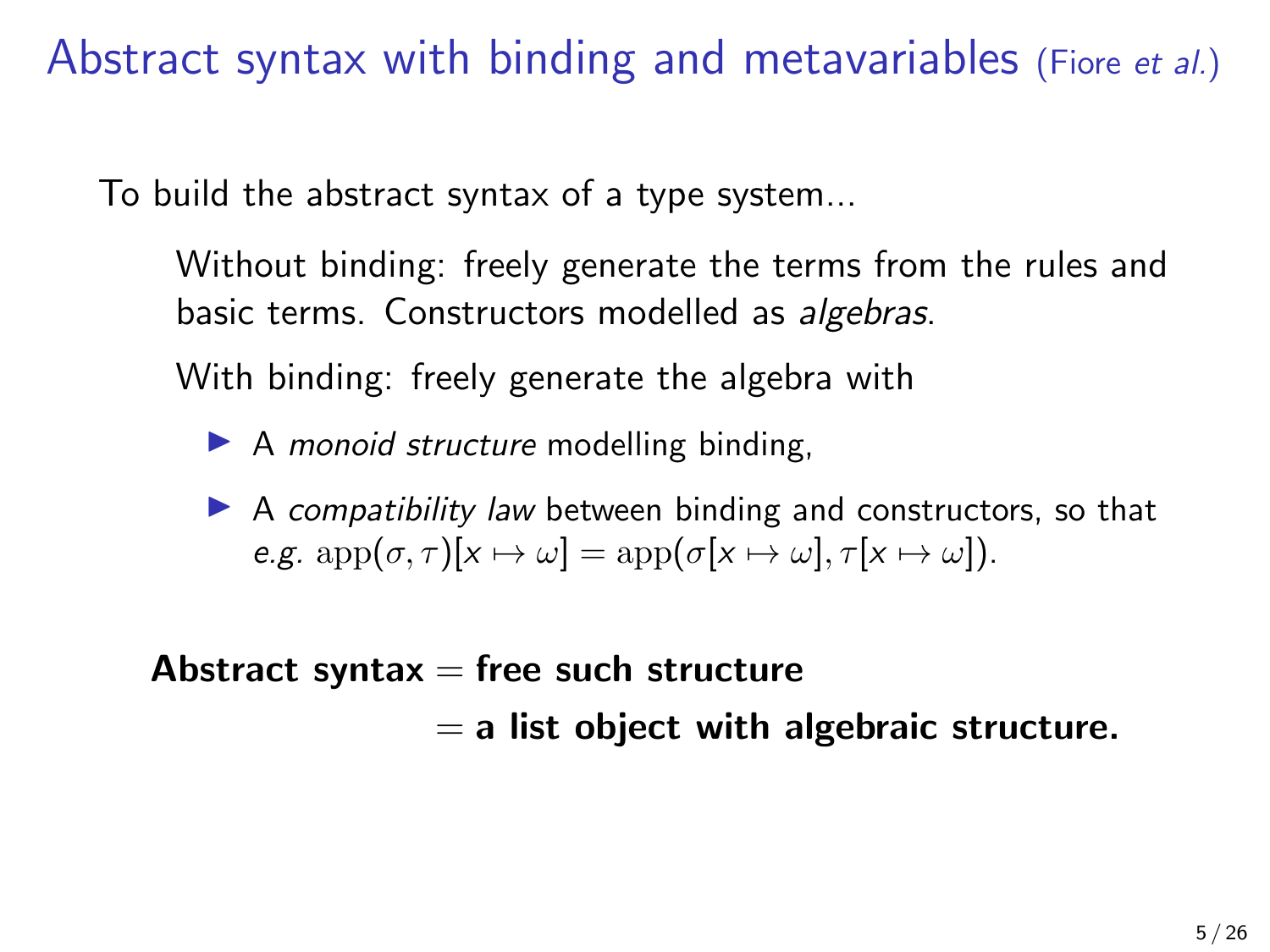To build the abstract syntax of a type system...

Without binding: freely generate the terms from the rules and basic terms. Constructors modelled as algebras.

With binding: freely generate the algebra with

 $\blacktriangleright$  A *monoid structure* modelling binding,

 $\triangleright$  A compatibility law between binding and constructors, so that e.g.  $\text{app}(\sigma, \tau)[x \mapsto \omega] = \text{app}(\sigma[x \mapsto \omega], \tau[x \mapsto \omega]).$ 

Abstract syntax  $=$  free such structure  $=$  a list object with algebraic structure.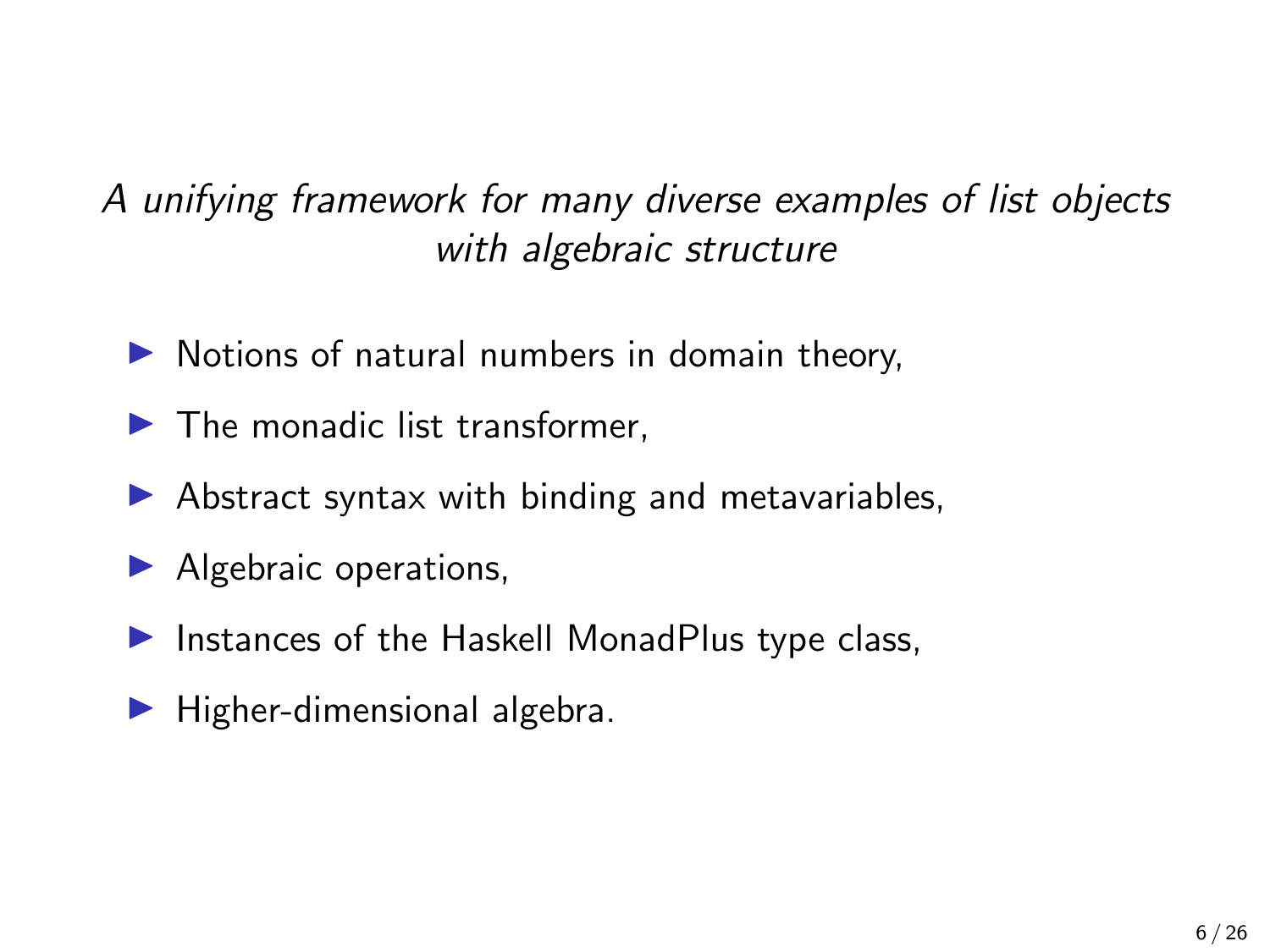### A unifying framework for many diverse examples of list objects with algebraic structure

- $\triangleright$  Notions of natural numbers in domain theory,
- $\blacktriangleright$  The monadic list transformer.
- $\triangleright$  Abstract syntax with binding and metavariables,
- $\blacktriangleright$  Algebraic operations,
- $\blacktriangleright$  Instances of the Haskell MonadPlus type class,
- $\blacktriangleright$  Higher-dimensional algebra.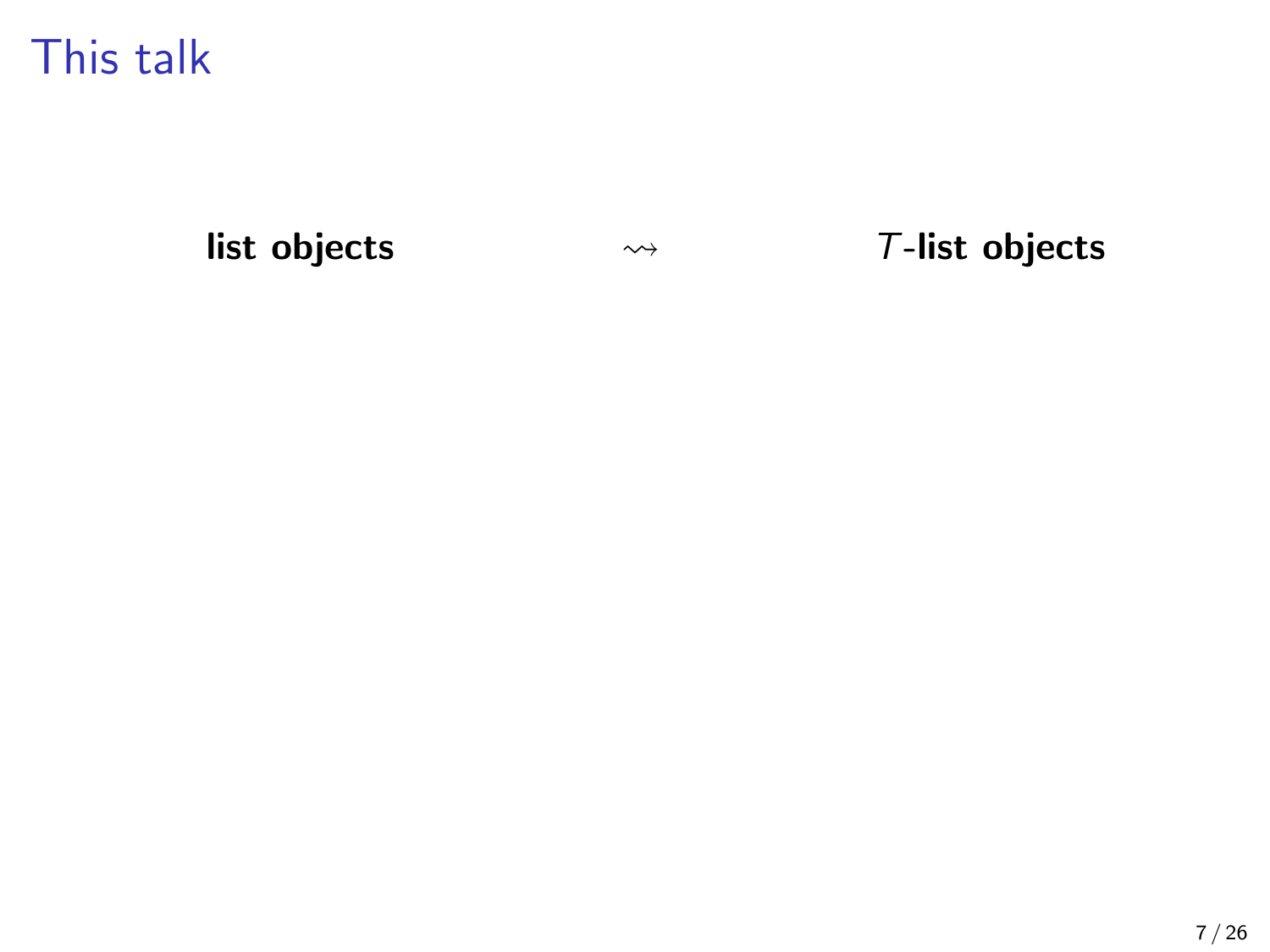list objects

 $\rightsquigarrow$   $T$ -list objects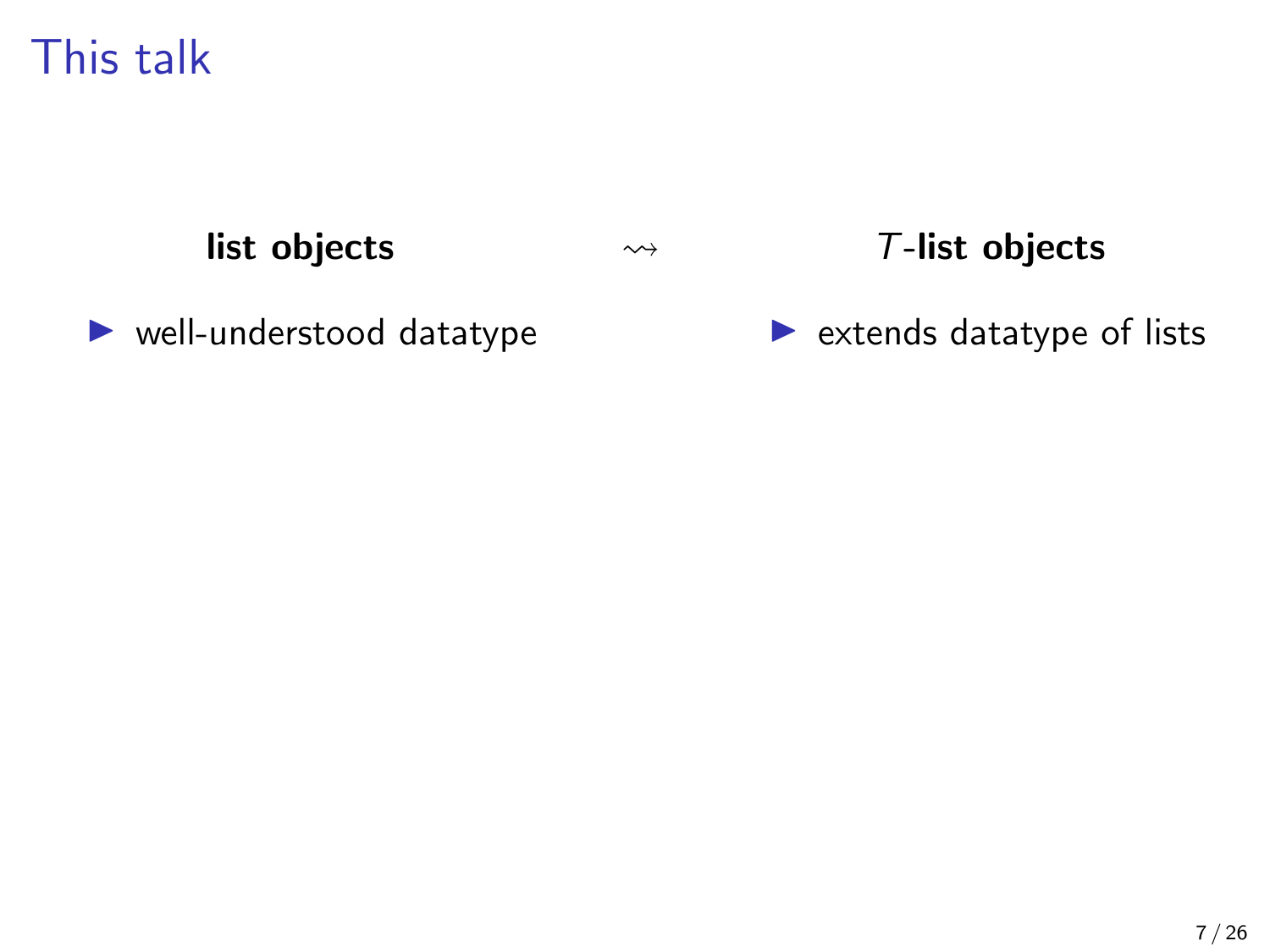list objects

#### $\rightsquigarrow$   $\triangledown$ -list objects

 $\blacktriangleright$  well-understood datatype

 $\blacktriangleright$  extends datatype of lists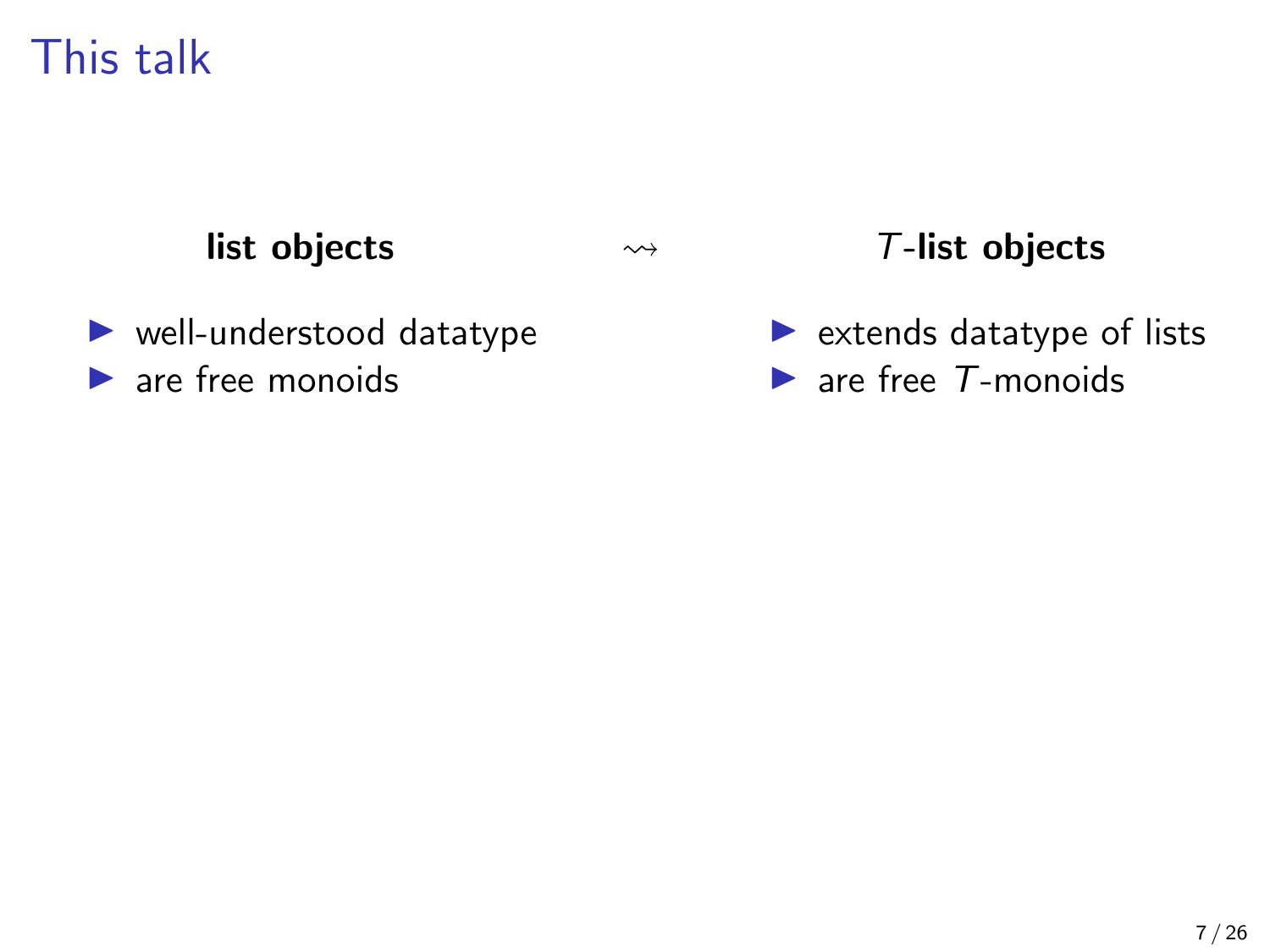#### list objects

#### $\rightsquigarrow$   $\blacksquare$   $\top$ -list objects

- $\blacktriangleright$  well-understood datatype
- $\blacktriangleright$  are free monoids

 $\blacktriangleright$  extends datatype of lists  $\blacktriangleright$  are free  $T$ -monoids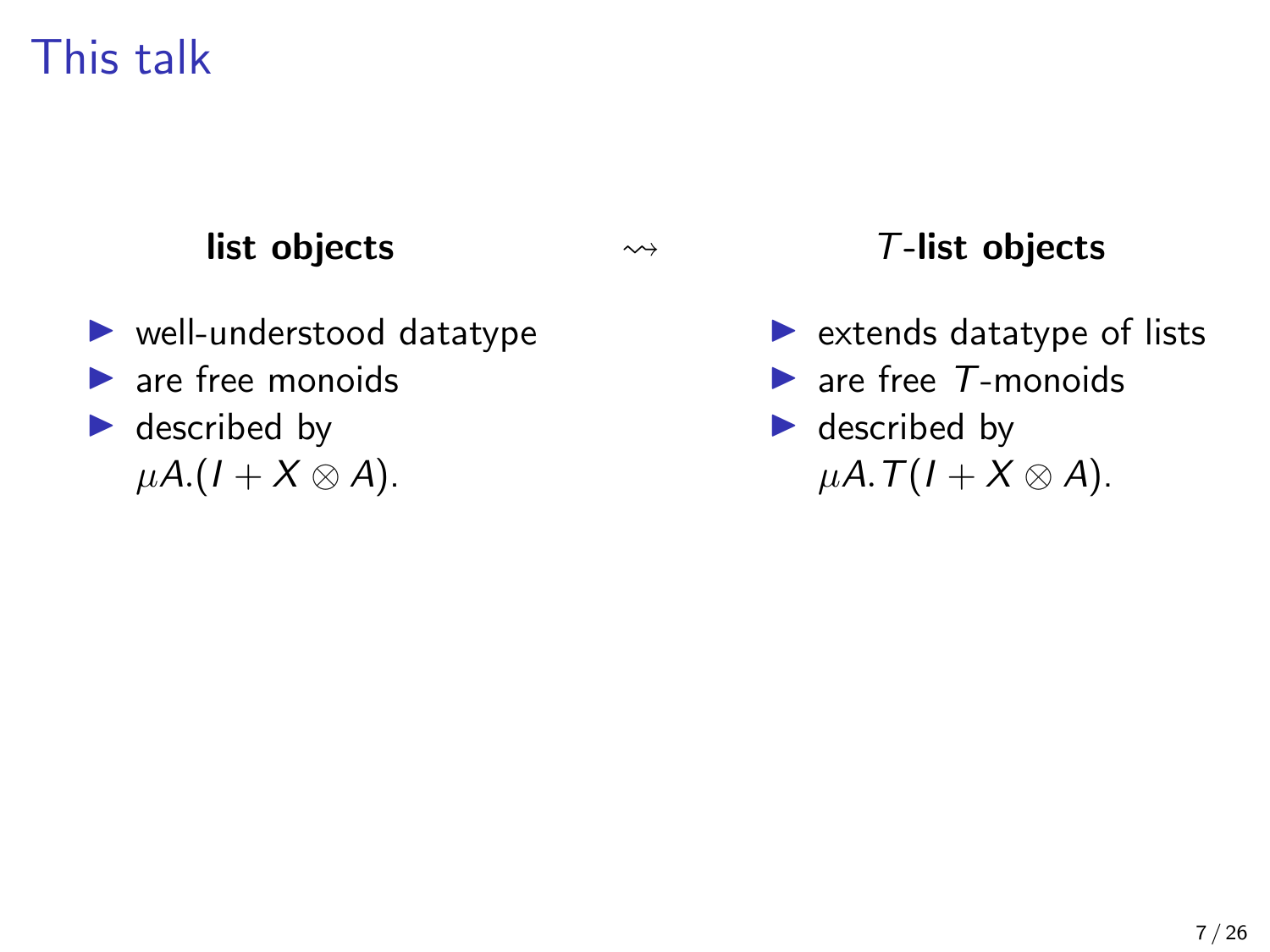### list objects

- $\blacktriangleright$  well-understood datatype
- $\blacktriangleright$  are free monoids
- $\blacktriangleright$  described by  $\mu A$ .( $I + X \otimes A$ ).

#### T-list objects

- $\blacktriangleright$  extends datatype of lists
- $\blacktriangleright$  are free  $T$ -monoids
- $\blacktriangleright$  described by  $\mu A. T(I+X\otimes A).$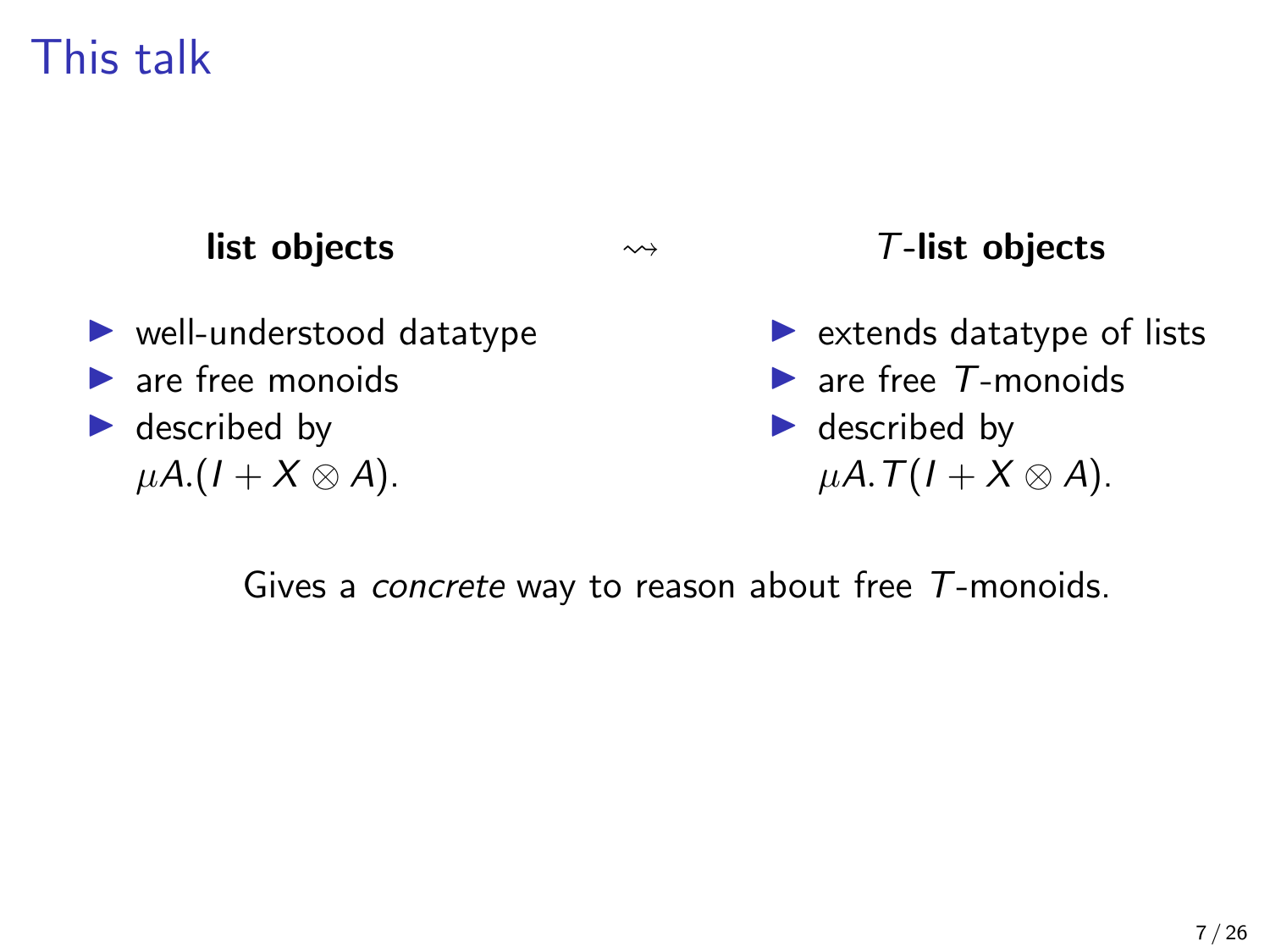#### list objects

- $\blacktriangleright$  well-understood datatype
- $\blacktriangleright$  are free monoids
- $\blacktriangleright$  described by  $\mu A$ .(1 + X  $\otimes$  A).

#### T-list objects

- $\blacktriangleright$  extends datatype of lists
- $\blacktriangleright$  are free  $T$ -monoids
- $\blacktriangleright$  described by  $\mu A. T(I+X\otimes A).$

Gives a concrete way to reason about free T-monoids.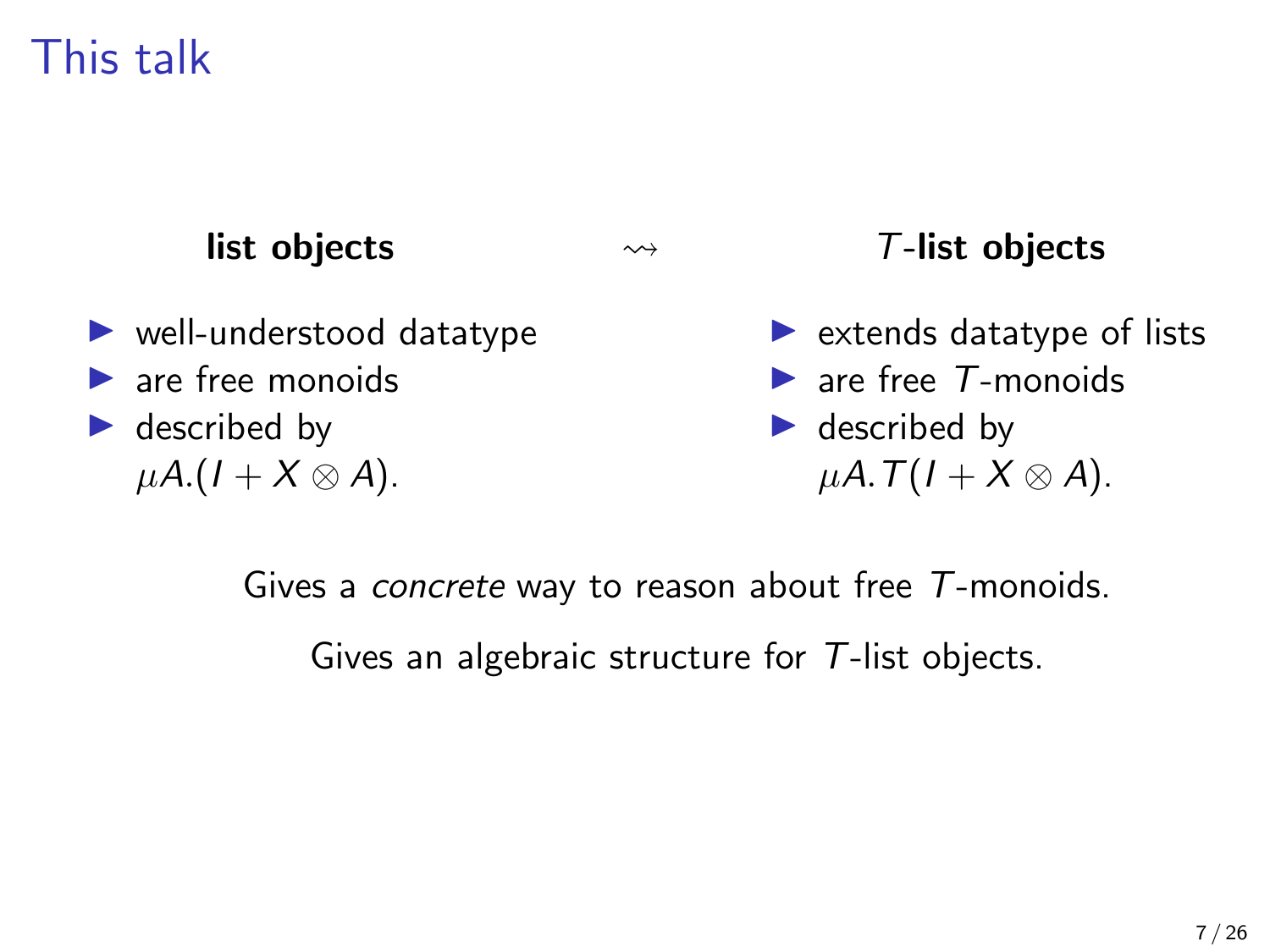#### list objects

- $\blacktriangleright$  well-understood datatype
- $\blacktriangleright$  are free monoids
- $\blacktriangleright$  described by  $\mu A$ .(1 + X  $\otimes$  A).

T-list objects

- $\blacktriangleright$  extends datatype of lists
- $\blacktriangleright$  are free  $T$ -monoids
- $\blacktriangleright$  described by  $\mu A. T(I+X\otimes A).$

Gives a concrete way to reason about free T-monoids.

Gives an algebraic structure for T-list objects.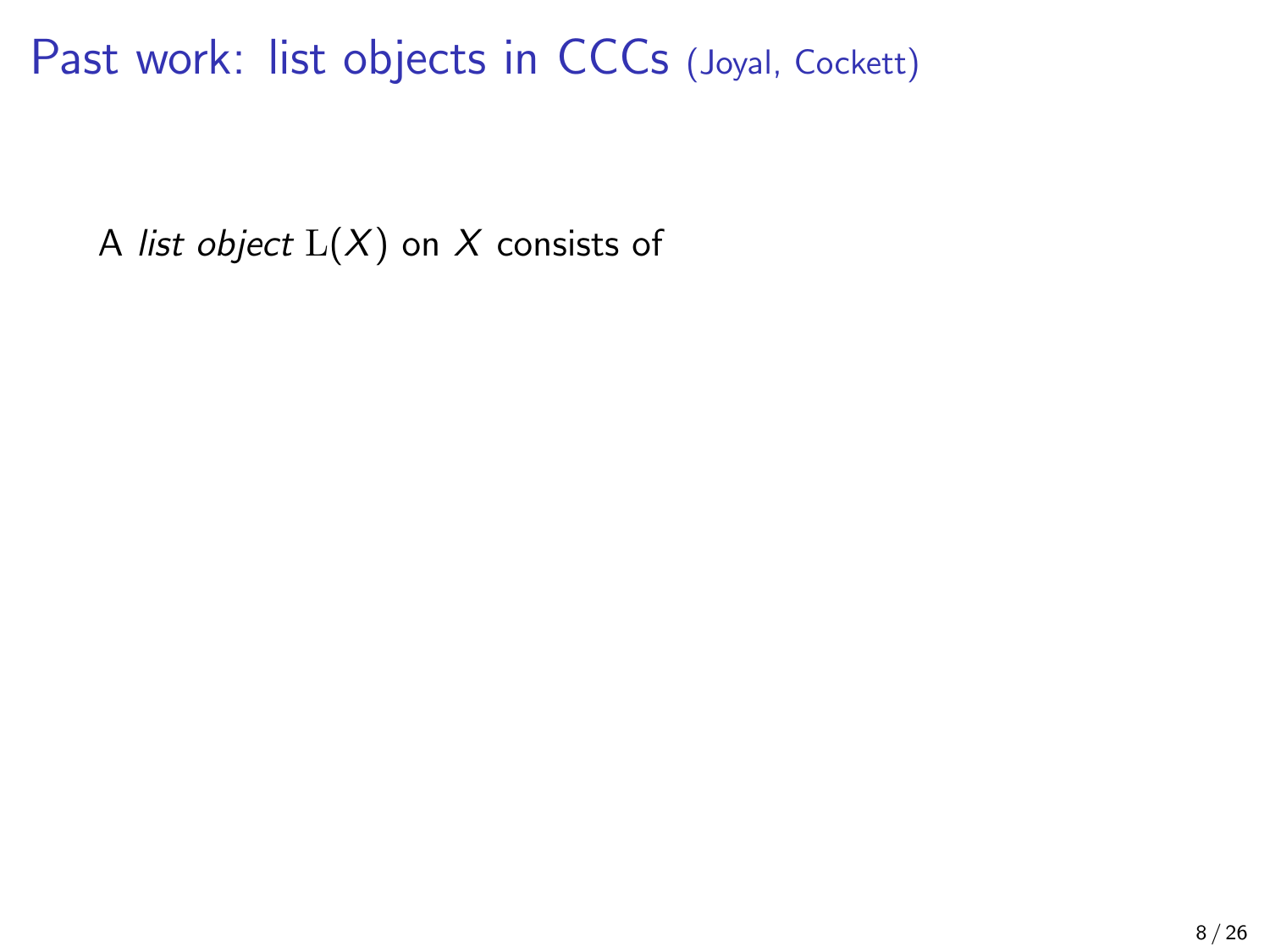A list object  $L(X)$  on X consists of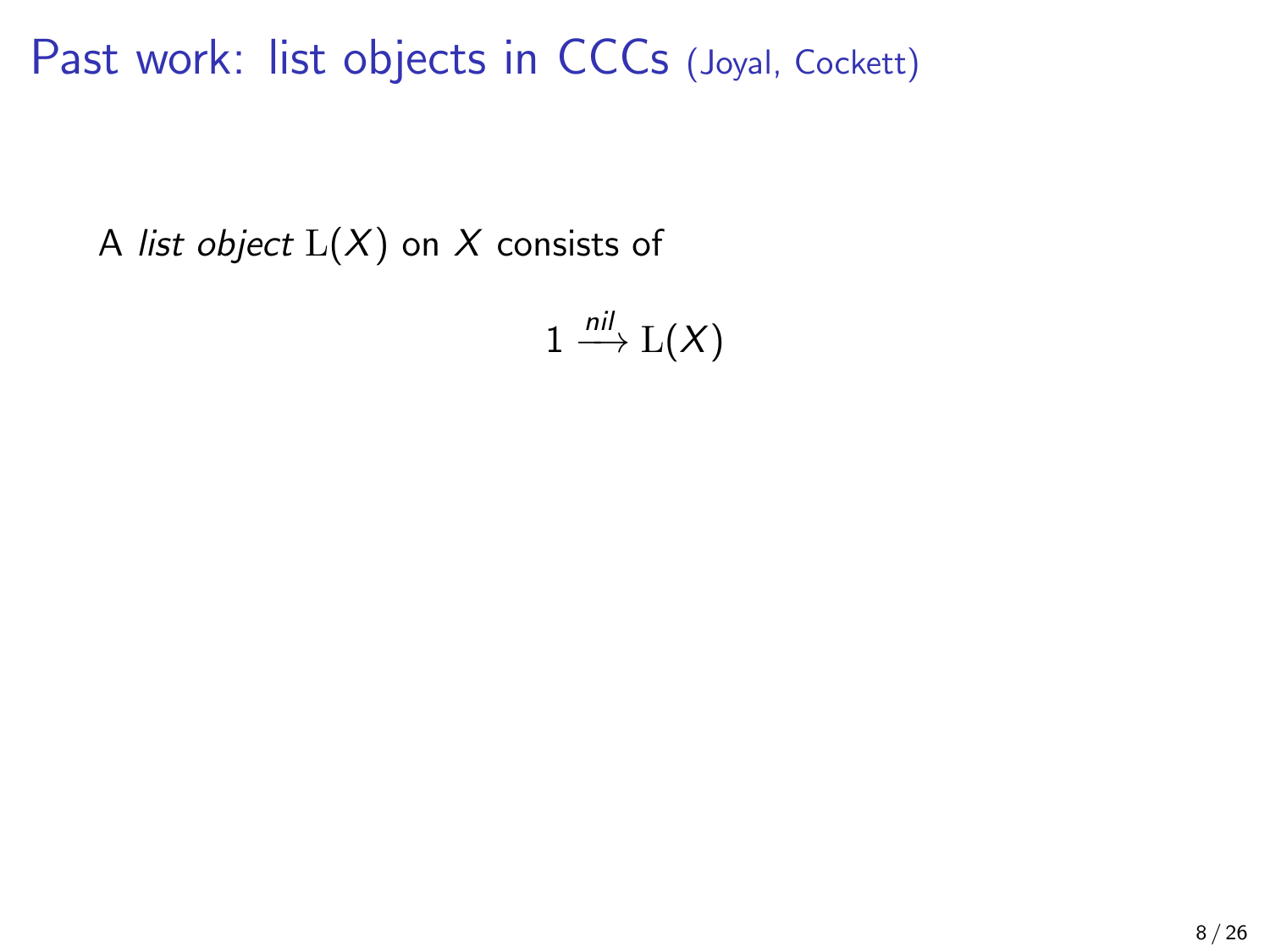A list object  $L(X)$  on X consists of

 $1 \stackrel{nil}{\longrightarrow} L(X)$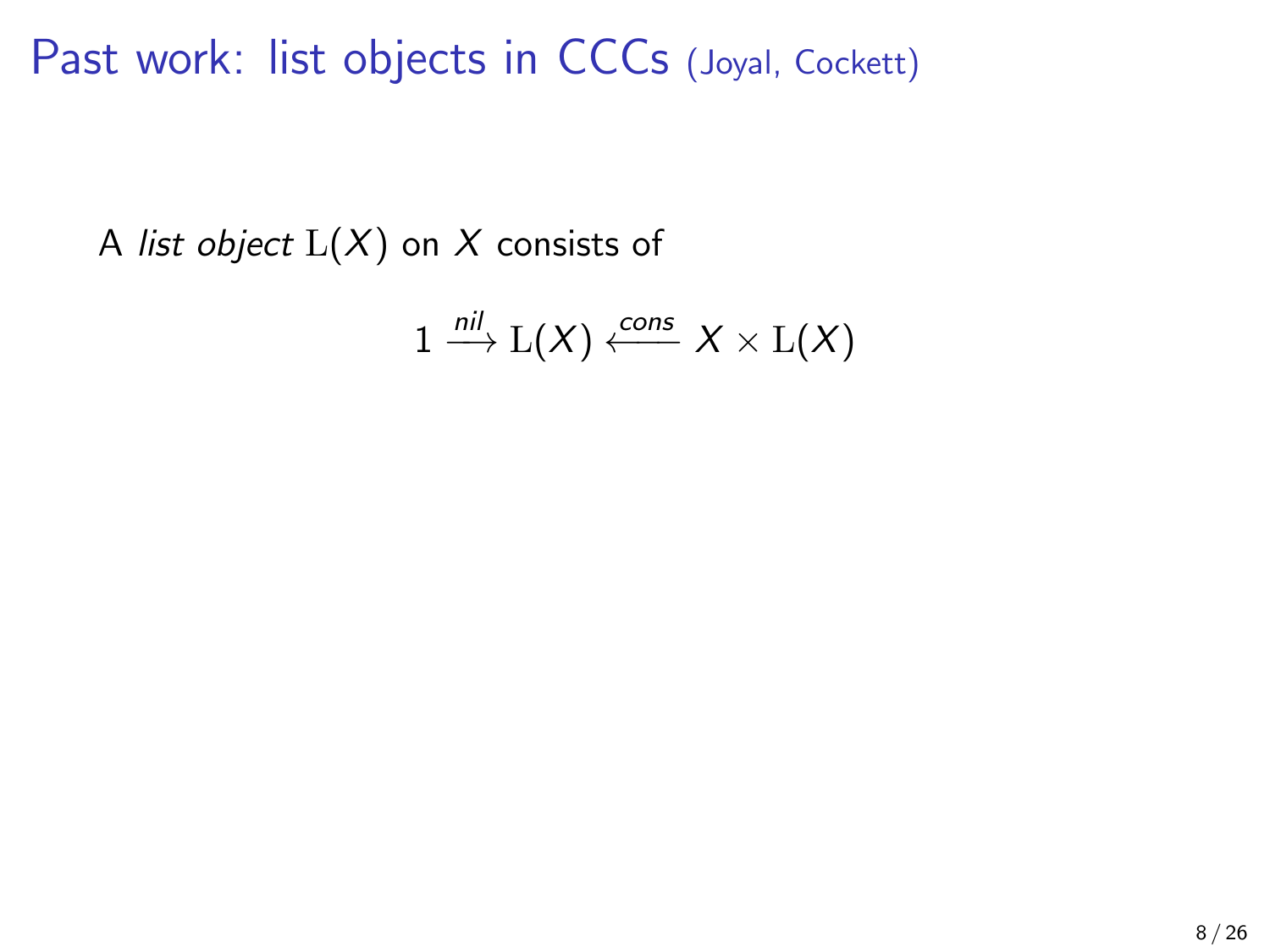A list object  $L(X)$  on X consists of

$$
1 \xrightarrow{nil} \mathrm{L}(X) \xleftarrow{cons} X \times \mathrm{L}(X)
$$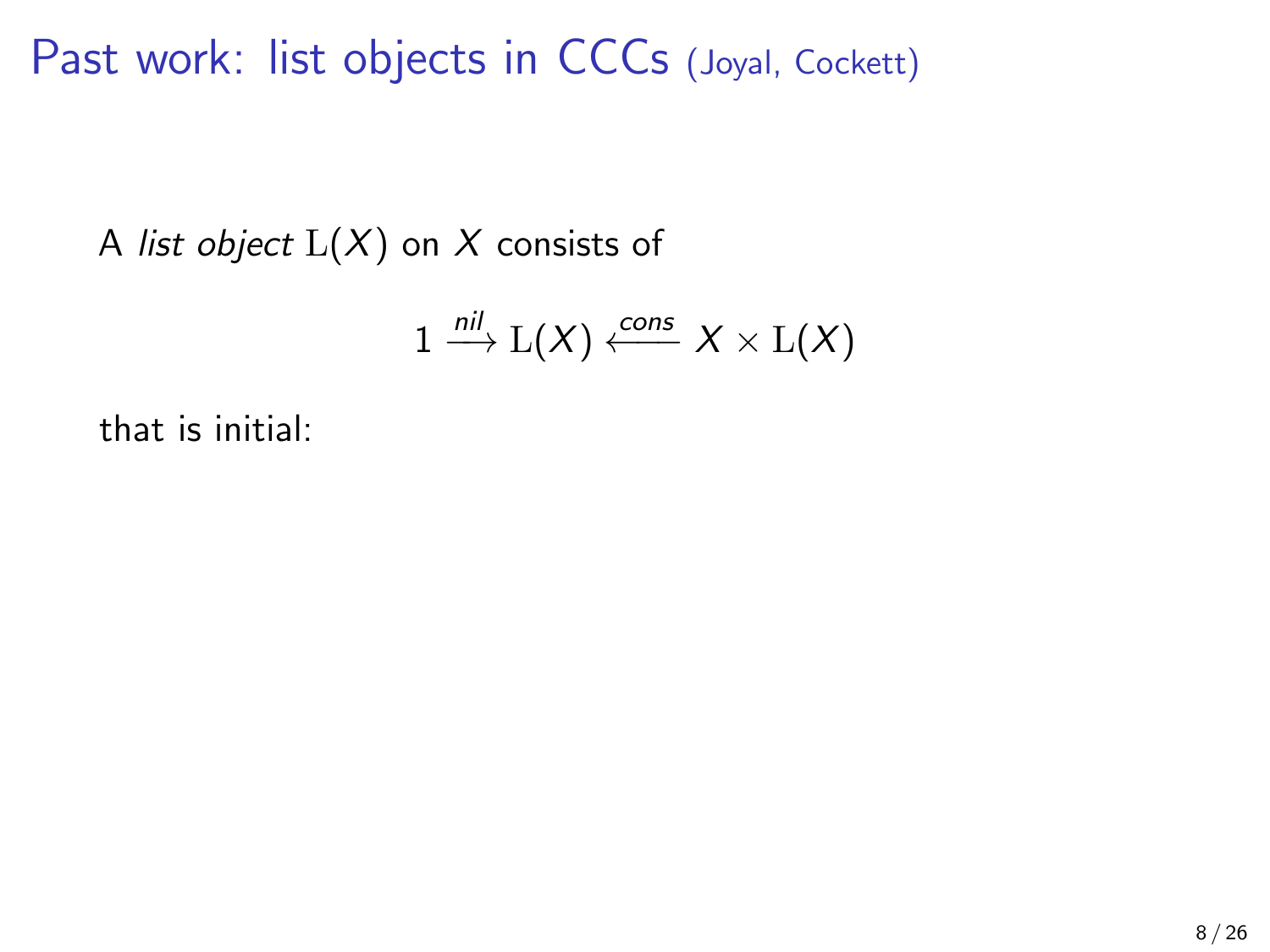A list object  $L(X)$  on X consists of

$$
1 \xrightarrow{nil} L(X) \xleftarrow{cons} X \times L(X)
$$

that is initial: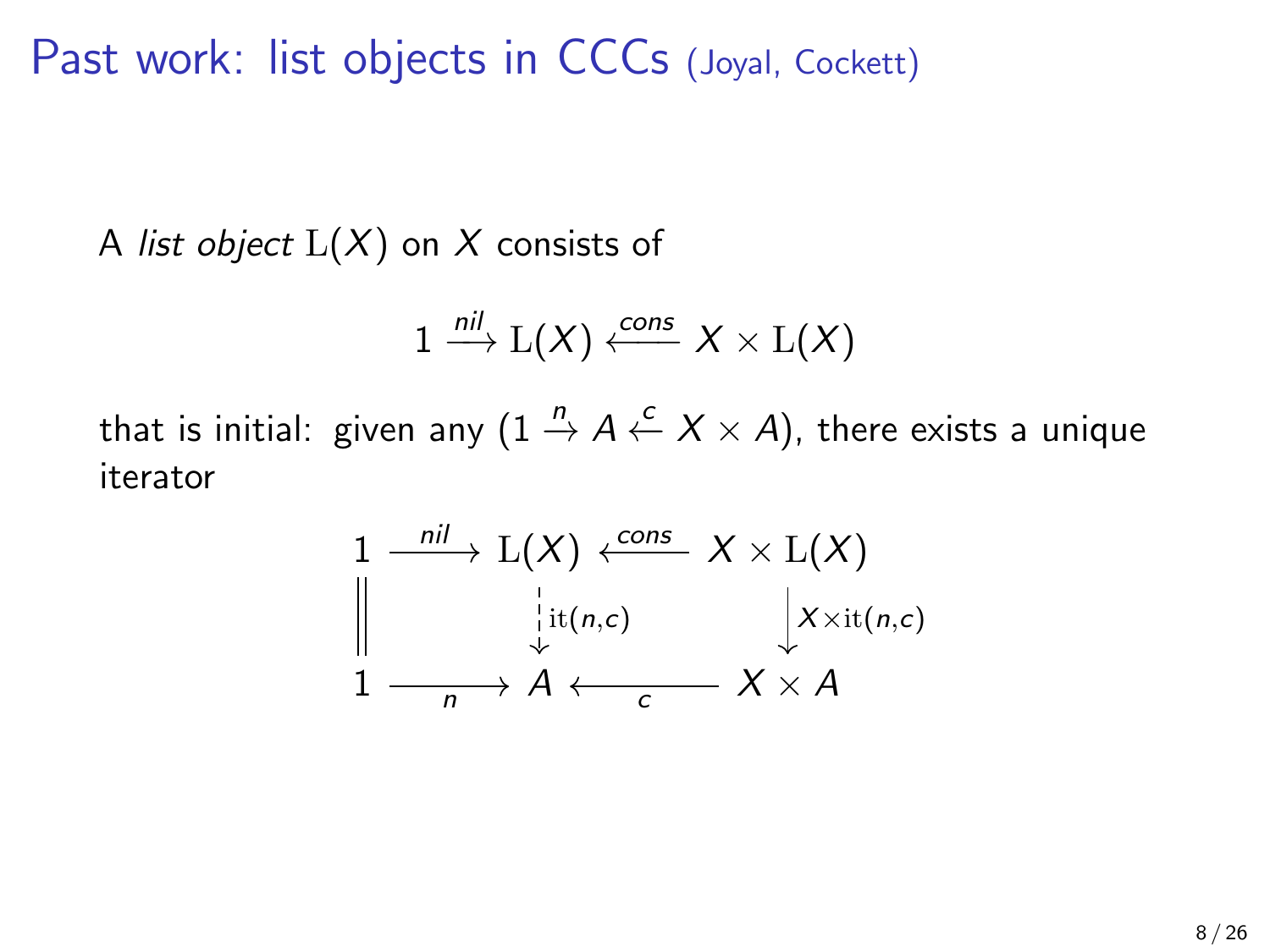A list object  $L(X)$  on X consists of

$$
1 \xrightarrow{nil} \mathrm{L}(X) \xleftarrow{cons} X \times \mathrm{L}(X)
$$

that is initial: given any (1  $\stackrel{n}{\to}$  A  $\stackrel{c}{\leftarrow}$  X  $\times$  A), there exists a unique iterator

$$
\begin{array}{ccc}\n1 & \xrightarrow{nil} & L(X) & \xleftarrow{cons} & X \times L(X) \\
\downarrow & \downarrow & \downarrow & \downarrow \\
1 & \xrightarrow{n} & A & \xleftarrow{c} & X \times A\n\end{array}
$$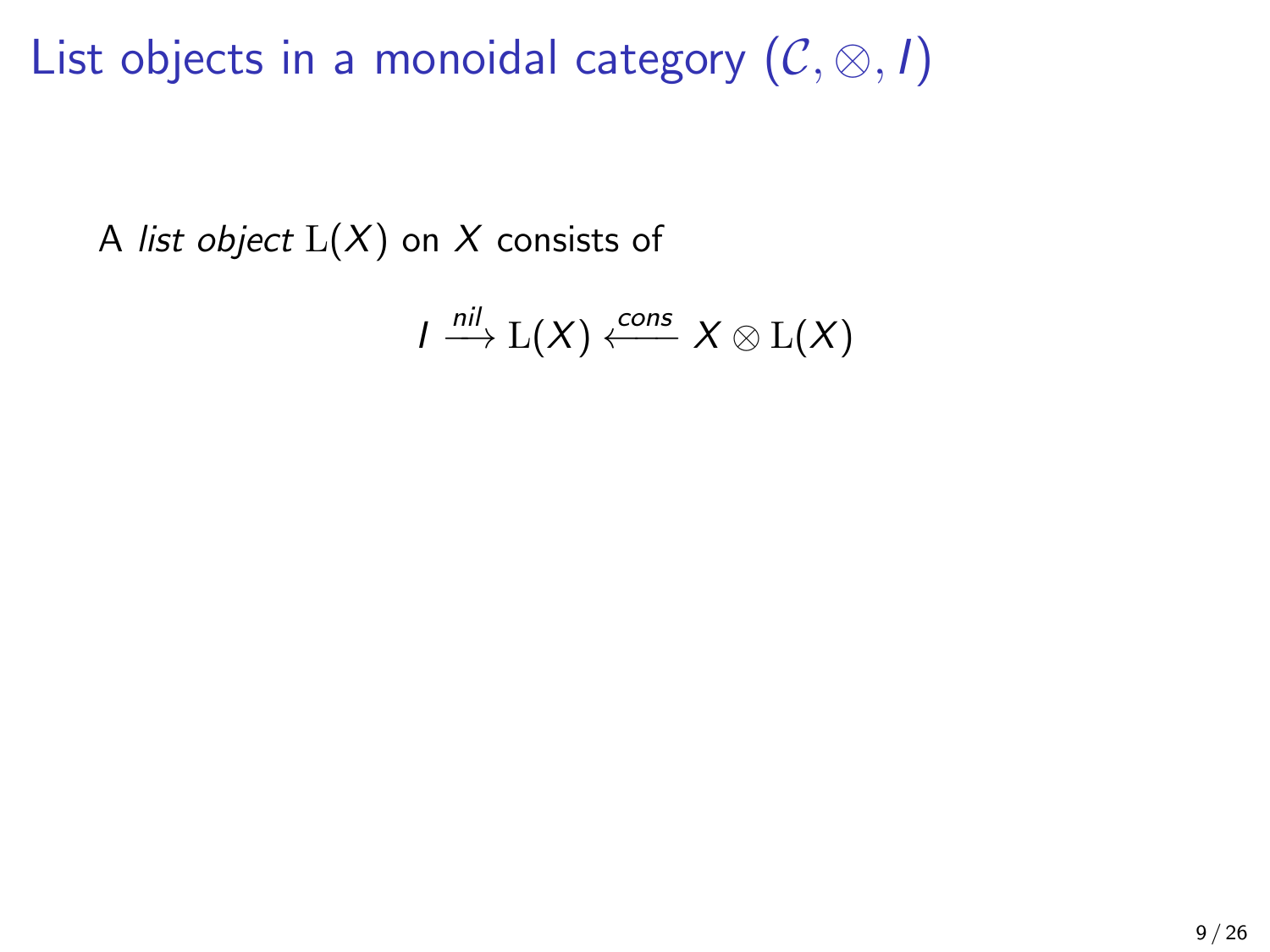A list object  $L(X)$  on X consists of

$$
I \stackrel{\textit{nil}}{\longrightarrow} {\mathrm L}(X) \stackrel{\textit{cons}}{\longleftarrow} X \otimes {\mathrm L}(X)
$$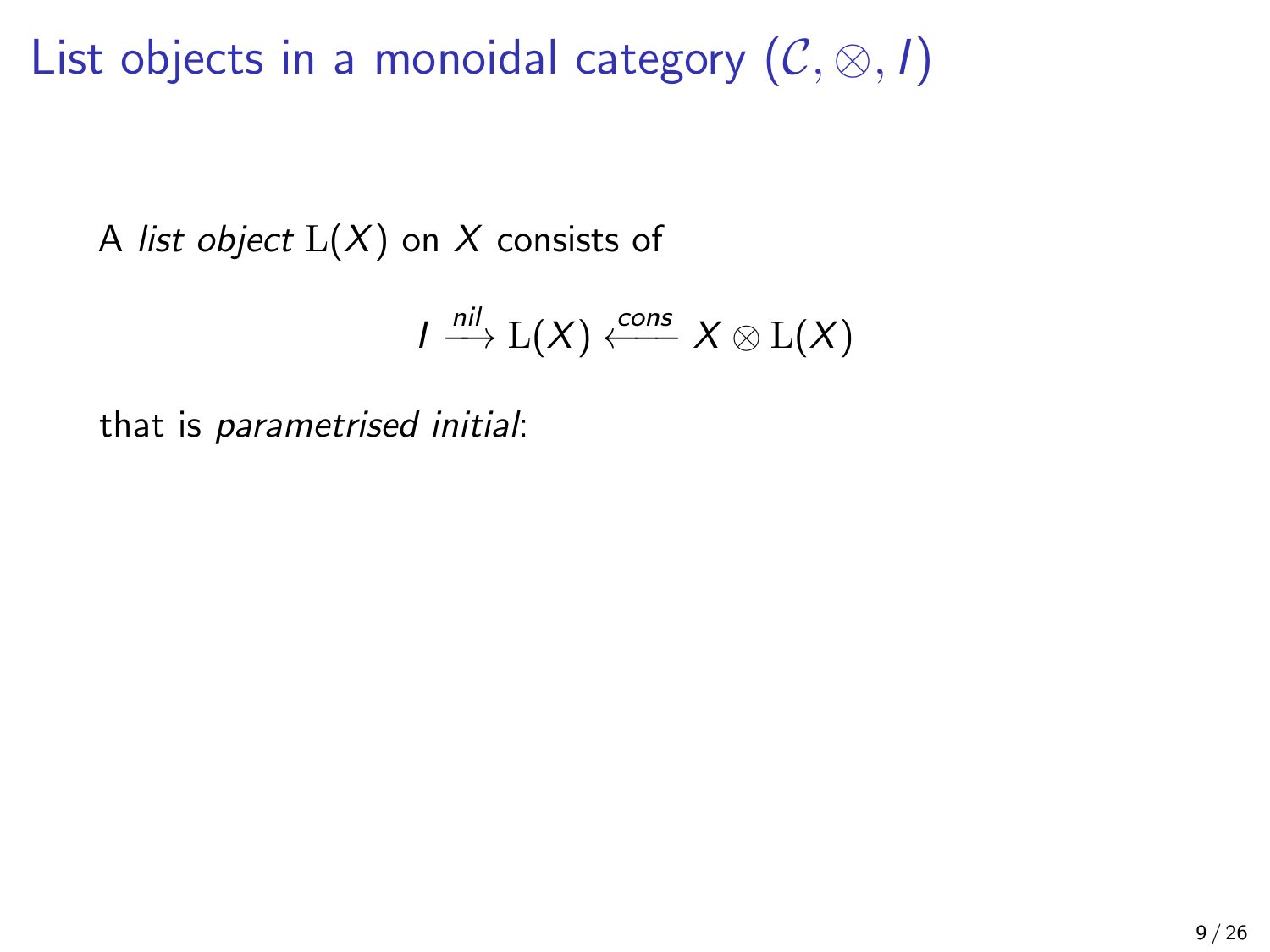A list object  $L(X)$  on X consists of

$$
I \stackrel{\textit{nil}}{\longrightarrow} {\mathrm L}(X) \stackrel{\textit{cons}}{\longleftarrow} X \otimes {\mathrm L}(X)
$$

that is parametrised initial: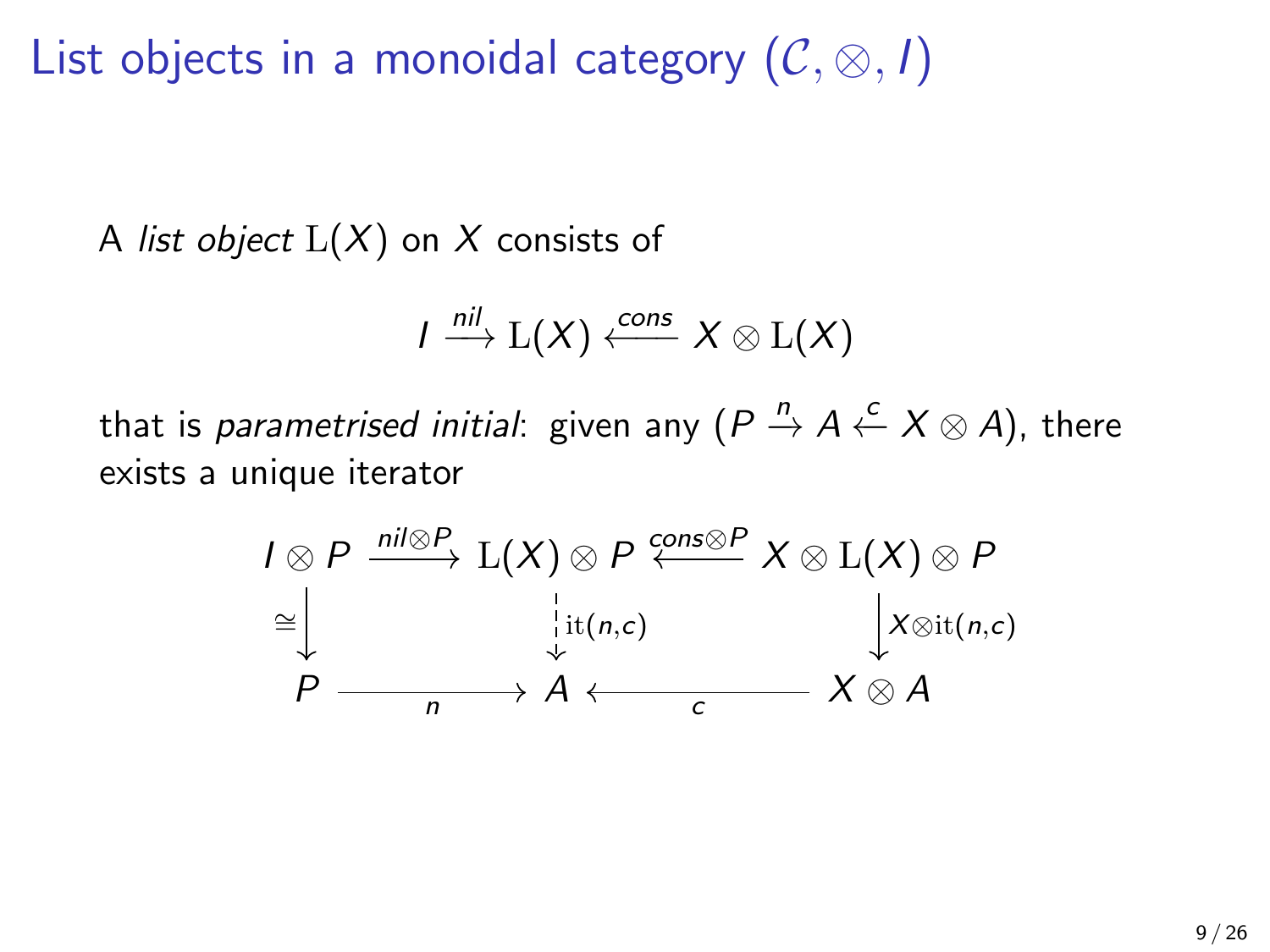A list object  $L(X)$  on X consists of

$$
I \xrightarrow{nil} \mathrm{L}(X) \xleftarrow{cons} X \otimes \mathrm{L}(X)
$$

that is *parametrised initial*: given any ( $P\stackrel{n}{\to} A\stackrel{c}{\leftarrow} X\otimes A)$ , there exists a unique iterator

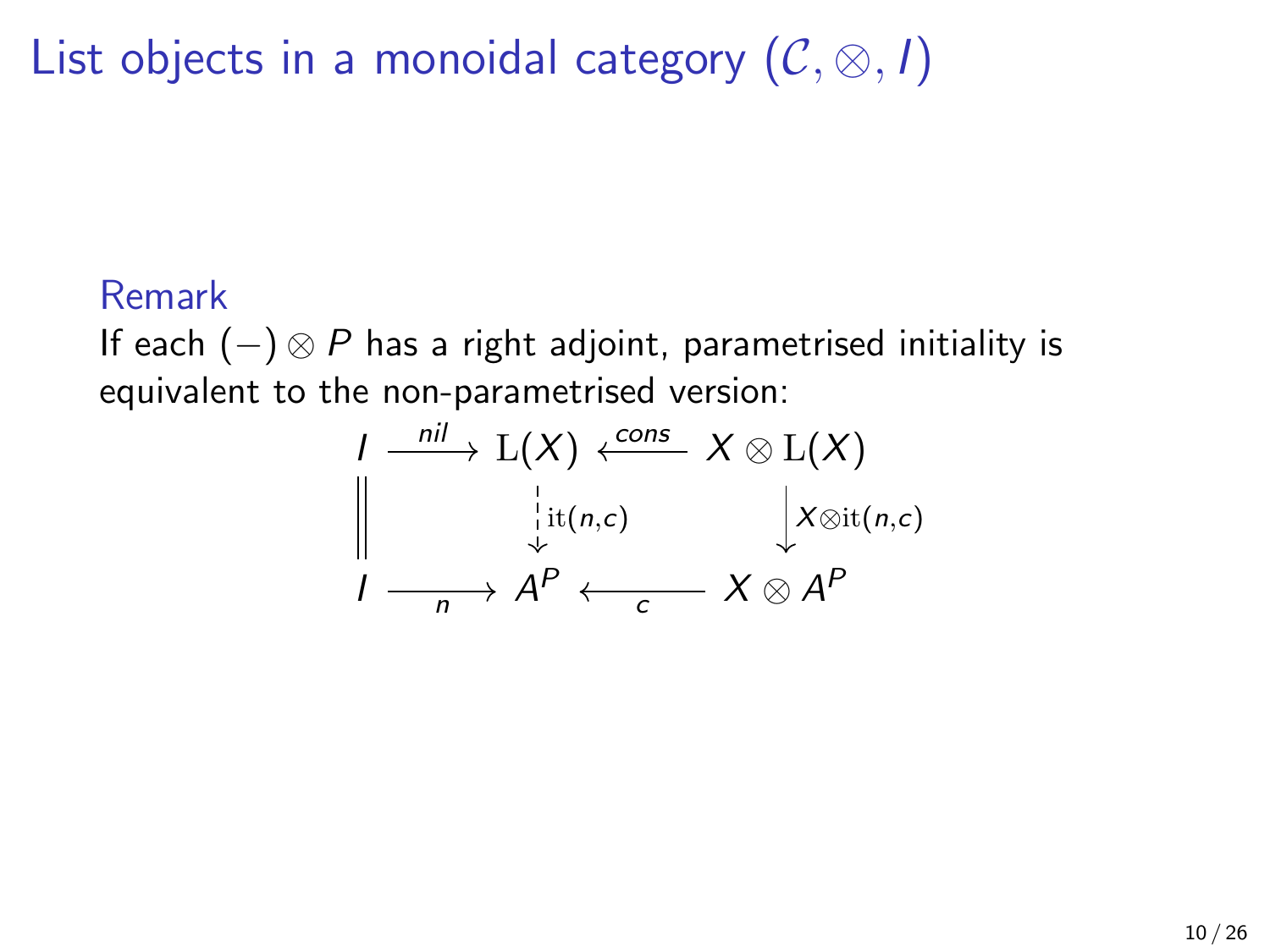#### Remark

If each  $(-) \otimes P$  has a right adjoint, parametrised initiality is equivalent to the non-parametrised version:

$$
\begin{array}{ccc}\nI & \xrightarrow{nil} & \mathcal{L}(X) & \xleftarrow{cons} & X \otimes \mathcal{L}(X) \\
\parallel & \downarrow_{\mathcal{U}(n,c)} & \downarrow_{X \otimes \mathrm{it}(n,c)} \\
I & \xrightarrow[n] & A^P & \xleftarrow[\ c \end{array}
$$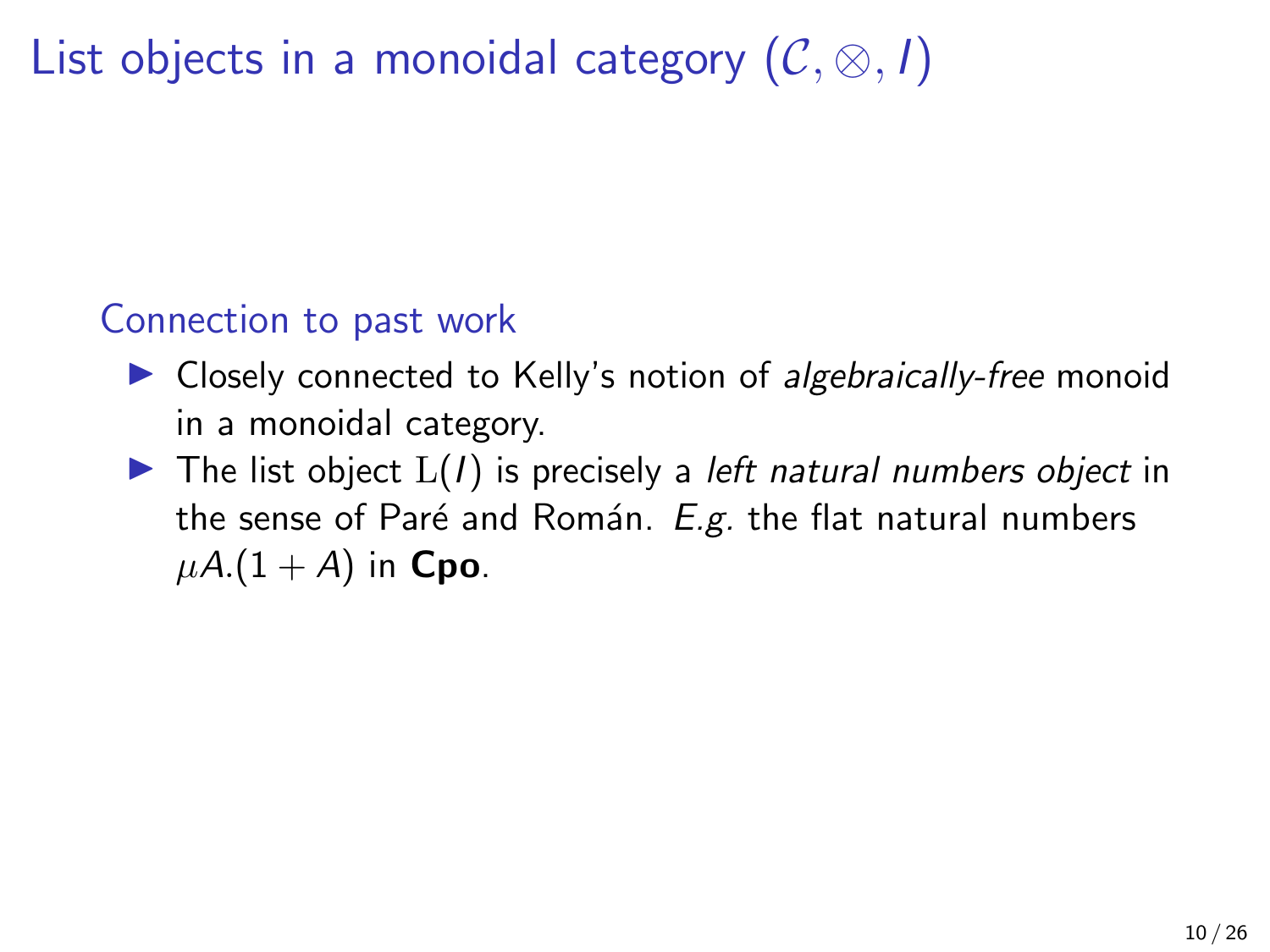List objects in a monoidal category  $(C, \otimes, I)$ 

### Connection to past work

- $\triangleright$  Closely connected to Kelly's notion of algebraically-free monoid in a monoidal category.
- $\blacktriangleright$  The list object  $L(I)$  is precisely a *left natural numbers object* in the sense of Paré and Román.  $E.g.$  the flat natural numbers  $\mu A. (1 + A)$  in Cpo.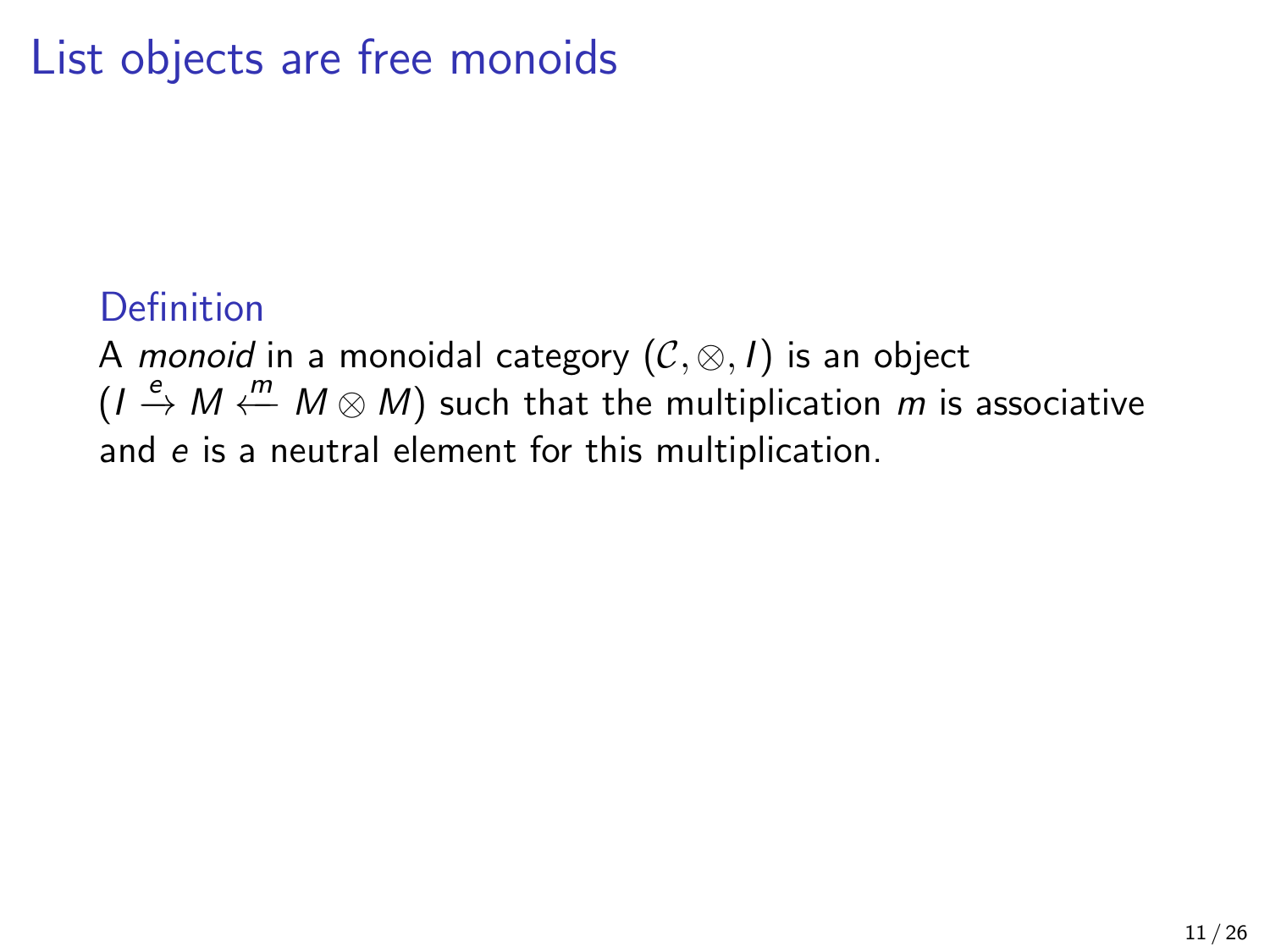### **Definition**

A monoid in a monoidal category  $(C, \otimes, I)$  is an object  $(I \stackrel{e}{\rightarrow} M \stackrel{m}{\leftarrow} M \otimes M)$  such that the multiplication m is associative and e is a neutral element for this multiplication.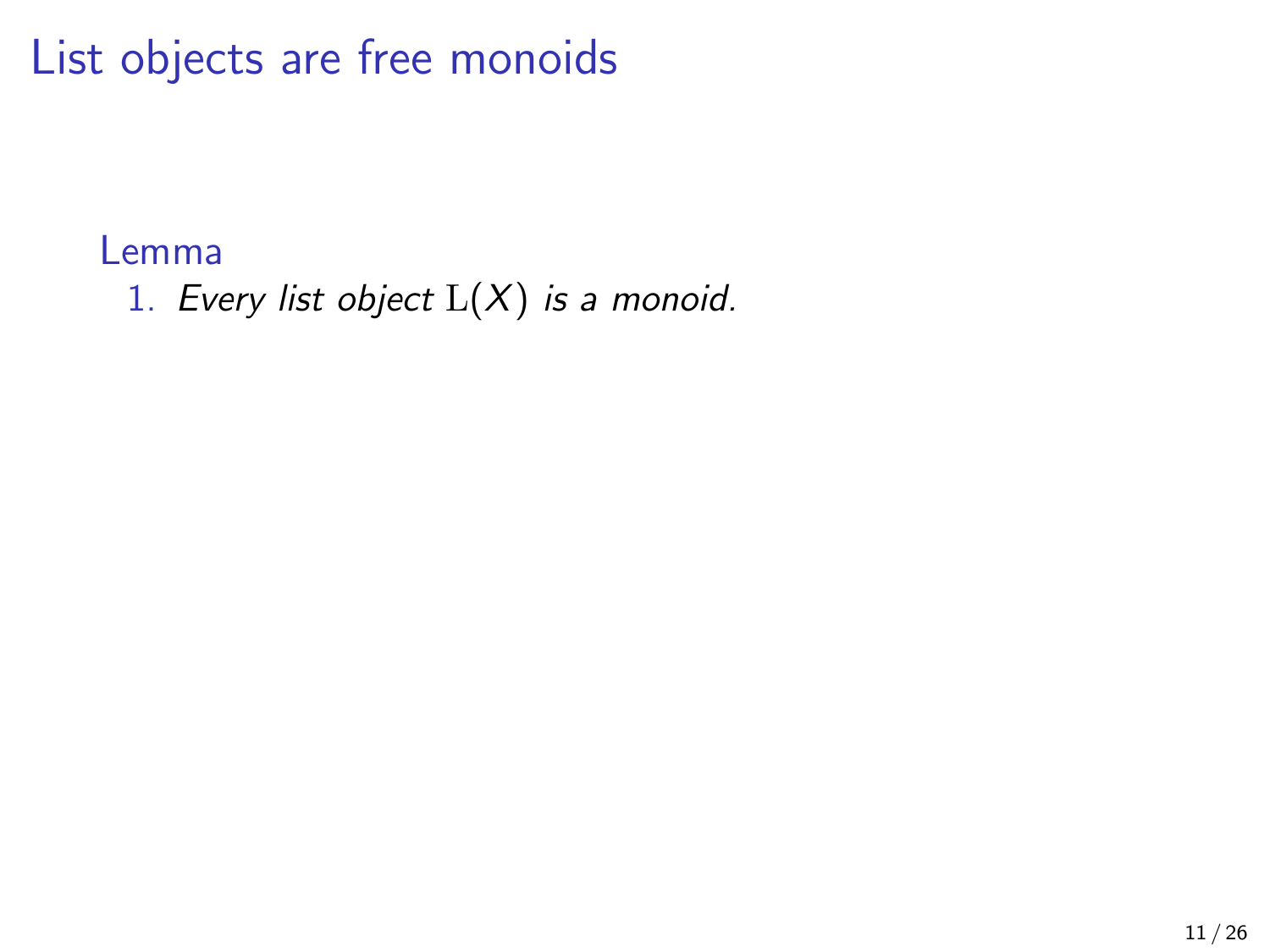Lemma

1. Every list object  $L(X)$  is a monoid.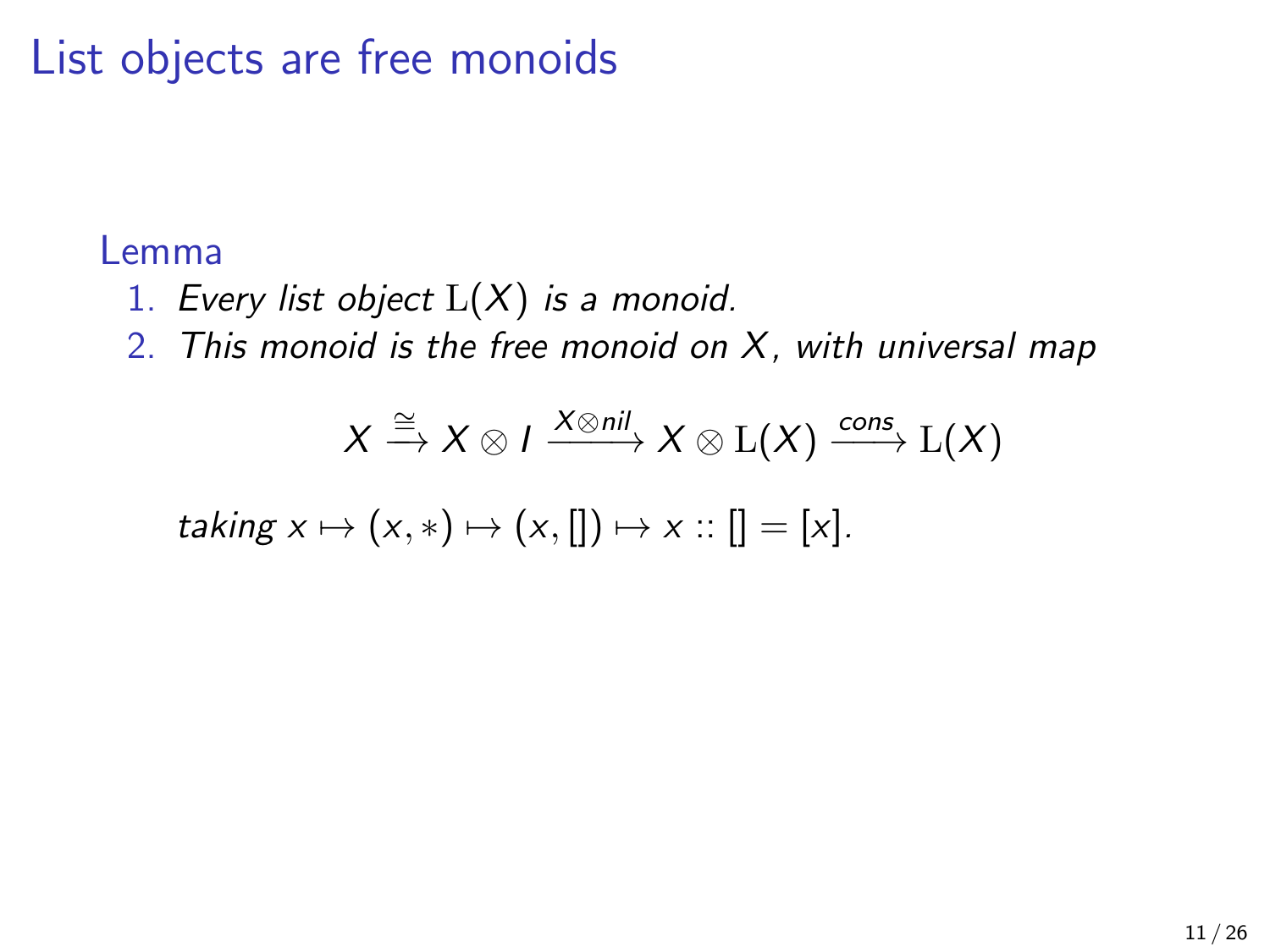#### Lemma

- 1. Every list object  $L(X)$  is a monoid.
- 2. This monoid is the free monoid on  $X$ , with universal map

$$
X \xrightarrow{\cong} X \otimes I \xrightarrow{X \otimes \textit{nil}} X \otimes \text{L}(X) \xrightarrow{\textit{cons}} \text{L}(X)
$$

$$
taking x \mapsto (x, *) \mapsto (x, []) \mapsto x :: [] = [x].
$$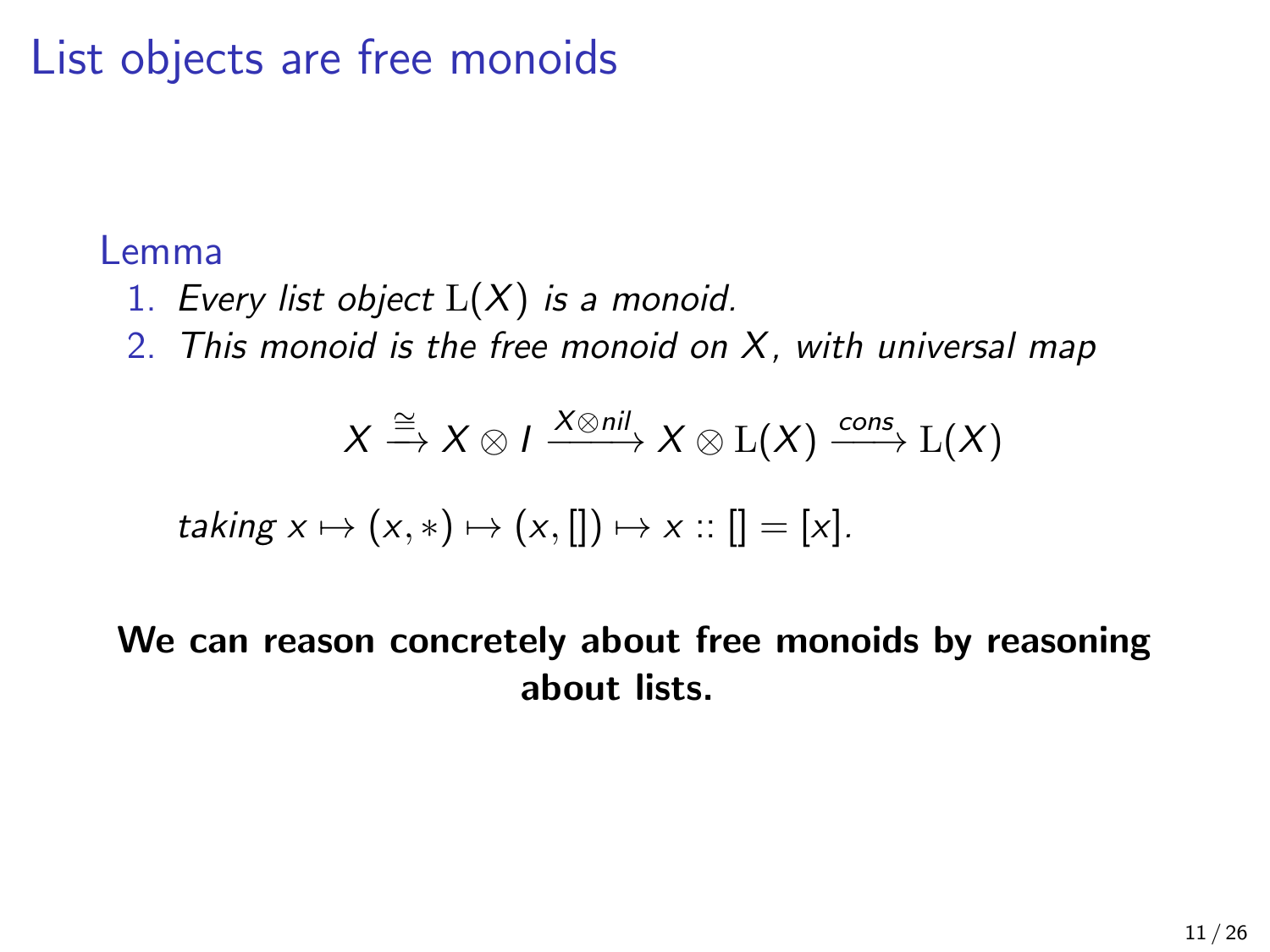#### Lemma

- 1. Every list object  $L(X)$  is a monoid.
- 2. This monoid is the free monoid on  $X$ , with universal map

$$
X \xrightarrow{\cong} X \otimes I \xrightarrow{X \otimes \textit{nil}} X \otimes \text{L}(X) \xrightarrow{\textit{cons}} \text{L}(X)
$$

$$
taking x \mapsto (x, *) \mapsto (x, []) \mapsto x :: [] = [x].
$$

#### We can reason concretely about free monoids by reasoning about lists.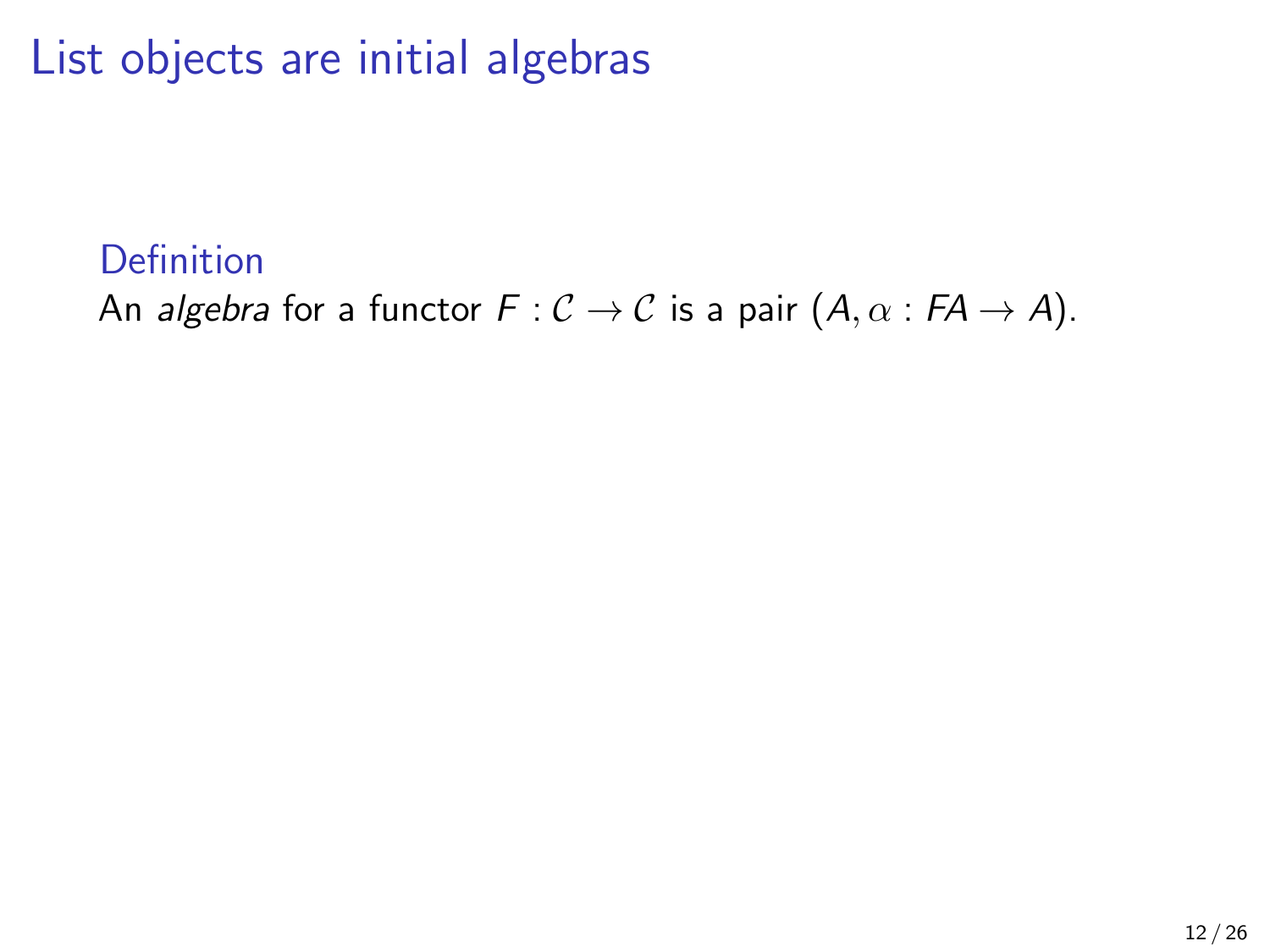### Definition

An algebra for a functor  $F: \mathcal{C} \to \mathcal{C}$  is a pair  $(A, \alpha : FA \to A)$ .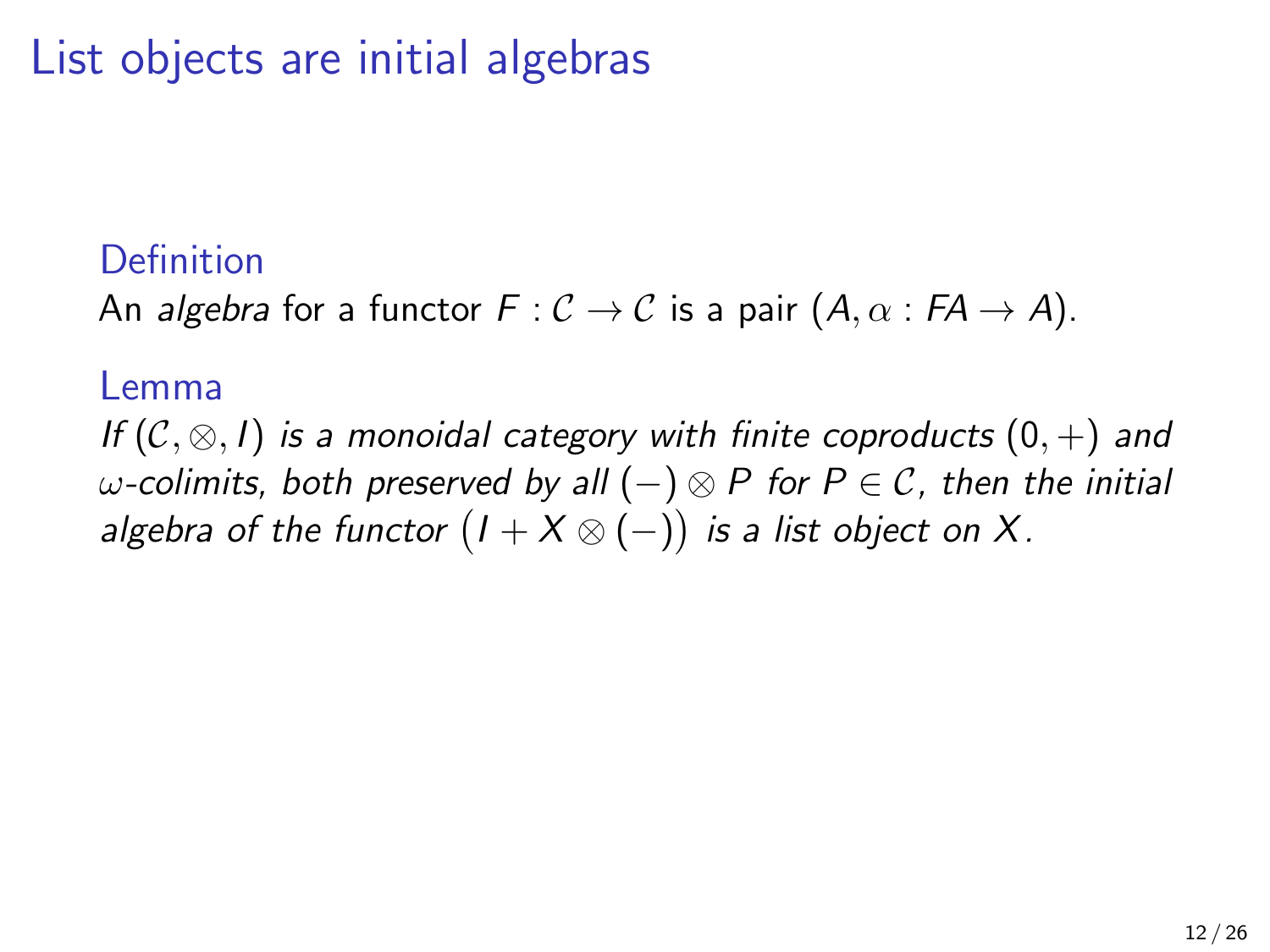### Definition

An algebra for a functor  $F: \mathcal{C} \to \mathcal{C}$  is a pair  $(A, \alpha : FA \to A)$ .

#### Lemma

If  $(C, \otimes, I)$  is a monoidal category with finite coproducts  $(0, +)$  and  $ω$ -colimits, both preserved by all  $(-)$  ⊗ P for P  $\in$  C, then the initial algebra of the functor  $(I + X \otimes (-))$  is a list object on  $X.$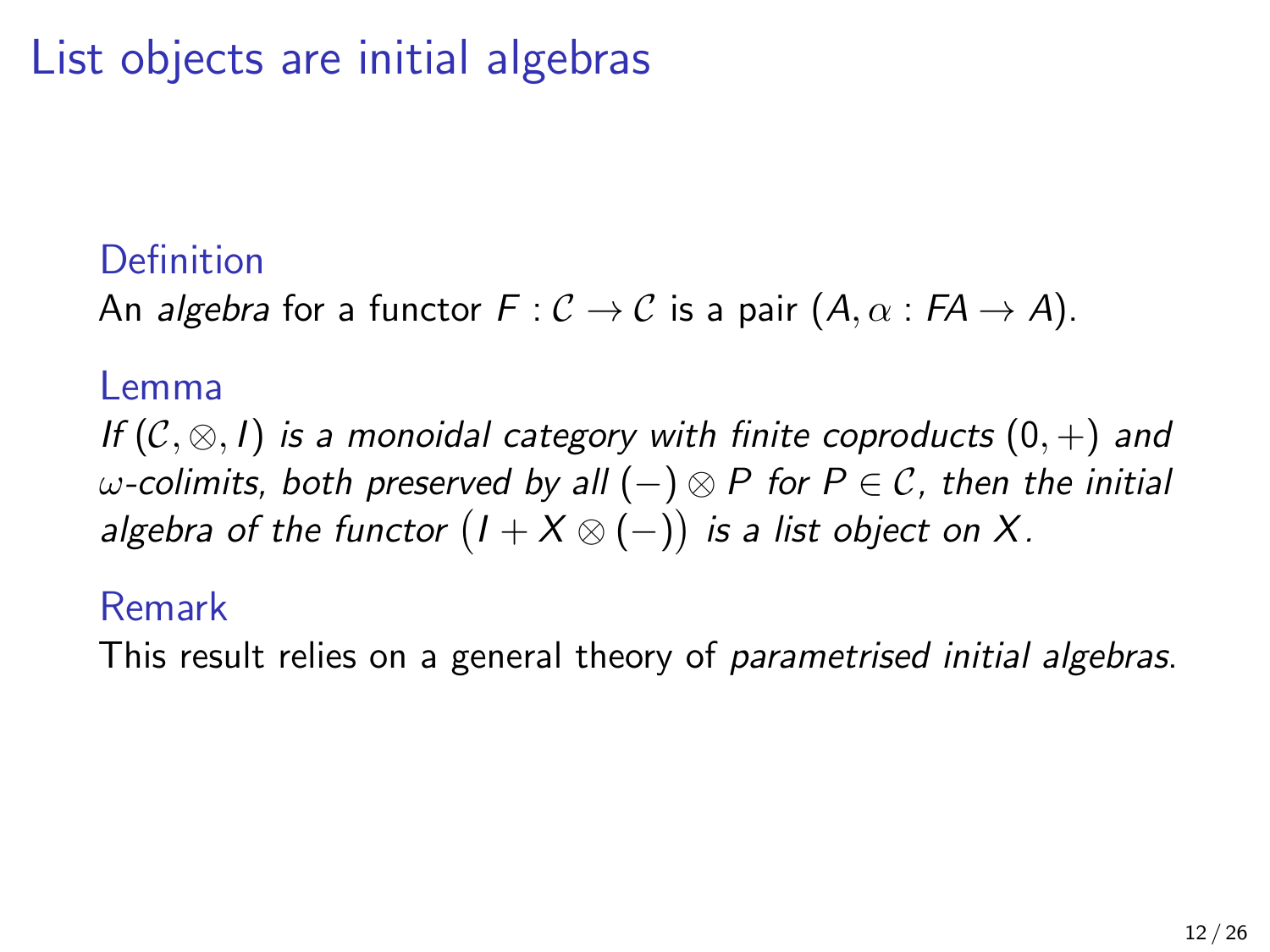### Definition

An algebra for a functor  $F: \mathcal{C} \to \mathcal{C}$  is a pair  $(A, \alpha : FA \to A)$ .

#### Lemma

If  $(C, \otimes, I)$  is a monoidal category with finite coproducts  $(0, +)$  and  $ω$ -colimits, both preserved by all  $(-)$  ⊗ P for  $P \in C$ , then the initial algebra of the functor  $(I + X \otimes (-))$  is a list object on  $X.$ 

#### Remark

This result relies on a general theory of parametrised initial algebras.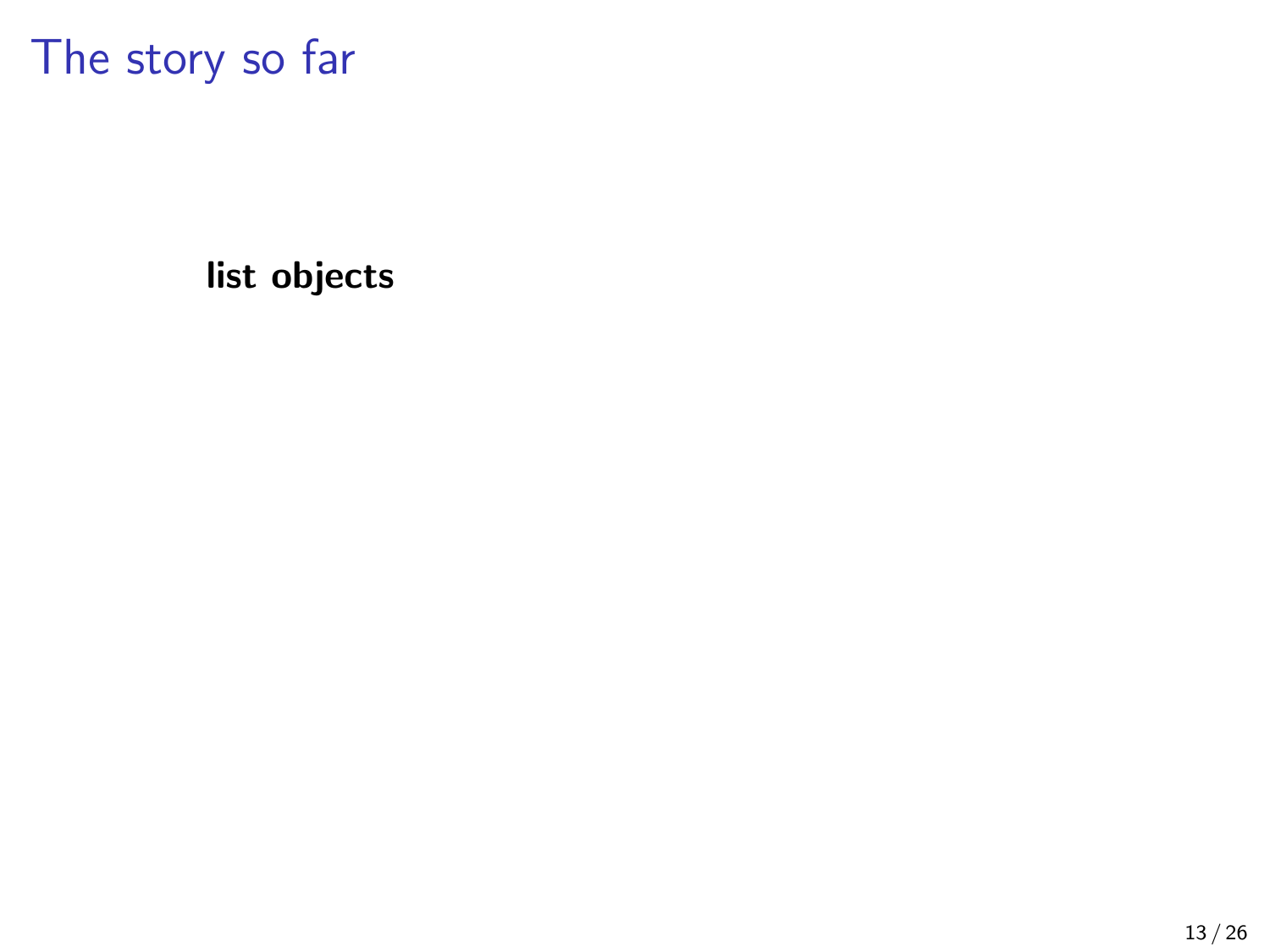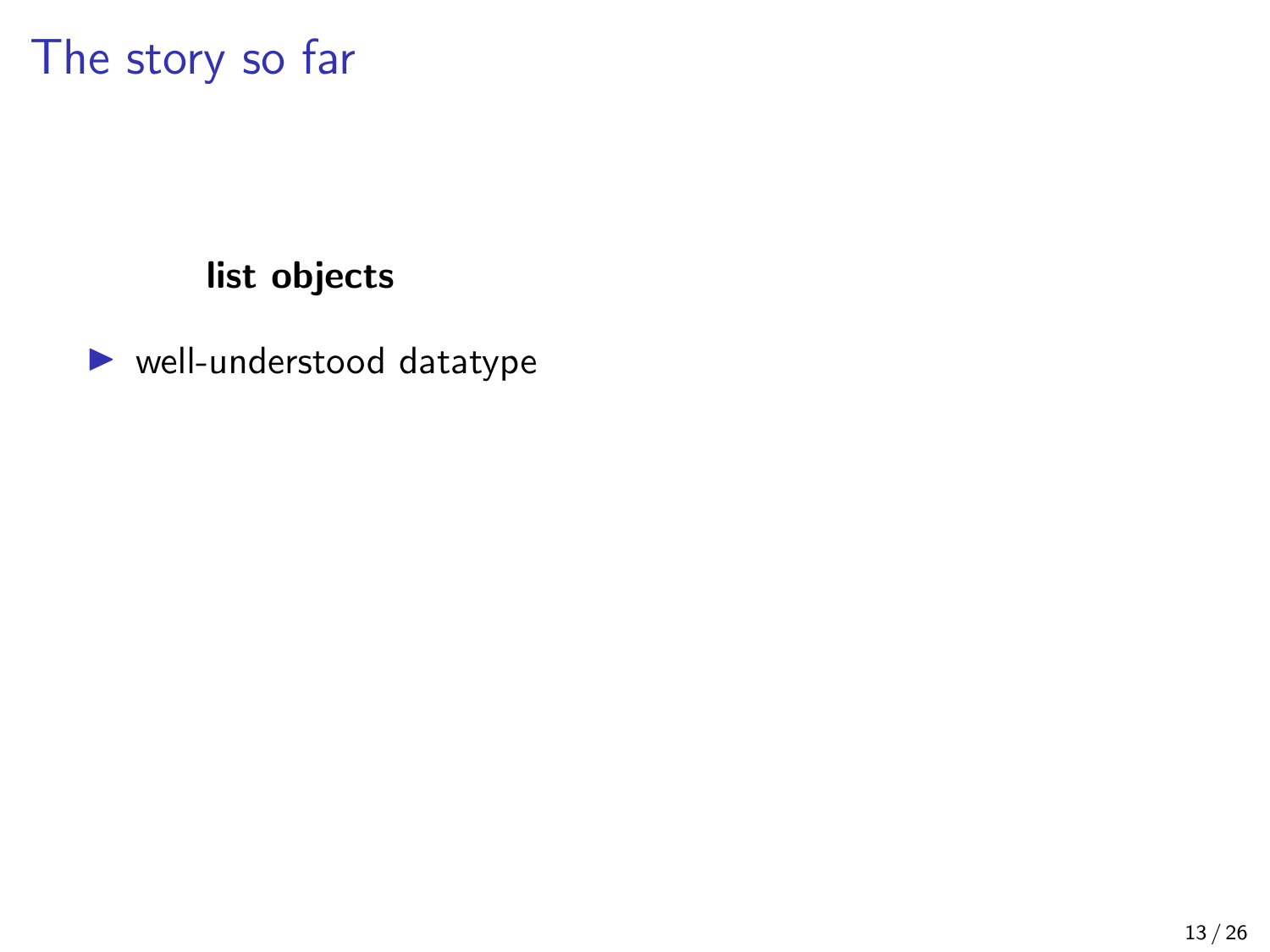### list objects

 $\blacktriangleright$  well-understood datatype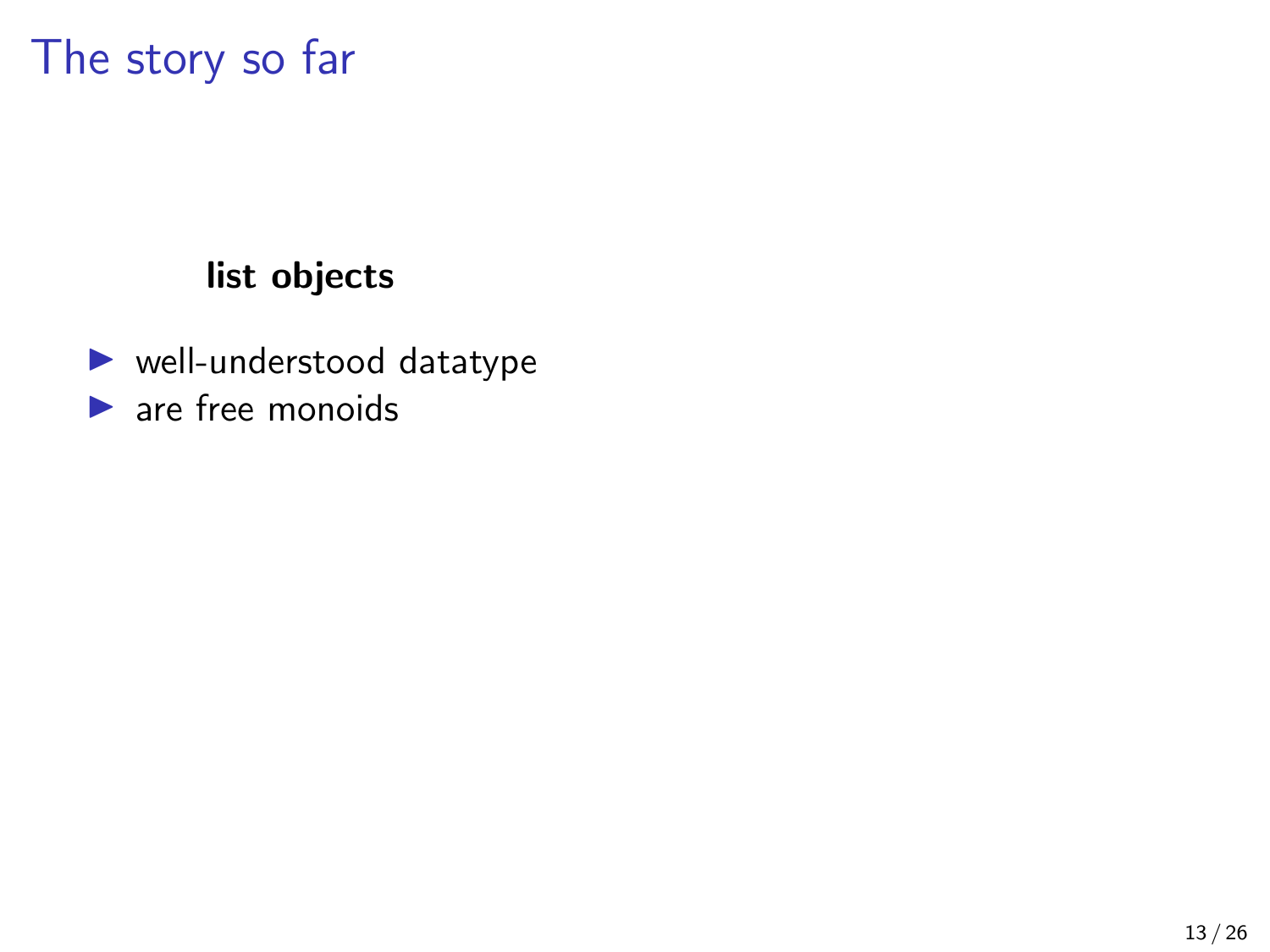### list objects

 $\blacktriangleright$  well-understood datatype  $\blacktriangleright$  are free monoids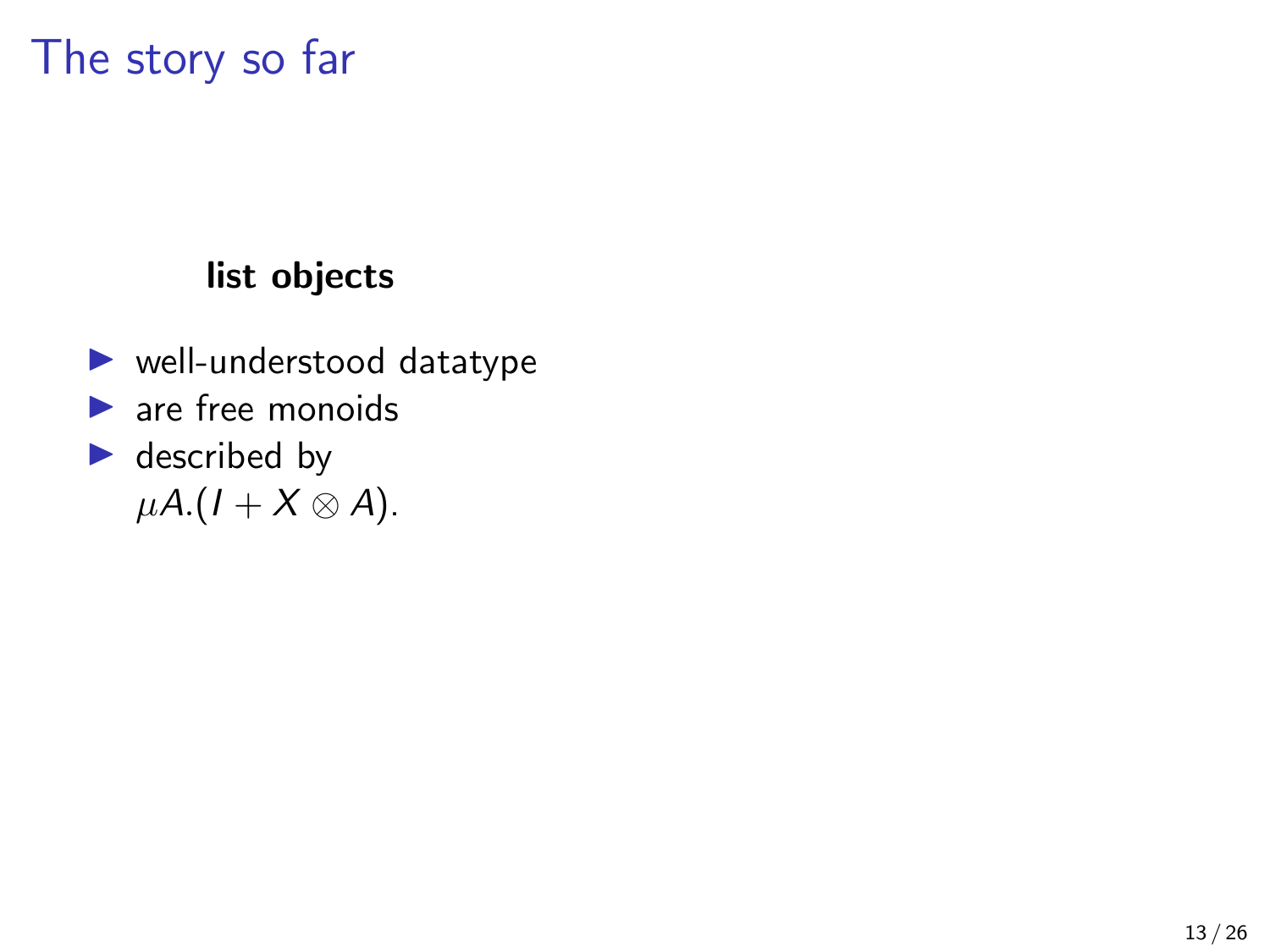### list objects

- $\blacktriangleright$  well-understood datatype
- $\blacktriangleright$  are free monoids
- $\blacktriangleright$  described by  $\mu A.(I + X \otimes A).$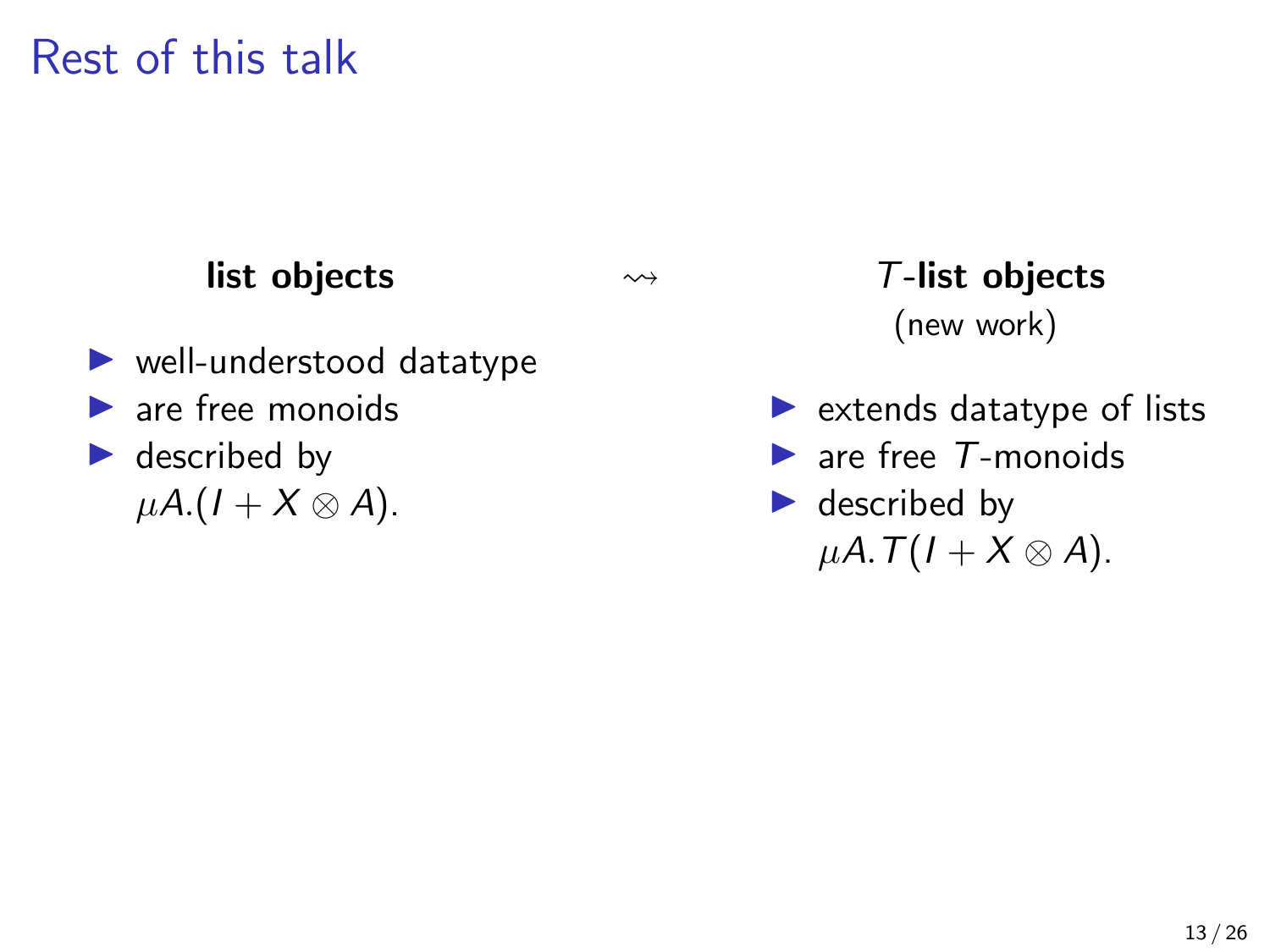Rest of this talk

### list objects

- $\blacktriangleright$  well-understood datatype
- $\blacktriangleright$  are free monoids
- $\blacktriangleright$  described by  $\mu A$ .(1 + X  $\otimes$  A).

 T-list objects (new work)

- $\blacktriangleright$  extends datatype of lists
- $\blacktriangleright$  are free  $T$ -monoids
- $\blacktriangleright$  described by  $\mu A. T(I+X\otimes A).$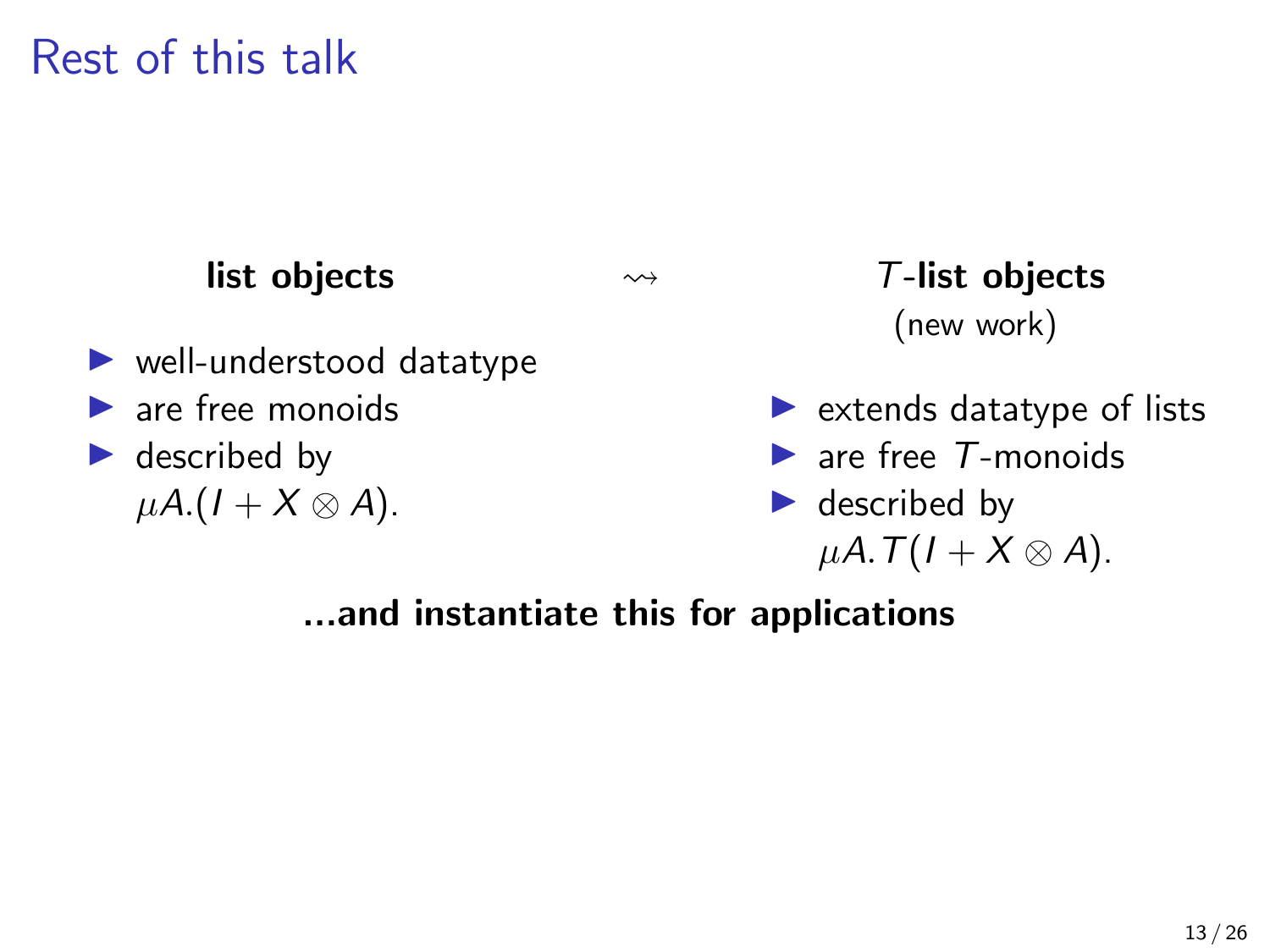Rest of this talk

#### list objects

- $\blacktriangleright$  well-understood datatype
- $\blacktriangleright$  are free monoids
- $\blacktriangleright$  described by  $\mu A$ .(1 + X  $\otimes$  A).

 T-list objects (new work)

- $\blacktriangleright$  extends datatype of lists
- $\blacktriangleright$  are free  $T$ -monoids
- $\blacktriangleright$  described by  $\mu A. T(I+X\otimes A).$

...and instantiate this for applications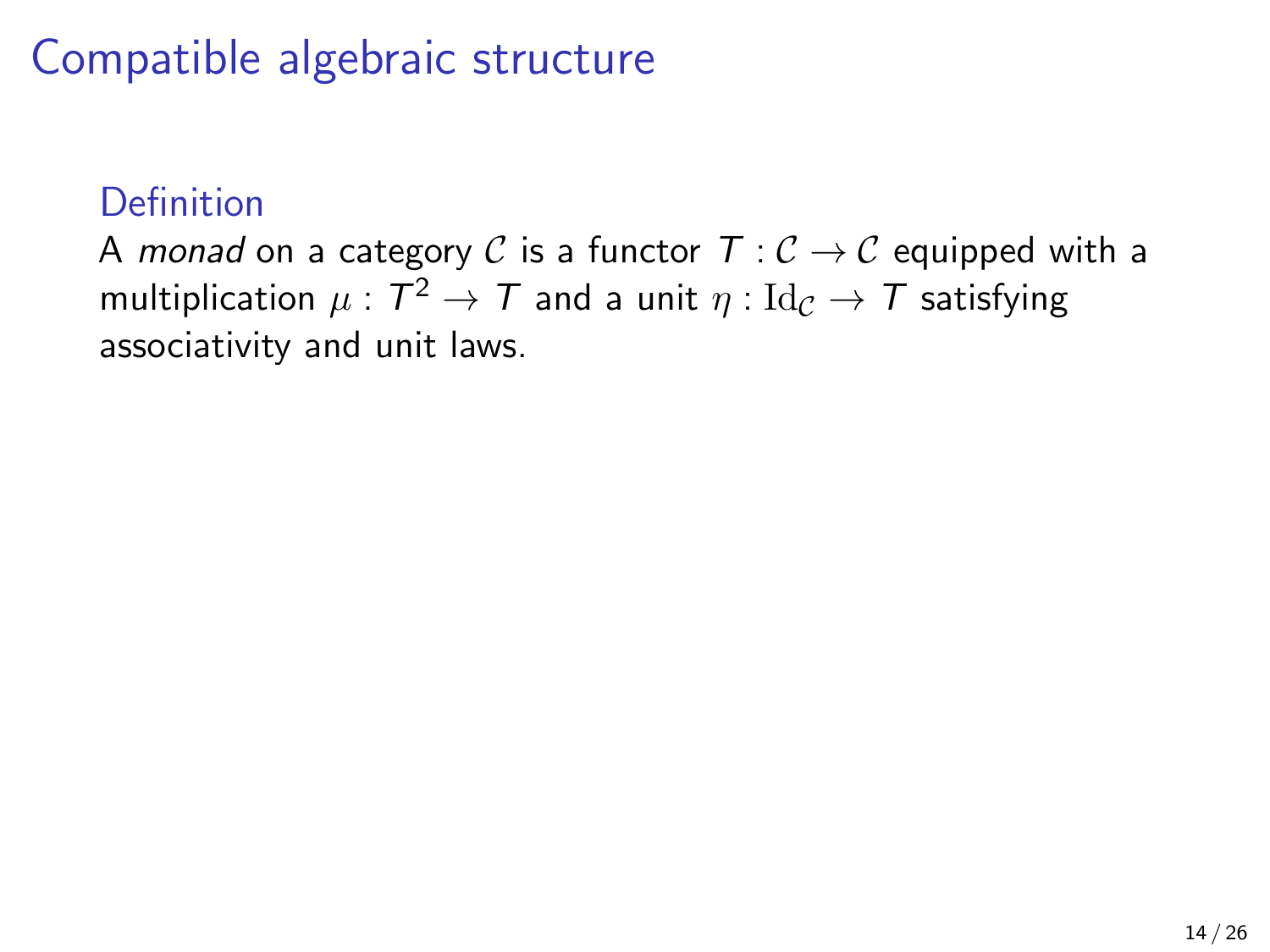### **Definition**

A monad on a category C is a functor  $T : \mathcal{C} \to \mathcal{C}$  equipped with a multiplication  $\mu:\mathcal{T}^2\rightarrow\mathcal{T}$  and a unit  $\eta:\mathrm{Id}_\mathcal{C}\rightarrow\mathcal{T}$  satisfying associativity and unit laws.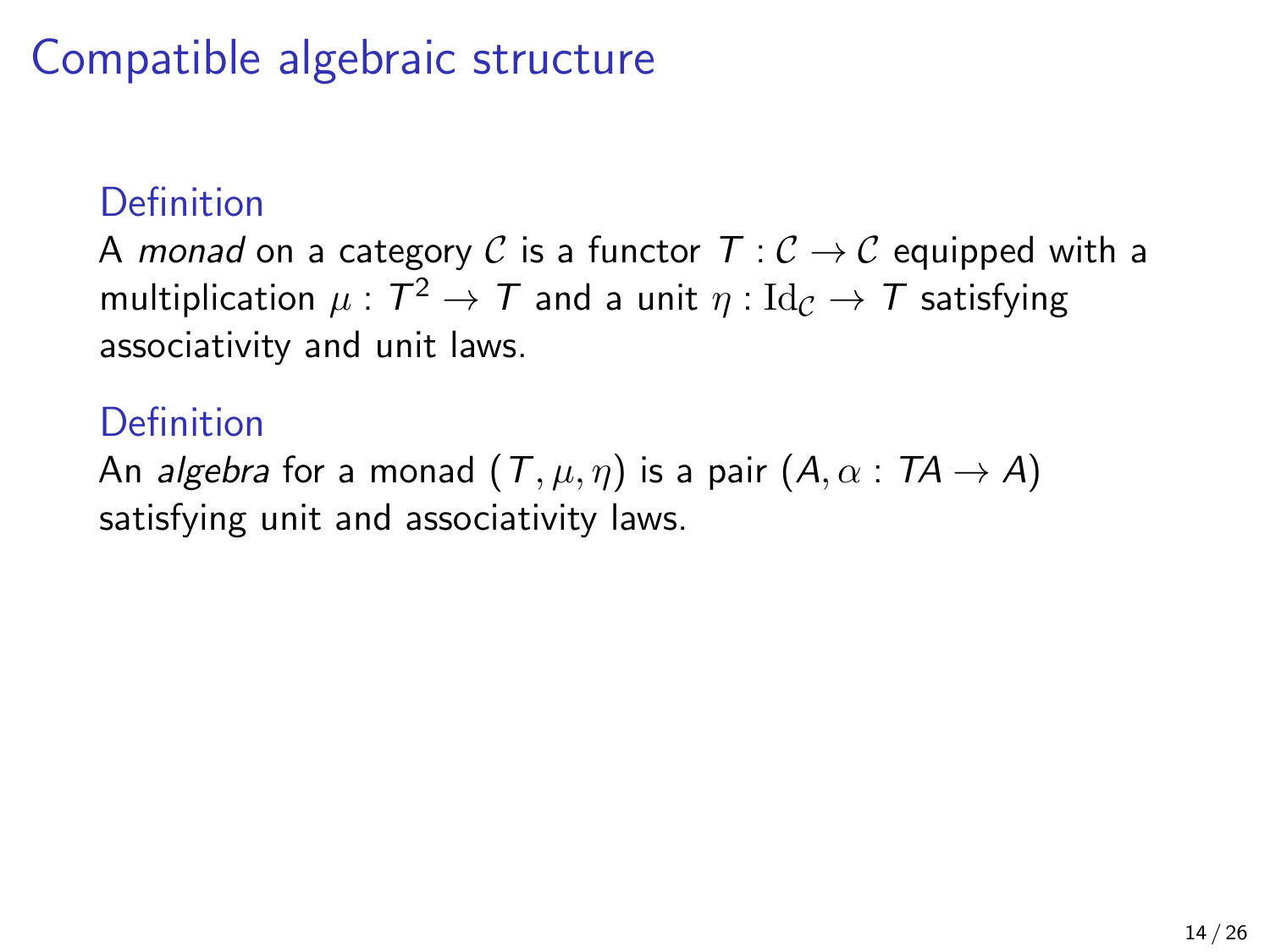### **Definition**

A monad on a category C is a functor  $T : \mathcal{C} \to \mathcal{C}$  equipped with a multiplication  $\mu:\mathcal{T}^2\rightarrow\mathcal{T}$  and a unit  $\eta:\mathrm{Id}_\mathcal{C}\rightarrow\mathcal{T}$  satisfying associativity and unit laws.

### **Definition**

An algebra for a monad  $(T, \mu, \eta)$  is a pair  $(A, \alpha : TA \rightarrow A)$ satisfying unit and associativity laws.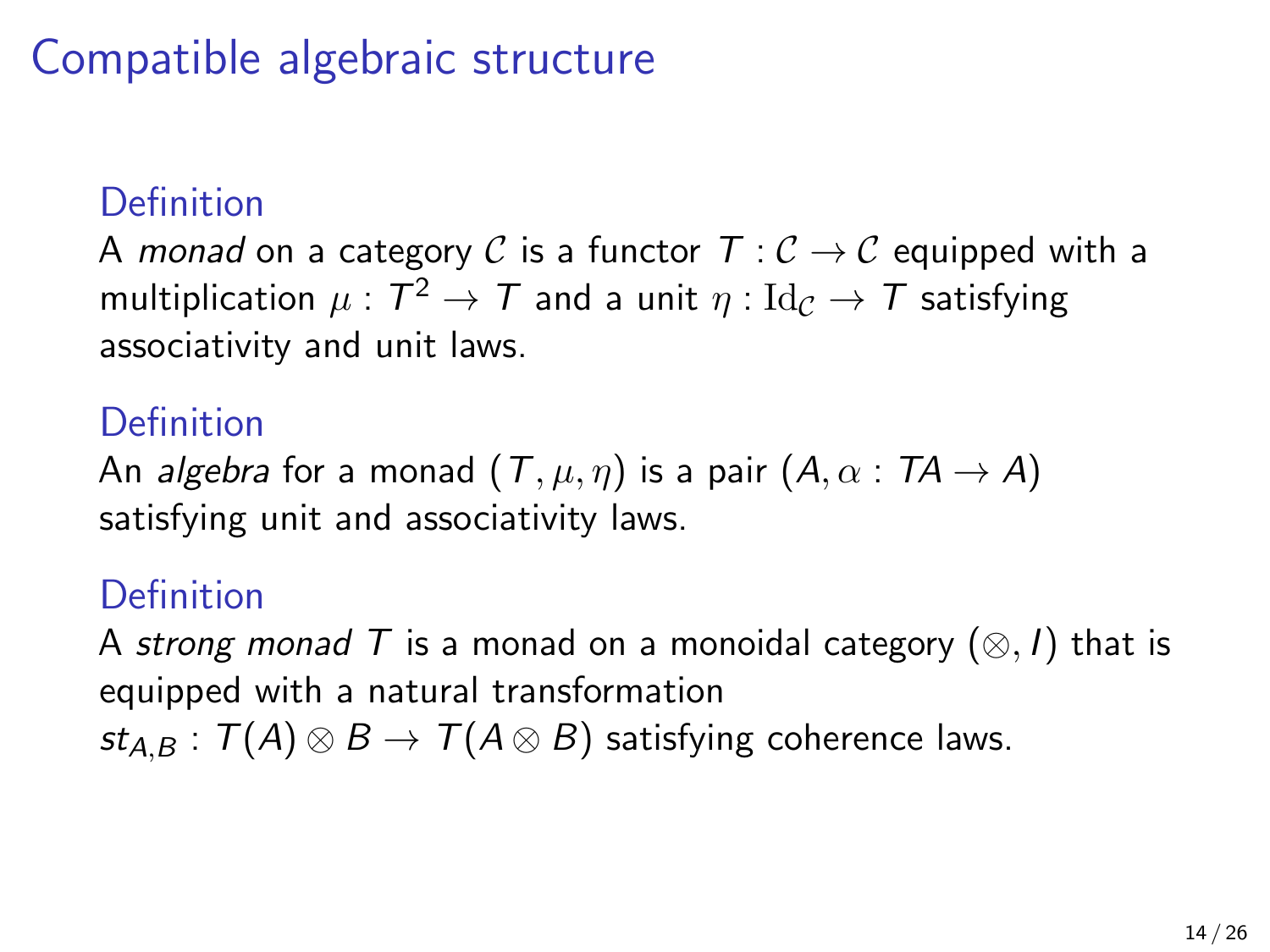### **Definition**

A monad on a category C is a functor  $T : \mathcal{C} \to \mathcal{C}$  equipped with a multiplication  $\mu:\mathcal{T}^2\rightarrow\mathcal{T}$  and a unit  $\eta:\mathrm{Id}_\mathcal{C}\rightarrow\mathcal{T}$  satisfying associativity and unit laws.

### **Definition**

An algebra for a monad  $(T, \mu, \eta)$  is a pair  $(A, \alpha : TA \rightarrow A)$ satisfying unit and associativity laws.

### Definition

A strong monad T is a monad on a monoidal category  $(\otimes, I)$  that is equipped with a natural transformation  $st_{AB}$ :  $T(A) \otimes B \rightarrow T(A \otimes B)$  satisfying coherence laws.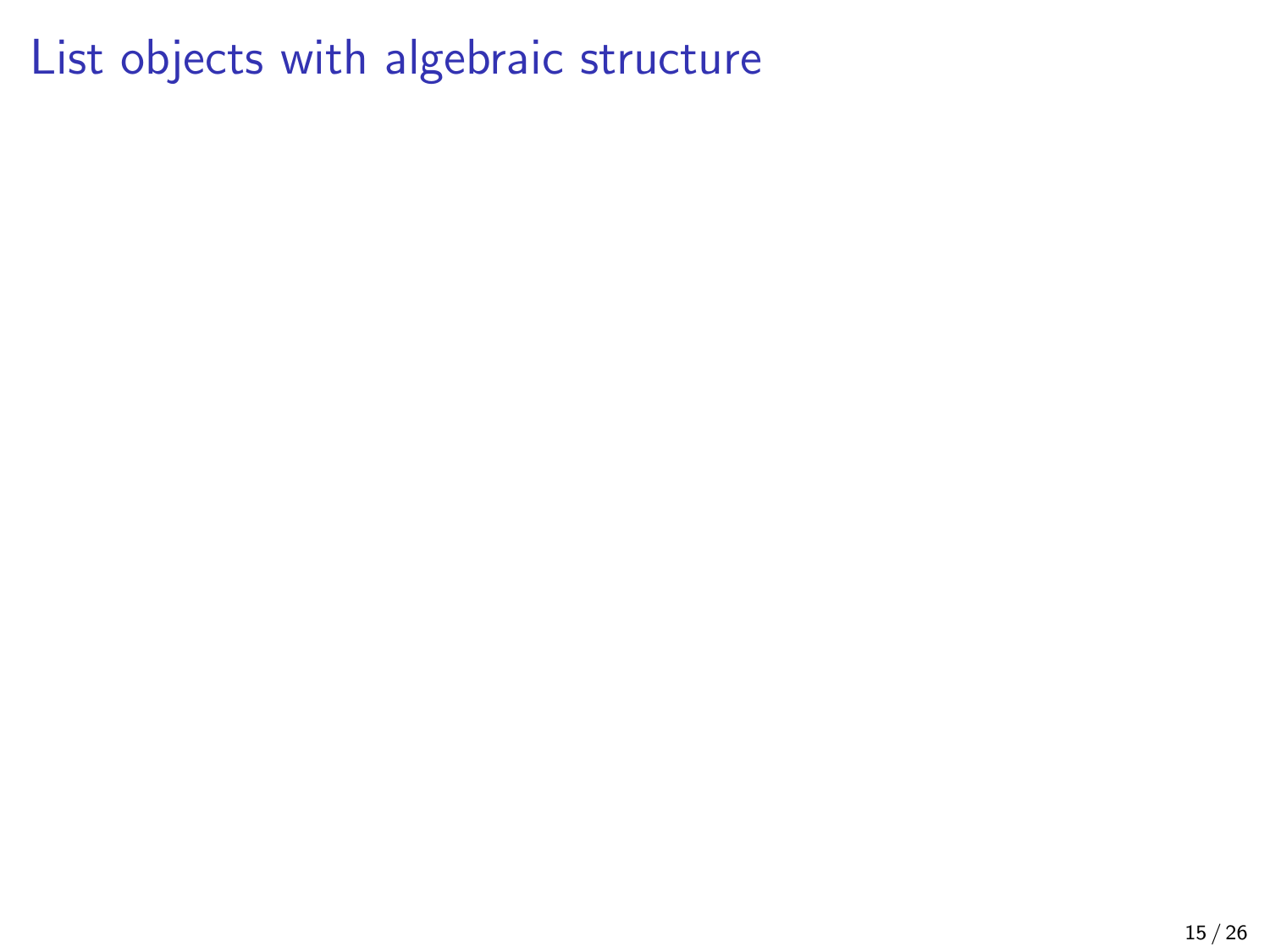# List objects with algebraic structure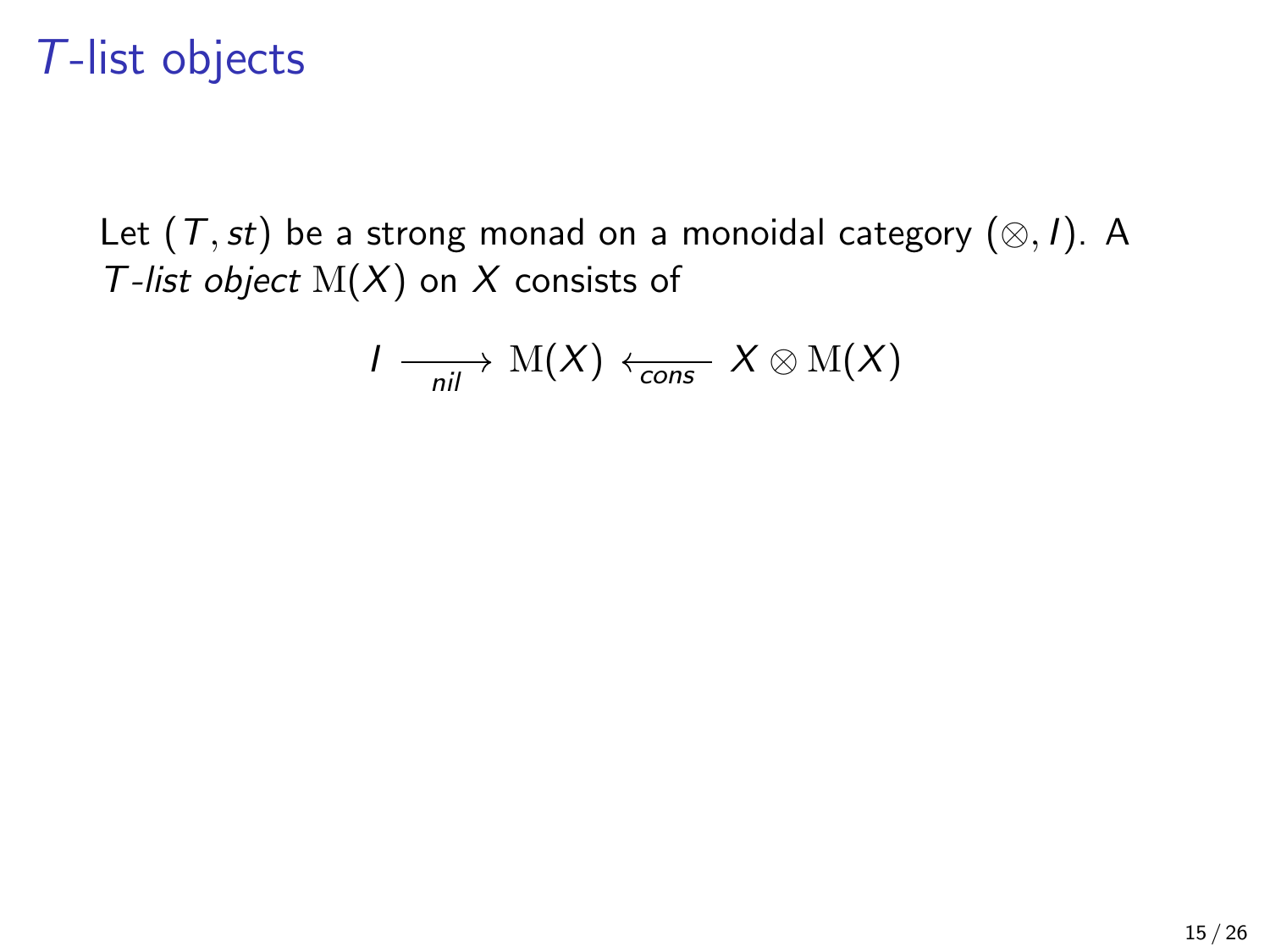Let  $(T, st)$  be a strong monad on a monoidal category  $(\otimes, I)$ . A T-list object  $M(X)$  on X consists of

$$
I \longrightarrow_{nil} M(X) \leftarrow_{\mathsf{cons}} X \otimes M(X)
$$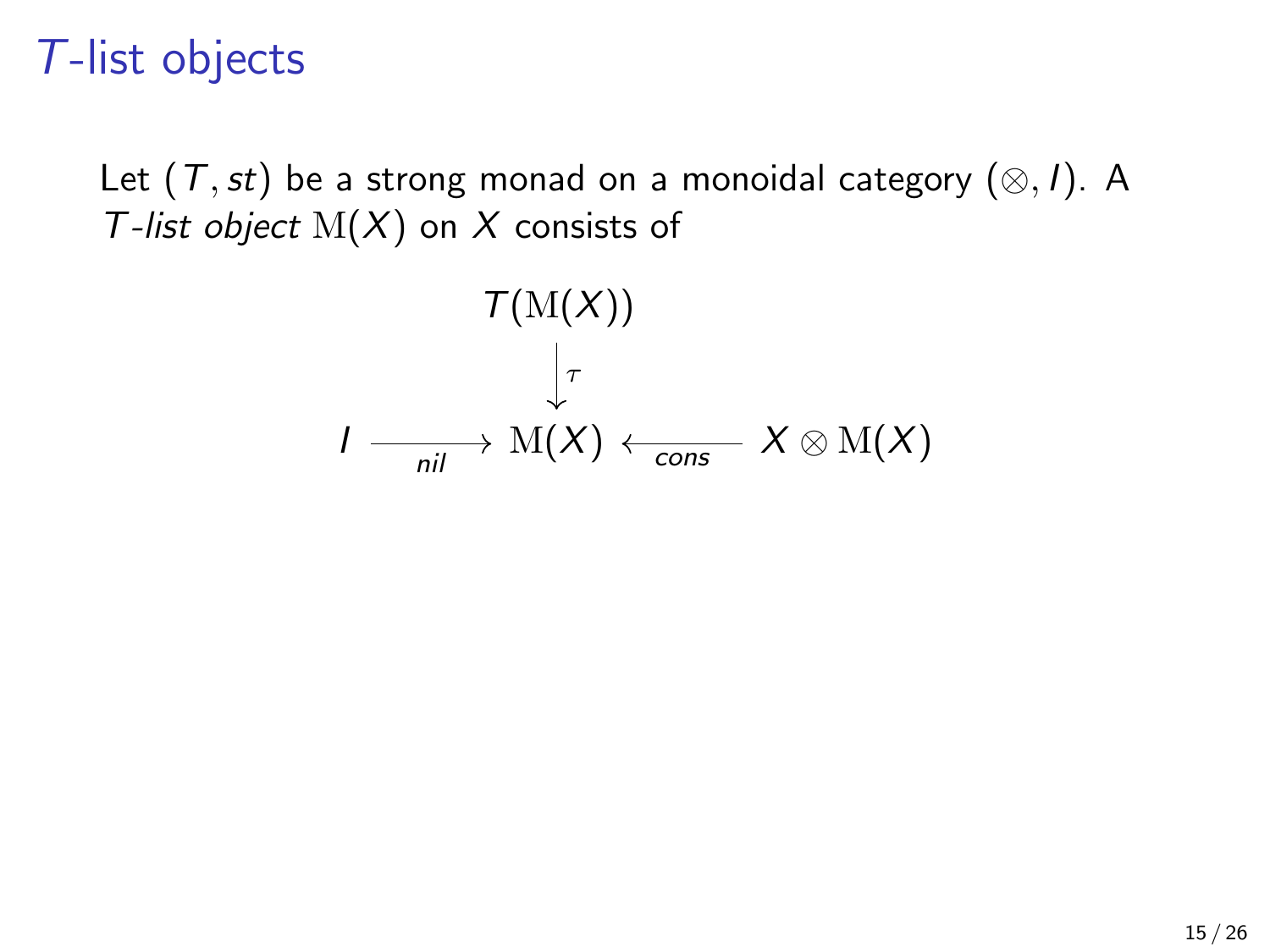Let  $(T,st)$  be a strong monad on a monoidal category  $(\otimes,I)$ . A T-list object  $M(X)$  on X consists of

$$
\mathcal{T}(\mathrm{M}(X))
$$

$$
\downarrow_{\tau}
$$

$$
I \longrightarrow \mathrm{M}(X) \leftarrow \text{cons} \quad X \otimes \mathrm{M}(X)
$$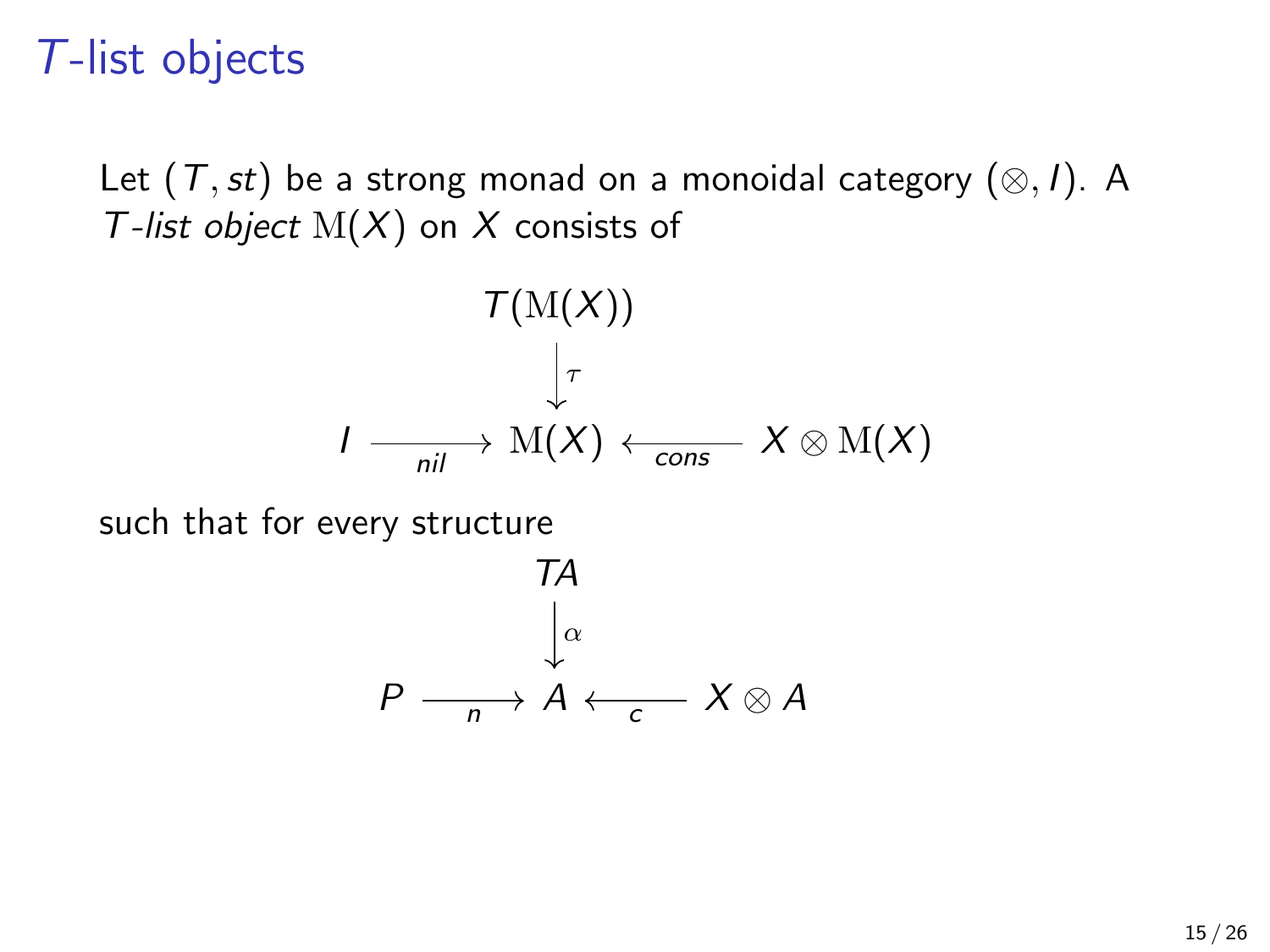Let  $(T,st)$  be a strong monad on a monoidal category  $(\otimes,I)$ . A T-list object  $M(X)$  on X consists of

$$
\mathcal{T}(\mathrm{M}(X))
$$
  

$$
\downarrow_{\tau}
$$
  

$$
I \longrightarrow \mathrm{M}(X) \leftarrow_{\mathsf{cons}} X \otimes \mathrm{M}(X)
$$

such that for every structure

$$
\begin{array}{c}\n 7A \\
\downarrow \alpha \\
P \xrightarrow[n \to \alpha]{} A \leftarrow_C X \otimes A\n \end{array}
$$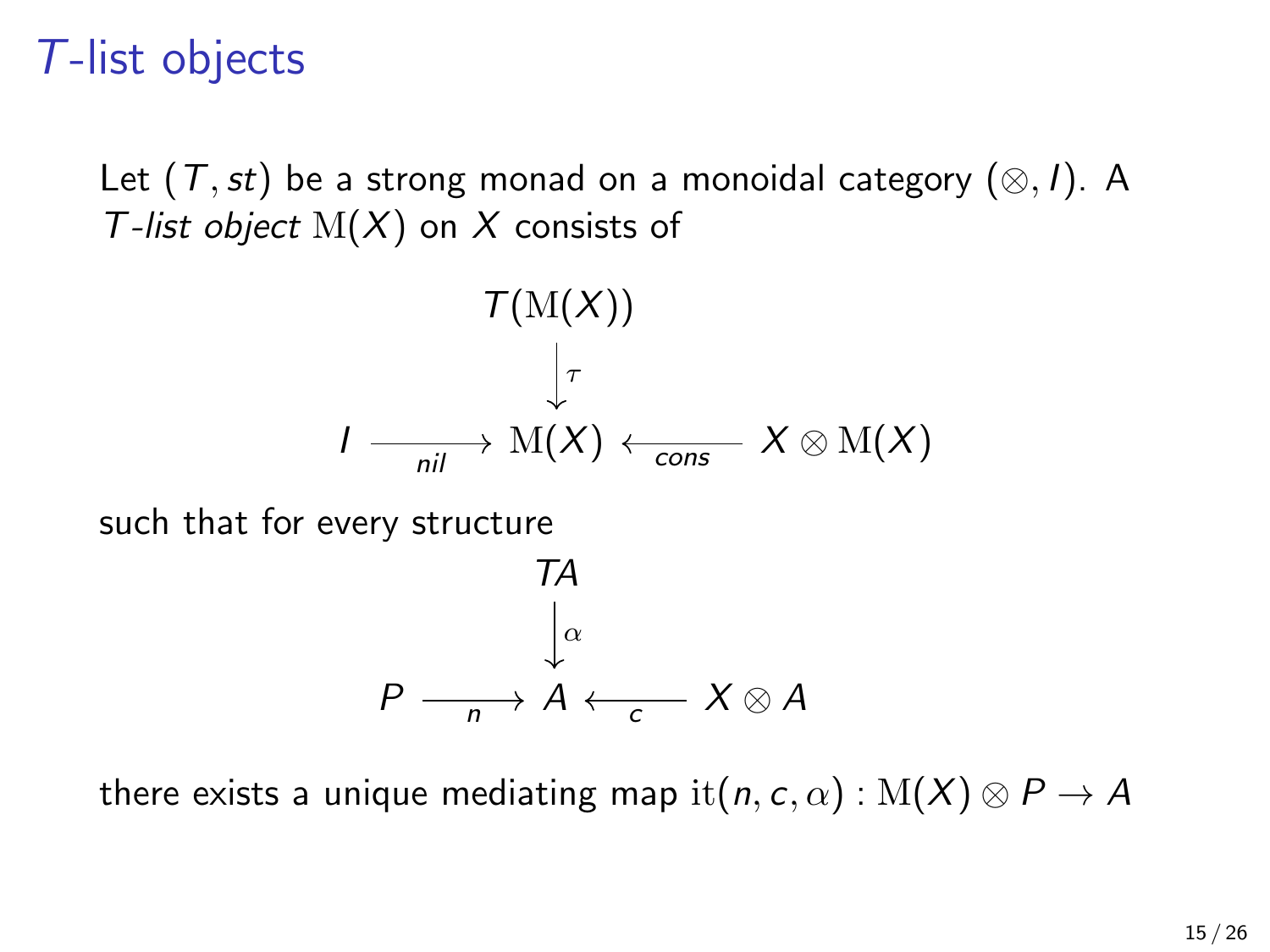Let  $(T,st)$  be a strong monad on a monoidal category  $(\otimes,I)$ . A T-list object  $M(X)$  on X consists of

$$
\mathcal{T}(\mathrm{M}(X))
$$
  

$$
\downarrow_{\tau}
$$
  

$$
I \longrightarrow \mathrm{M}(X) \leftarrow_{\text{cons}} X \otimes \mathrm{M}(X)
$$

such that for every structure

$$
\begin{array}{c}\n 7A \\
\downarrow \alpha \\
P \xrightarrow[n]{n} A \leftarrow_{c} X \otimes A\n \end{array}
$$

there exists a unique mediating map it $(n, c, \alpha) : M(X) \otimes P \rightarrow A$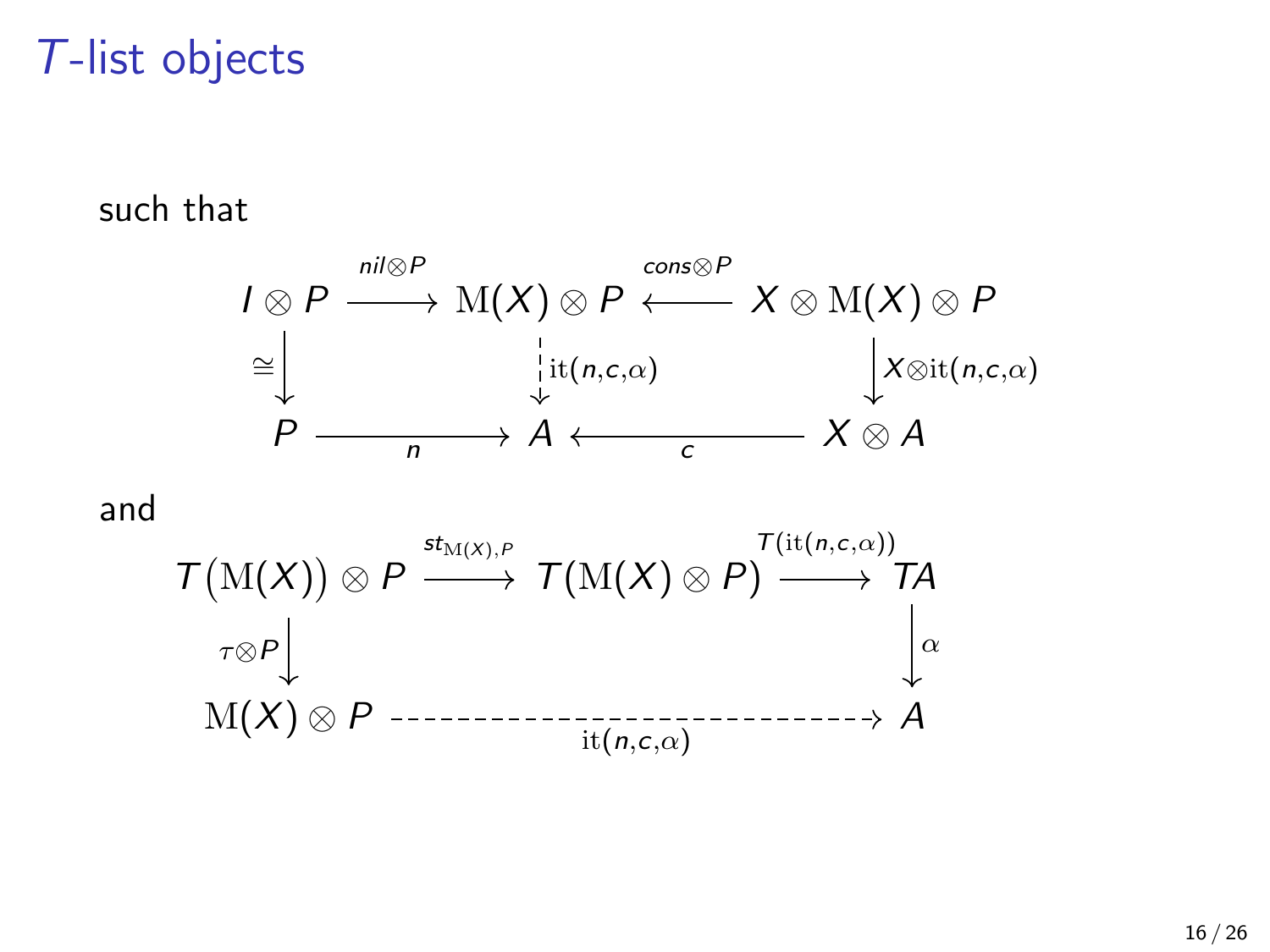such that

$$
I \otimes P \xrightarrow{\text{nil}\otimes P} \text{M}(X) \otimes P \xleftarrow{\text{cons}\otimes P} X \otimes \text{M}(X) \otimes P
$$
  
\n
$$
\cong \downarrow \qquad \qquad \downarrow \text{it}(n,c,\alpha)
$$
  
\n
$$
P \xrightarrow{\qquad \qquad \downarrow \text{it}(n,c,\alpha)}
$$
  
\n
$$
A \longleftarrow c \qquad X \otimes A
$$

and

$$
\mathcal{T}(\mathrm{M}(X)) \otimes P \xrightarrow{\sigma_{\mathrm{M}(X), P}} \mathcal{T}(\mathrm{M}(X) \otimes P) \xrightarrow{\mathcal{T}(\mathrm{it}(n, c, \alpha))} \mathcal{T}(\mathrm{M}(X)) \otimes P \xrightarrow{\mathcal{T}(\mathrm{it}(n, c, \alpha))} \mathcal{T}(\mathrm{M}(X)) \otimes P \xrightarrow{\mathcal{T}(\mathrm{at}(n, c, \alpha))} A
$$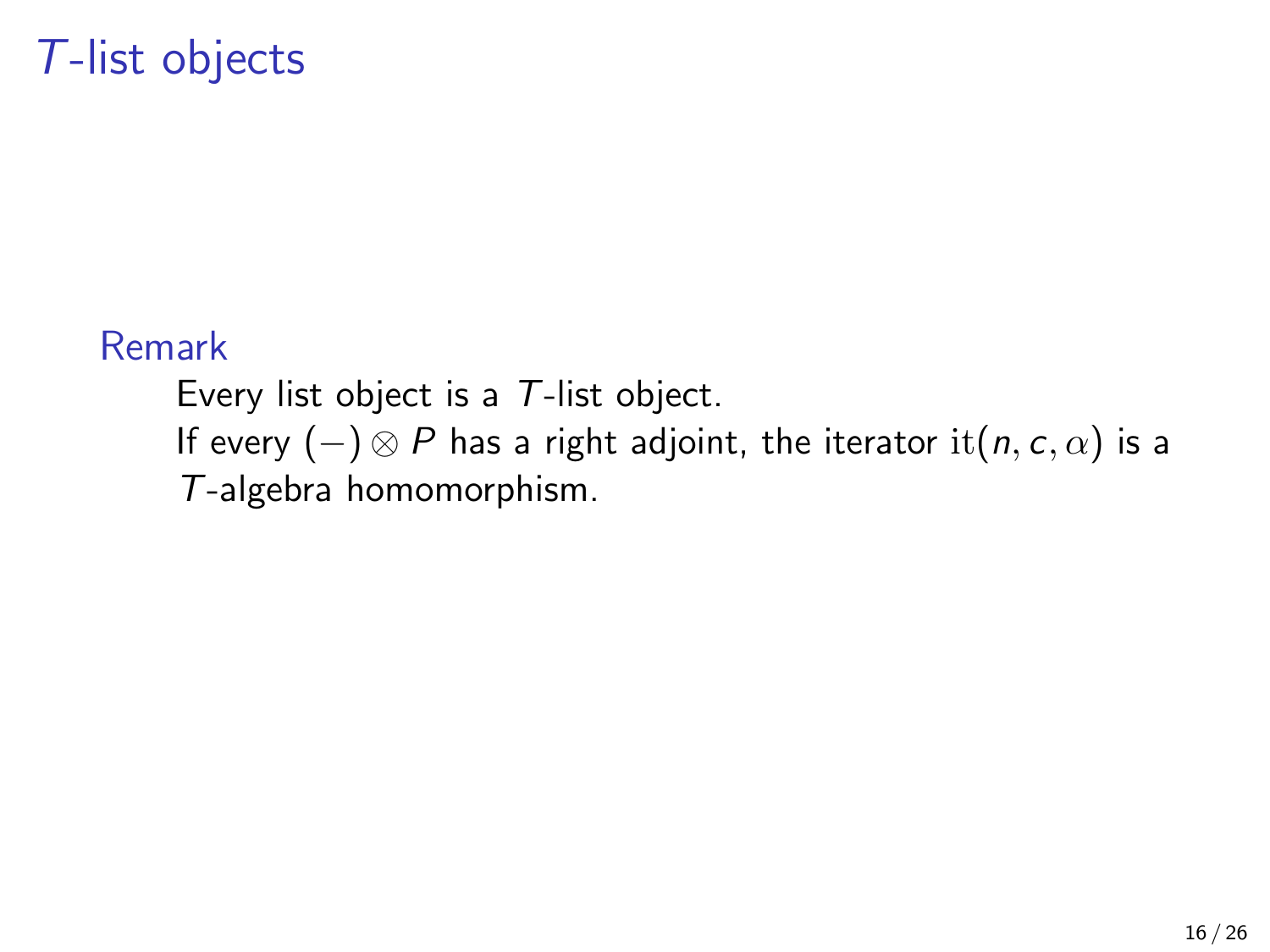#### Remark

Every list object is a T-list object. If every  $(-) \otimes P$  has a right adjoint, the iterator it $(n, c, \alpha)$  is a T-algebra homomorphism.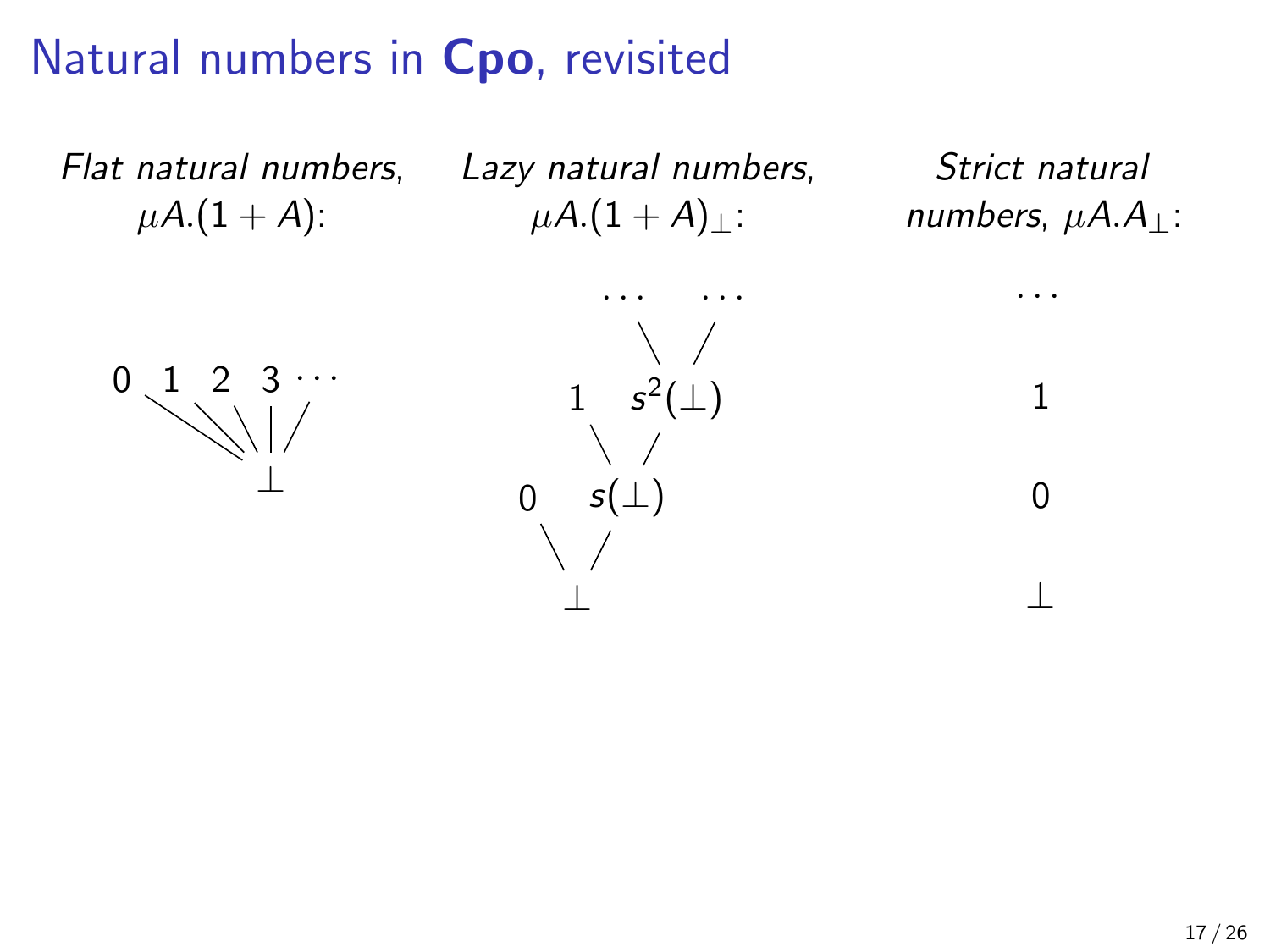# Natural numbers in Cpo, revisited

Flat natural numbers,  $\mu A.(1 + A)$ :

Lazy natural numbers,  $\mu A.(1 + A)_{\perp}$ :

Strict natural numbers,  $\mu A.A_{\perp}$ :

· · ·

1

0

⊥



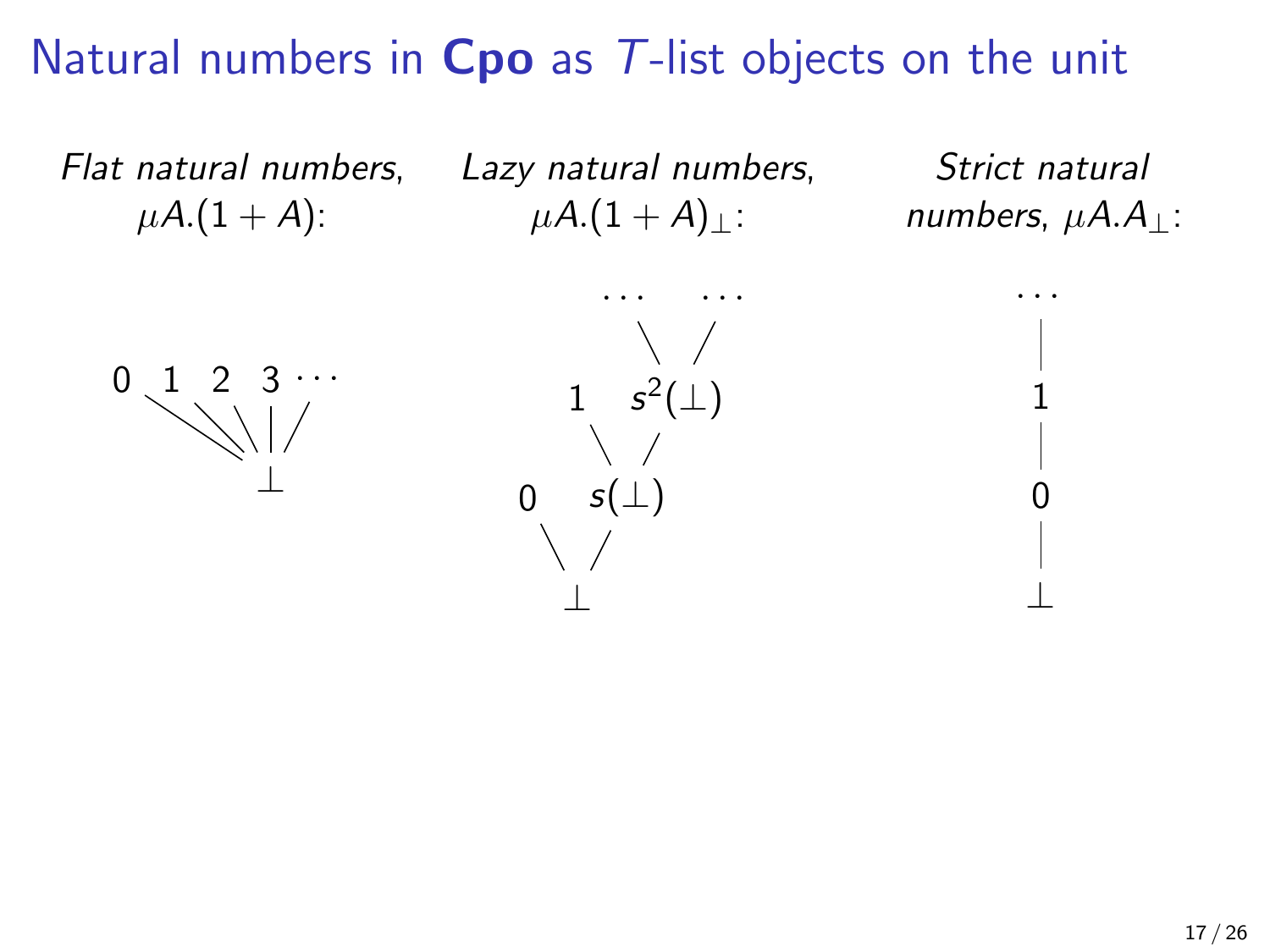Flat natural numbers,  $\mu A.(1 + A)$ :

Lazy natural numbers,  $\mu A.(1 + A)_{\perp}$ :

Strict natural numbers,  $\mu A.A_{\perp}$ :

· · ·

1

0

⊥



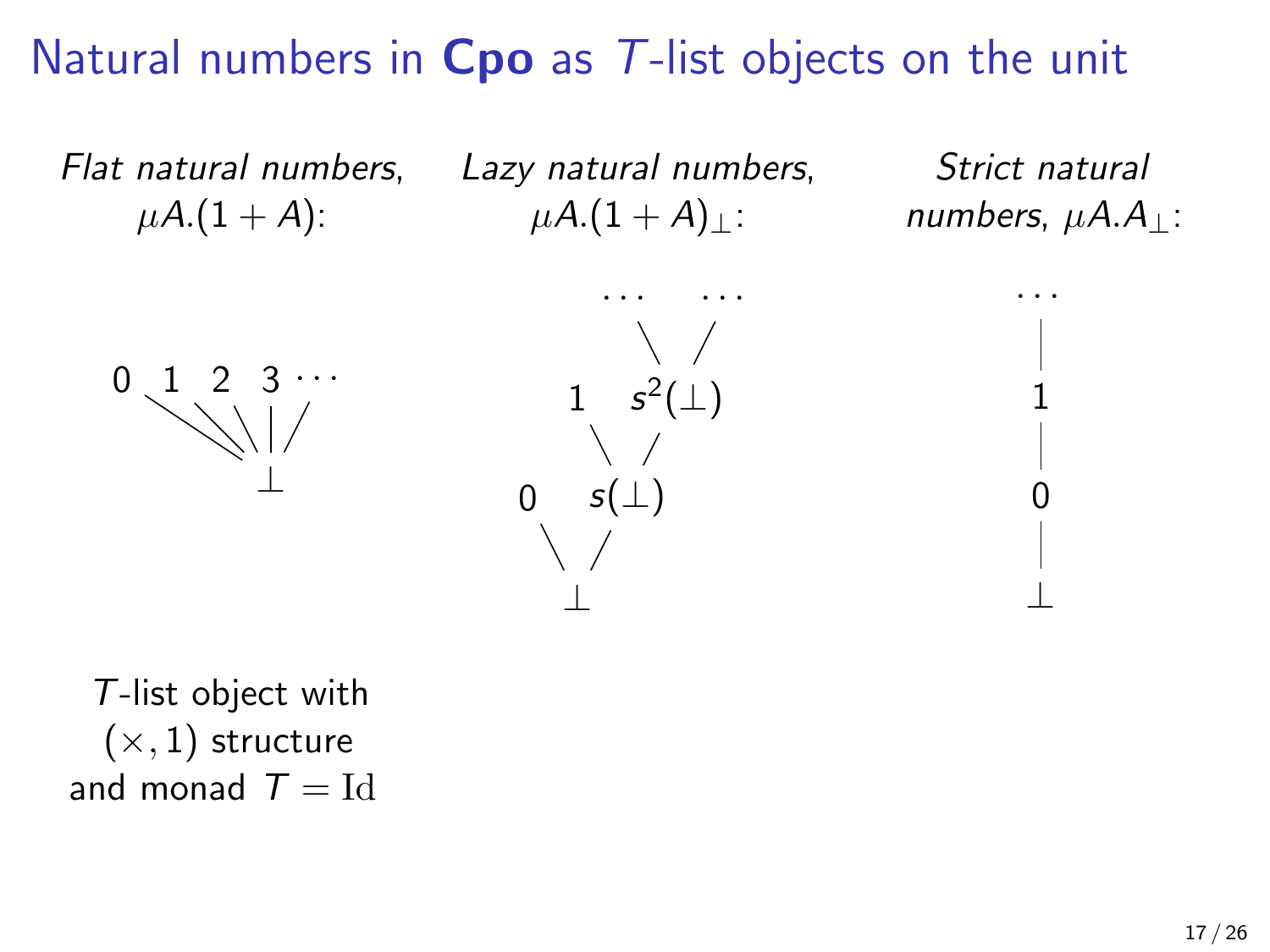Flat natural numbers,  $\mu A.(1 + A)$ :

Lazy natural numbers,  $\mu A.(1 + A)_{\perp}$ :

Strict natural numbers,  $\mu A.A_{\perp}$ :

· · ·

1

0

⊥





T-list object with  $(x, 1)$  structure and monad  $T = Id$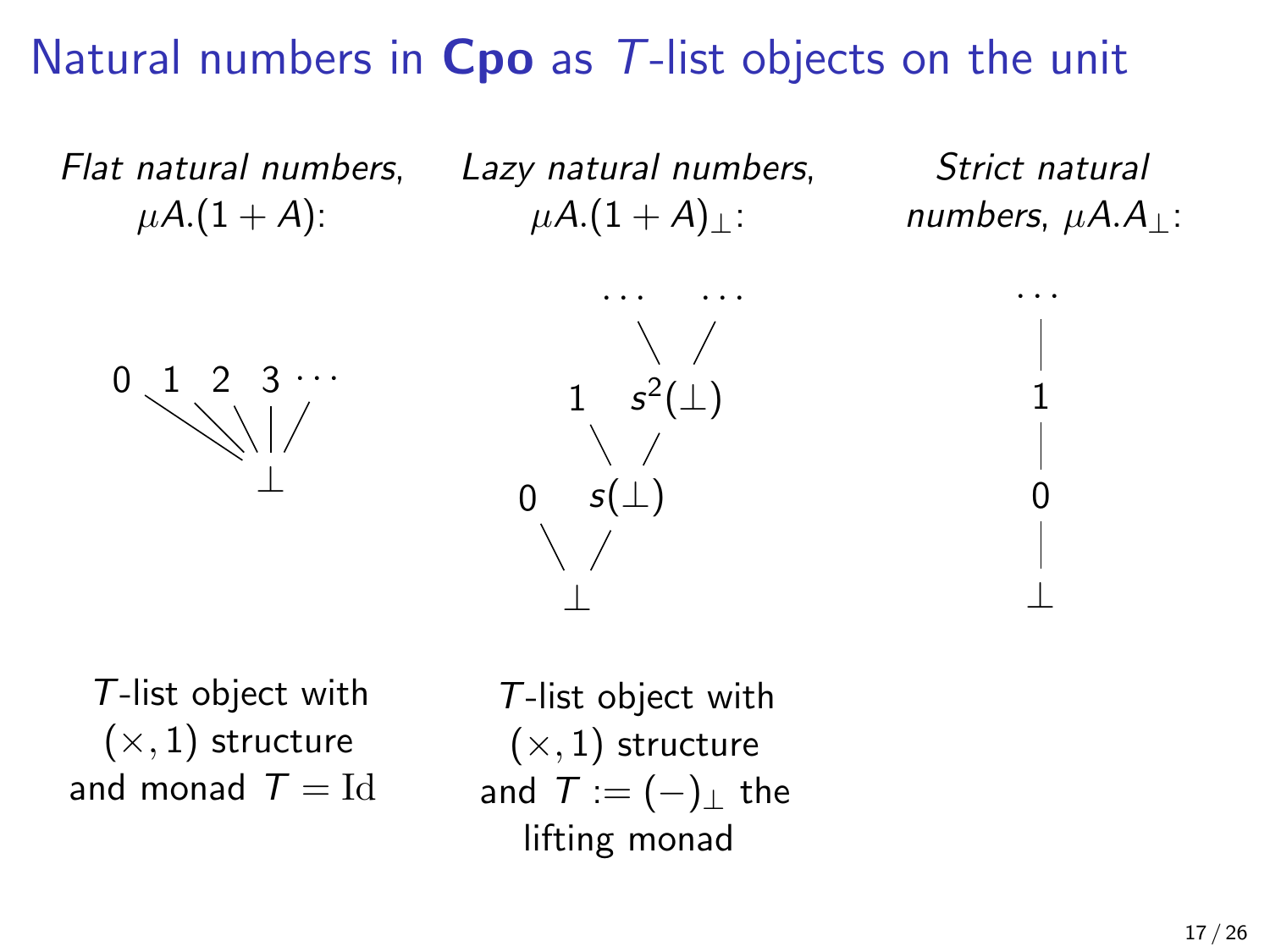Flat natural numbers,  $\mu A.(1 + A)$ :

Lazy natural numbers,  $\mu A.(1 + A)$ :

Strict natural numbers,  $\mu A.A_{\perp}$ :

· · ·

1

0

⊥





T-list object with  $(x, 1)$  structure and monad  $T = Id$ 

T-list object with  $(x, 1)$  structure and  $T := (-)_+$  the lifting monad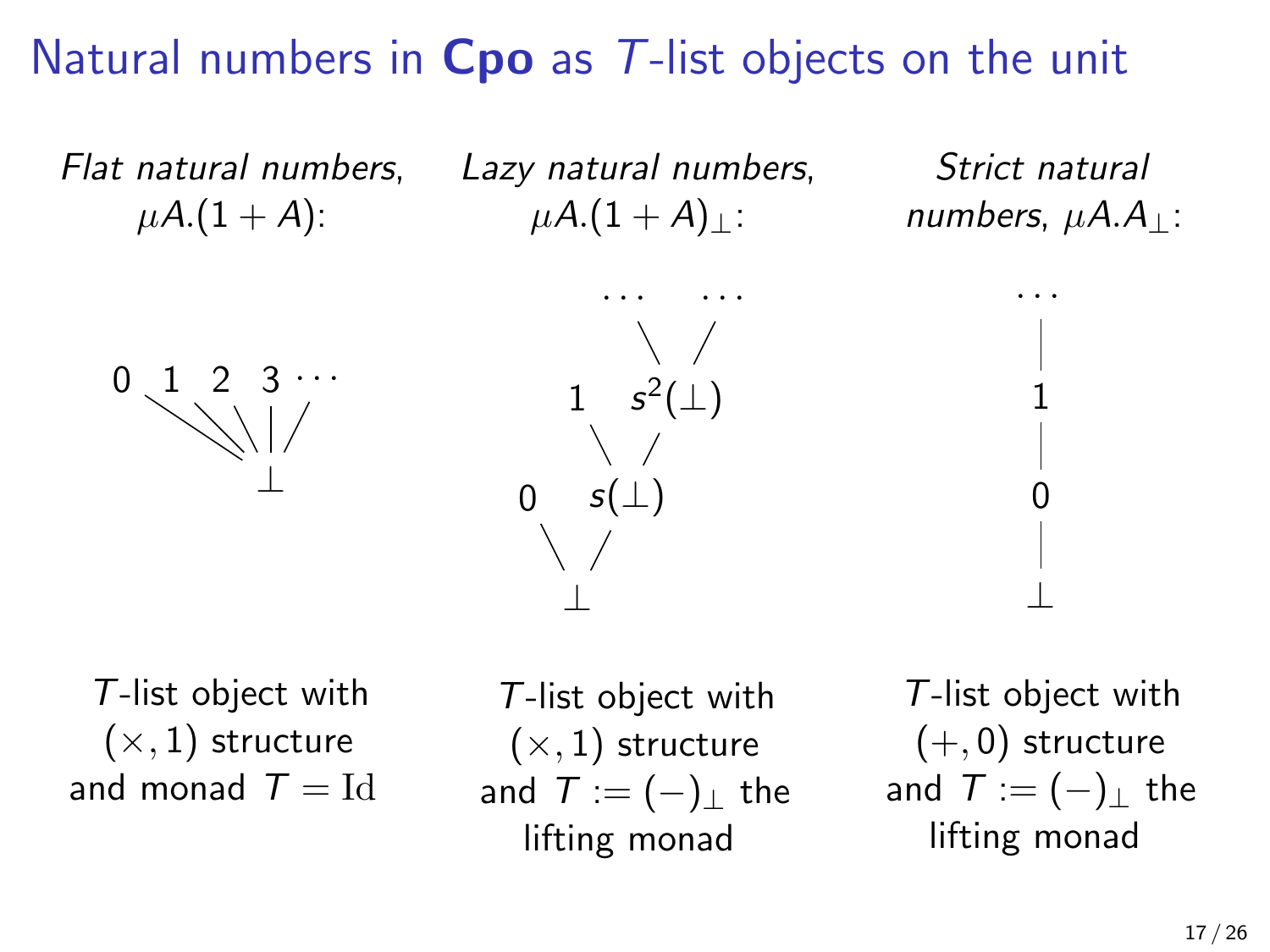Flat natural numbers,  $\mu A.(1 + A)$ :

Lazy natural numbers,  $\mu A.(1 + A)$ :

Strict natural numbers,  $\mu A.A_{\perp}$ :

· · ·

1

0

⊥





T-list object with  $(x, 1)$  structure and monad  $T = Id$ 

T-list object with  $(x, 1)$  structure and  $T := (-)_+$  the lifting monad

T-list object with  $(+, 0)$  structure and  $T := (-)_+$  the lifting monad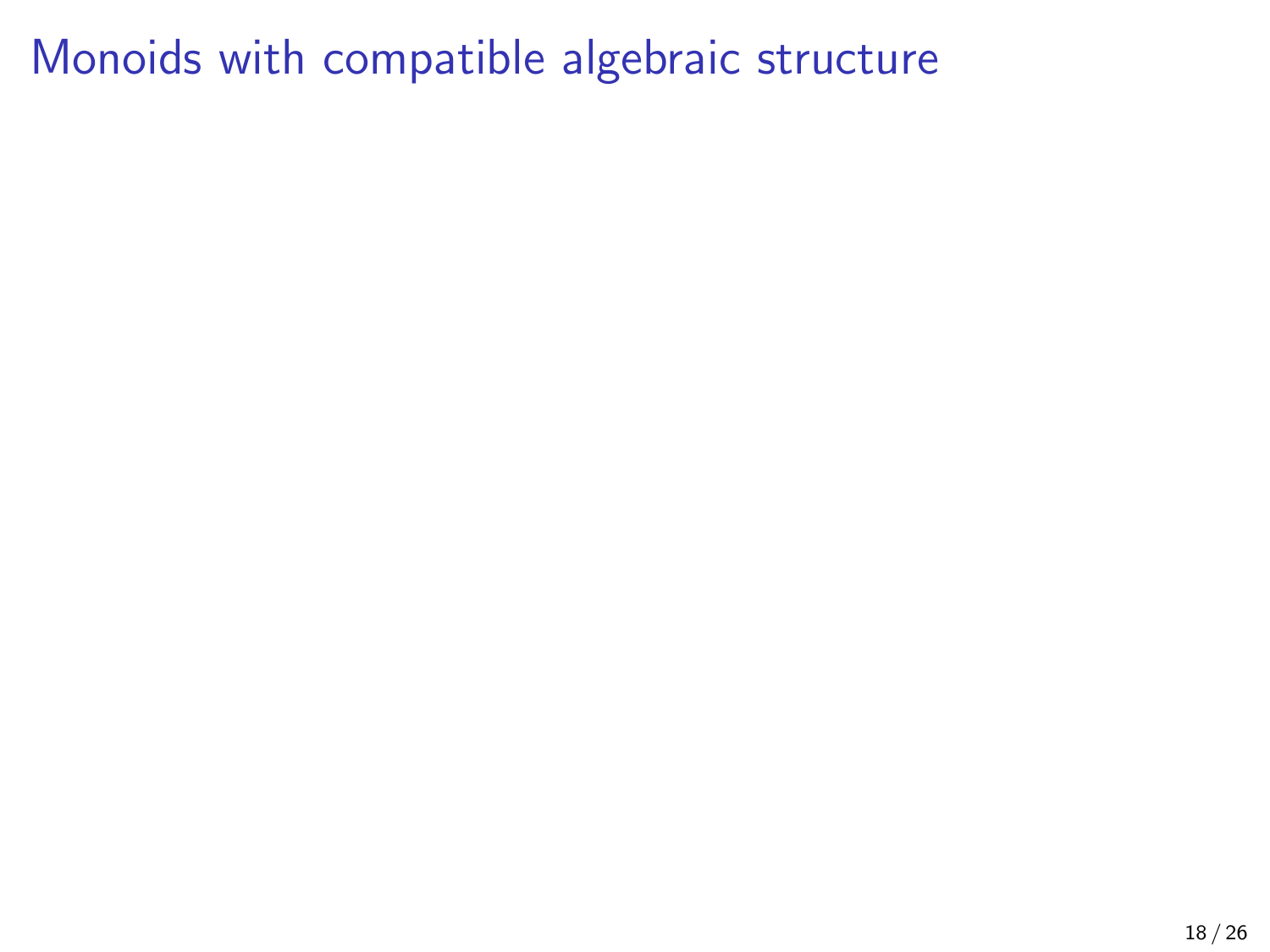### Monoids with compatible algebraic structure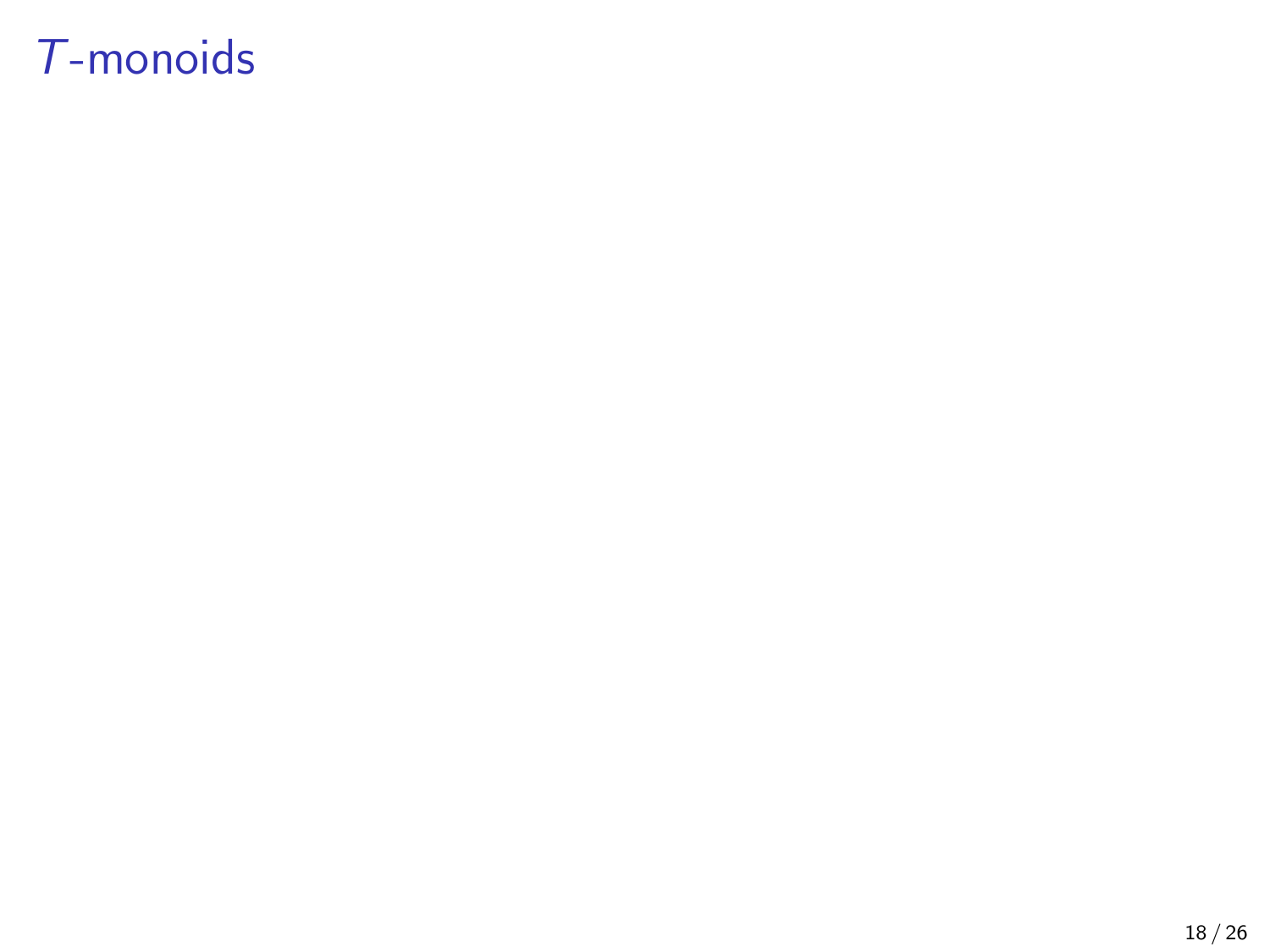# T-monoids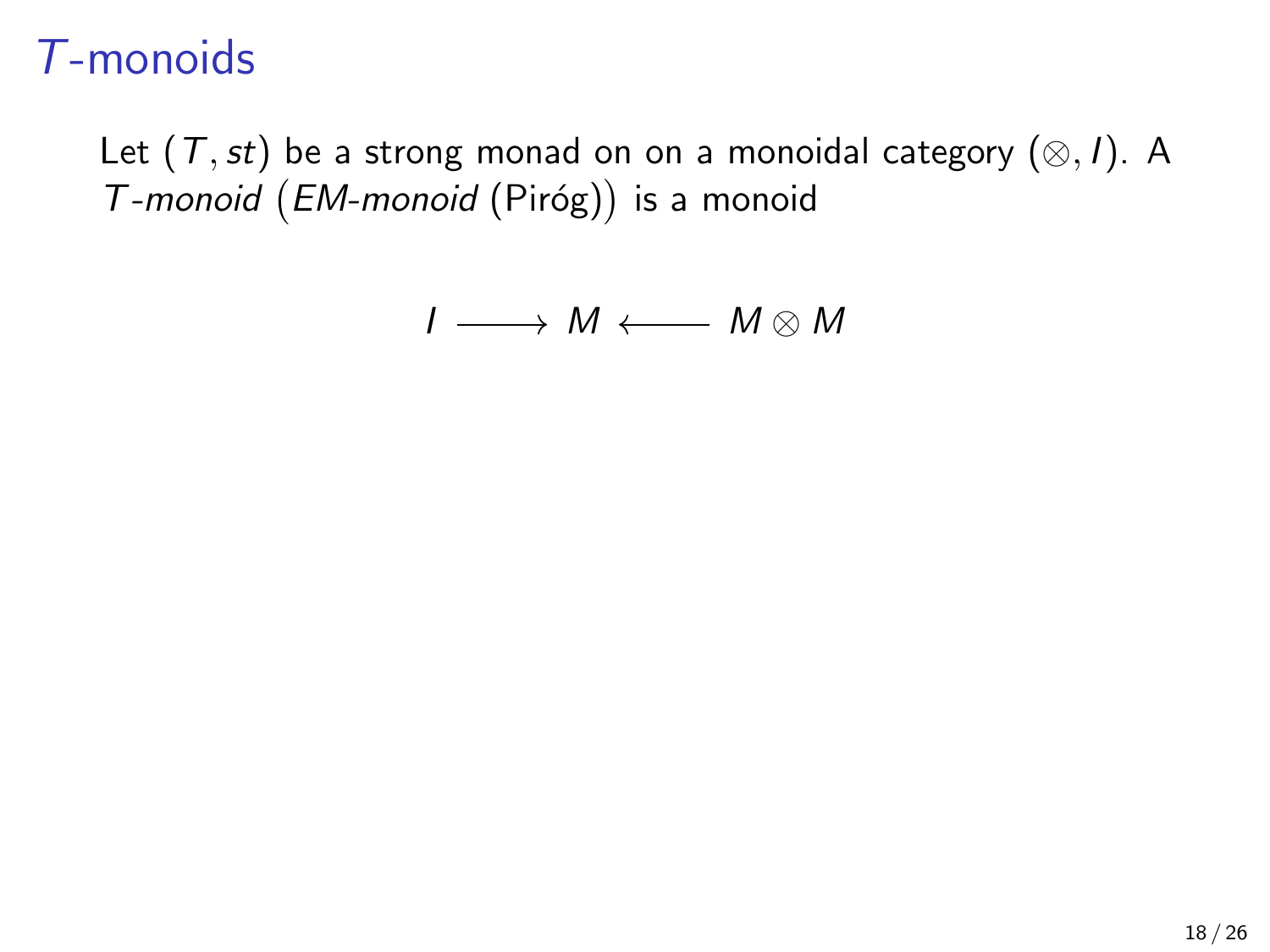Let  $(T, st)$  be a strong monad on on a monoidal category  $(\otimes, I)$ . A T-monoid (EM-monoid (Piróg)) is a monoid

$$
I \longrightarrow M \longleftarrow M \otimes M
$$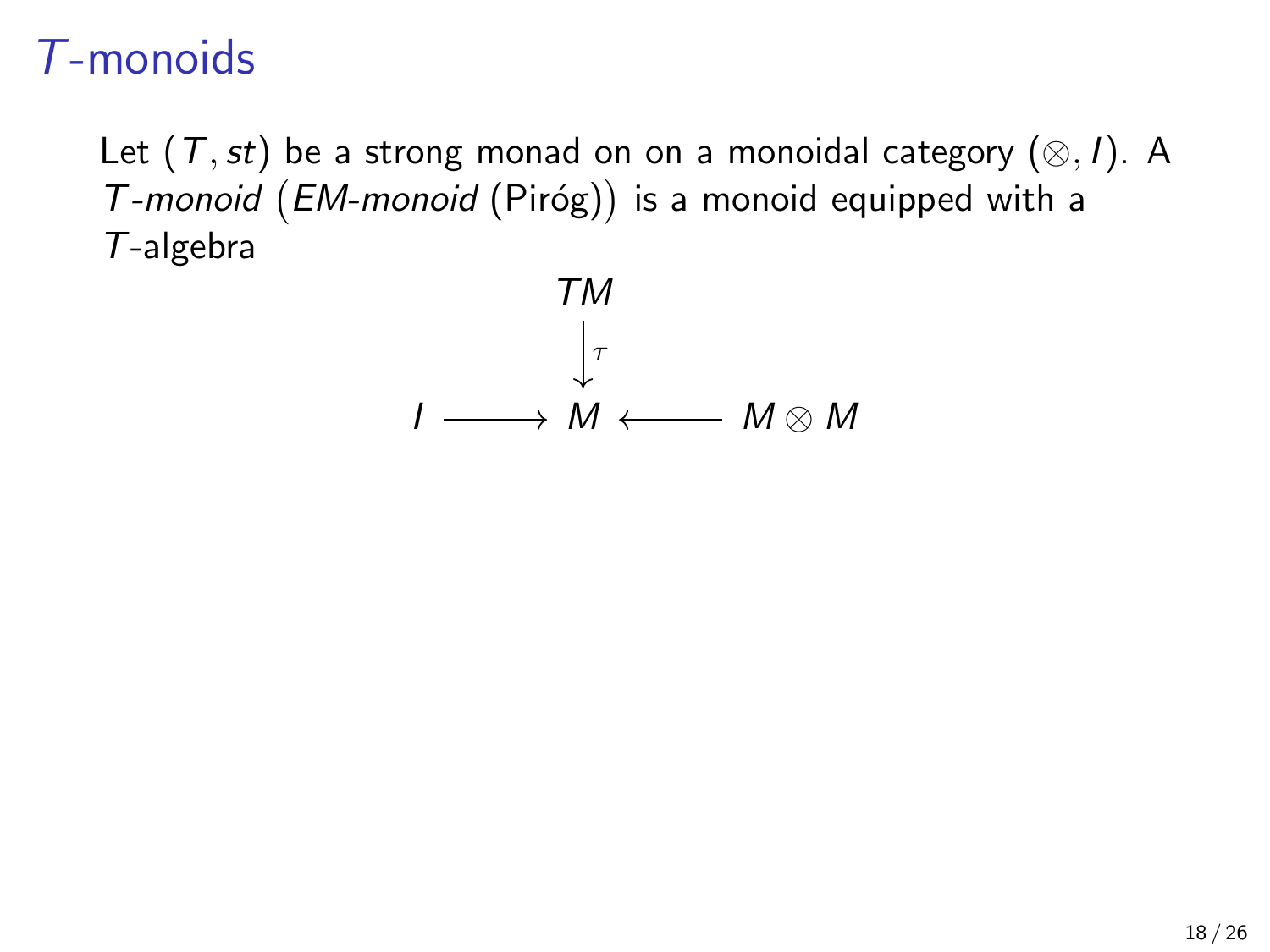Let  $(T, st)$  be a strong monad on on a monoidal category  $(\otimes, I)$ . A  $T$ -monoid  $(EM$ -monoid  $(Piróg))$  is a monoid equipped with a T-algebra

$$
T M
$$
  

$$
\downarrow_{\tau}
$$
  

$$
I \longrightarrow M \longleftarrow M \otimes M
$$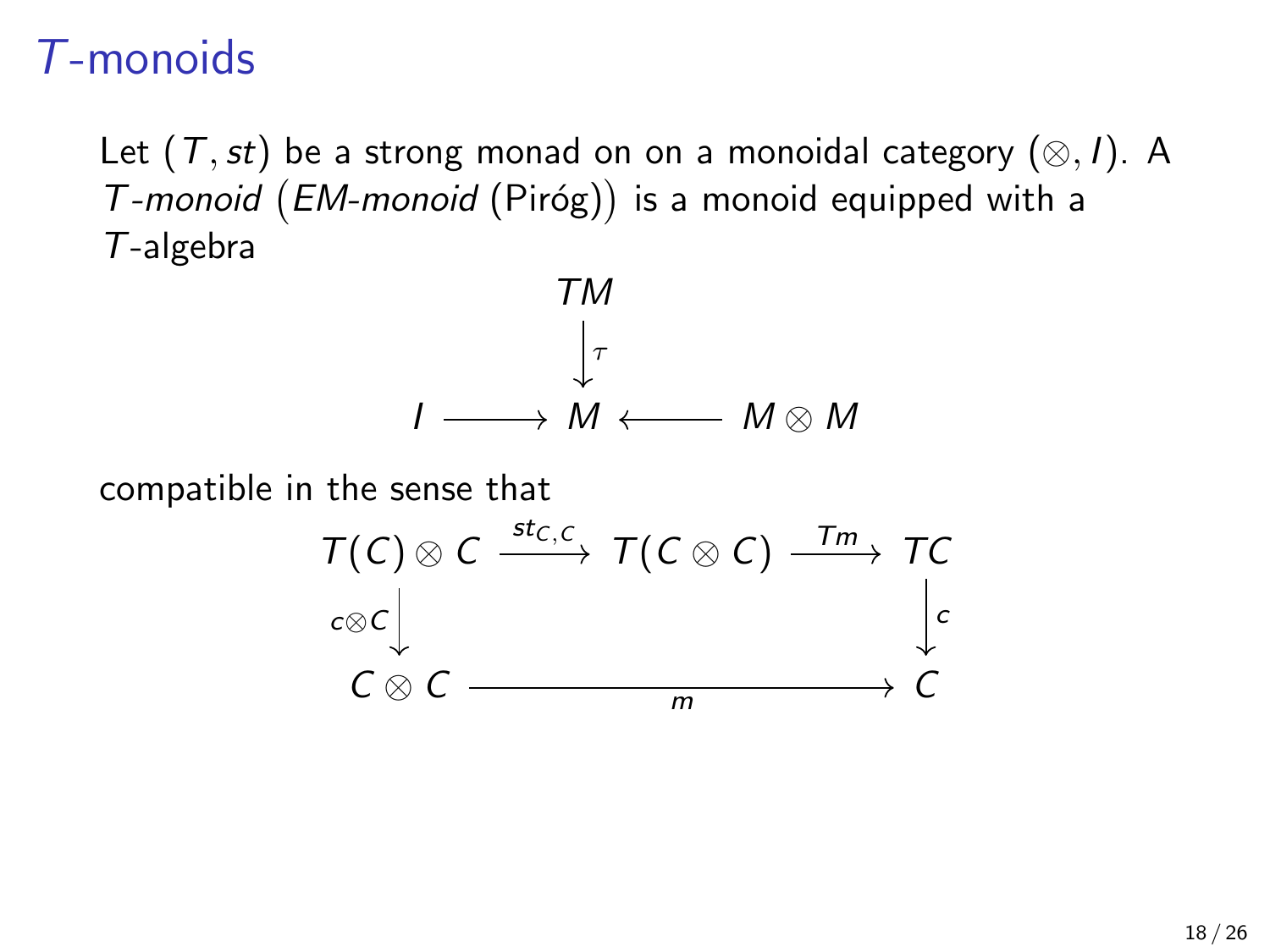Let  $(T, st)$  be a strong monad on on a monoidal category  $(\otimes, I)$ . A  $T$ -monoid  $(EM$ -monoid  $(Piróg))$  is a monoid equipped with a T-algebra



compatible in the sense that

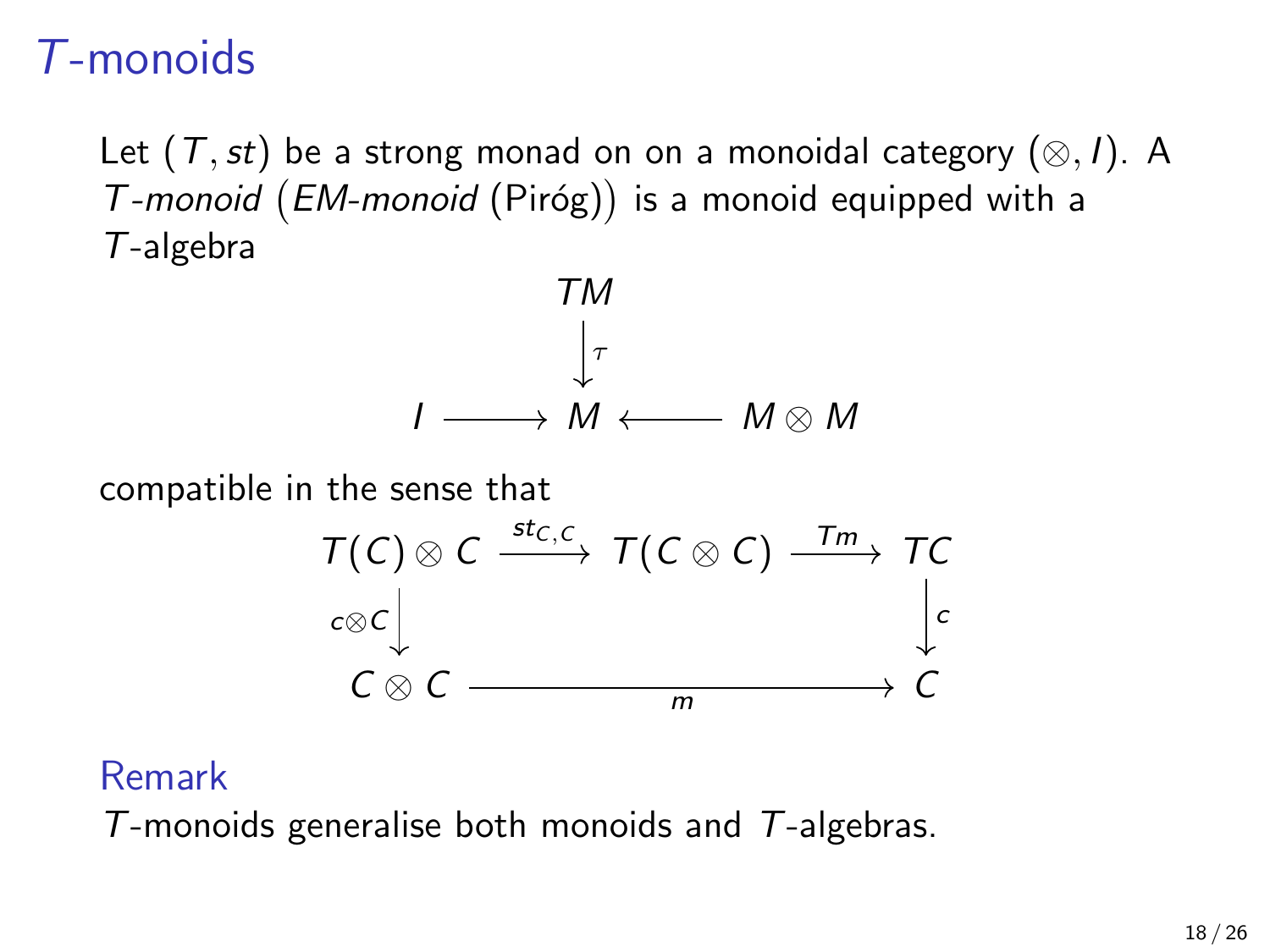Let  $(T, st)$  be a strong monad on on a monoidal category  $(\otimes, I)$ . A  $T$ -monoid  $(EM$ -monoid  $(Piróg))$  is a monoid equipped with a T-algebra



compatible in the sense that



#### Remark

 $T$ -monoids generalise both monoids and  $T$ -algebras.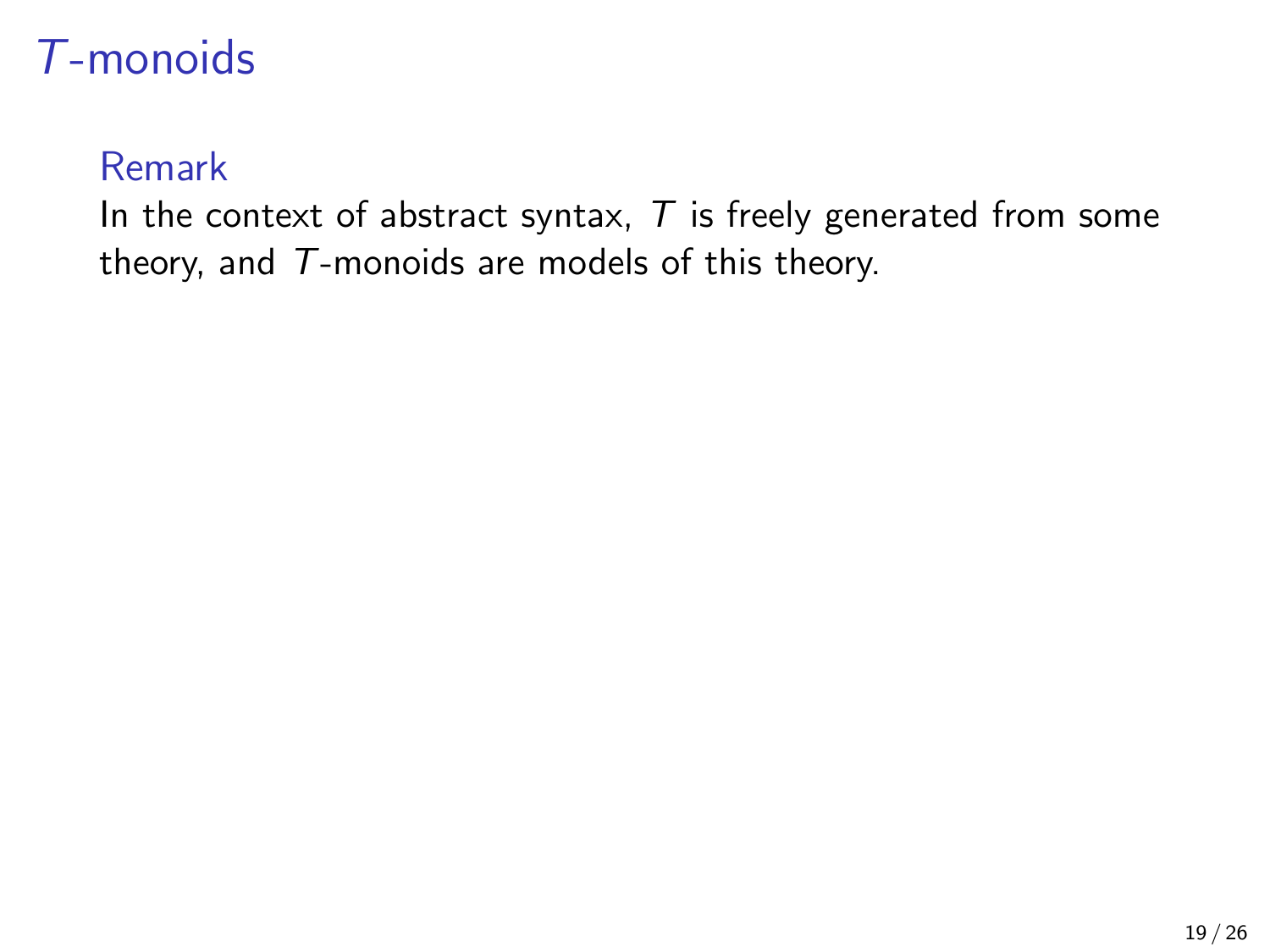#### Remark

In the context of abstract syntax,  $T$  is freely generated from some theory, and T-monoids are models of this theory.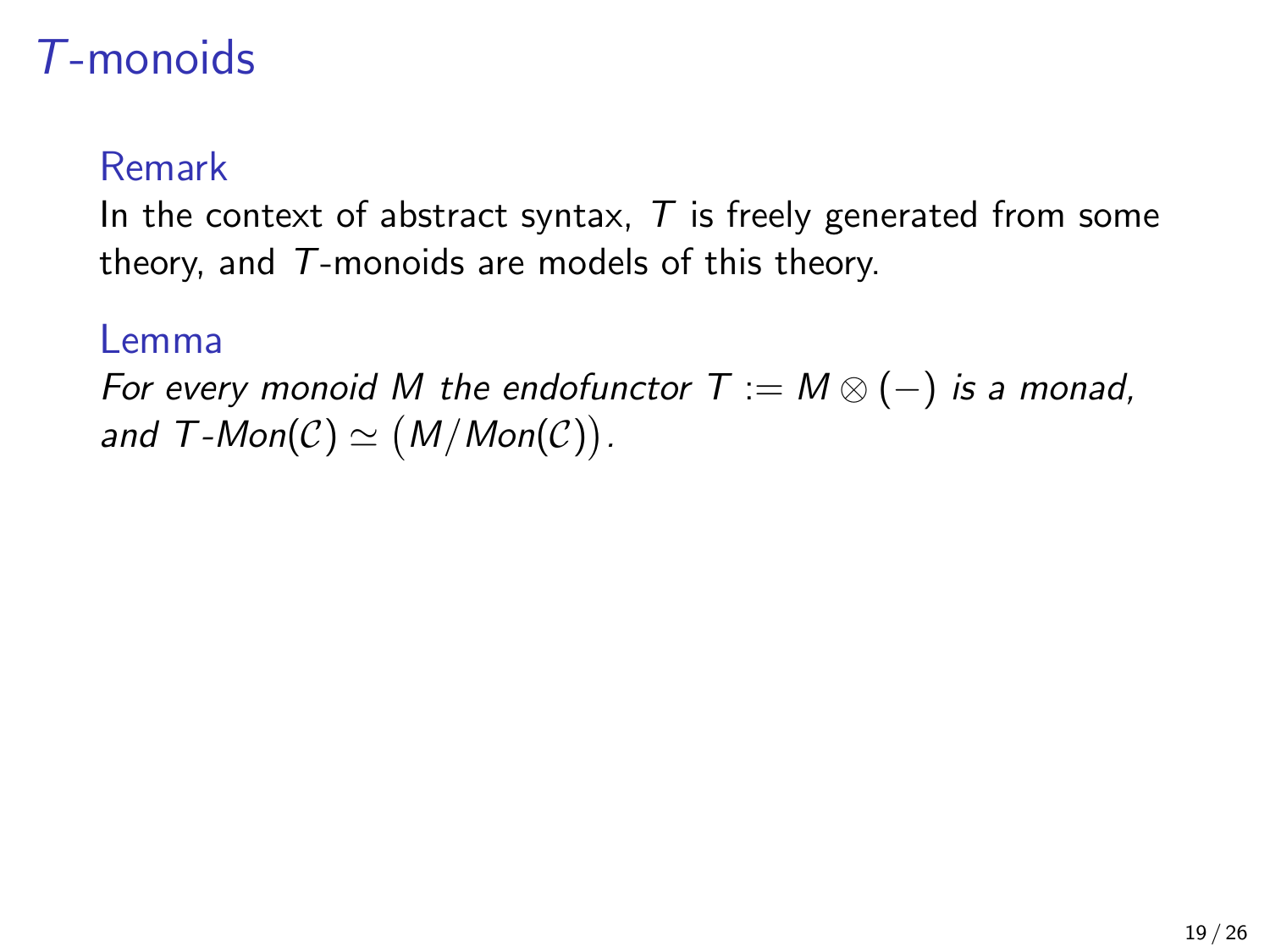#### Remark

In the context of abstract syntax,  $T$  is freely generated from some theory, and T-monoids are models of this theory.

#### Lemma

For every monoid M the endofunctor  $T := M \otimes (-)$  is a monad, and  $T\text{-}Mon(\mathcal{C})\simeq (M/Mon(\mathcal{C}))$ .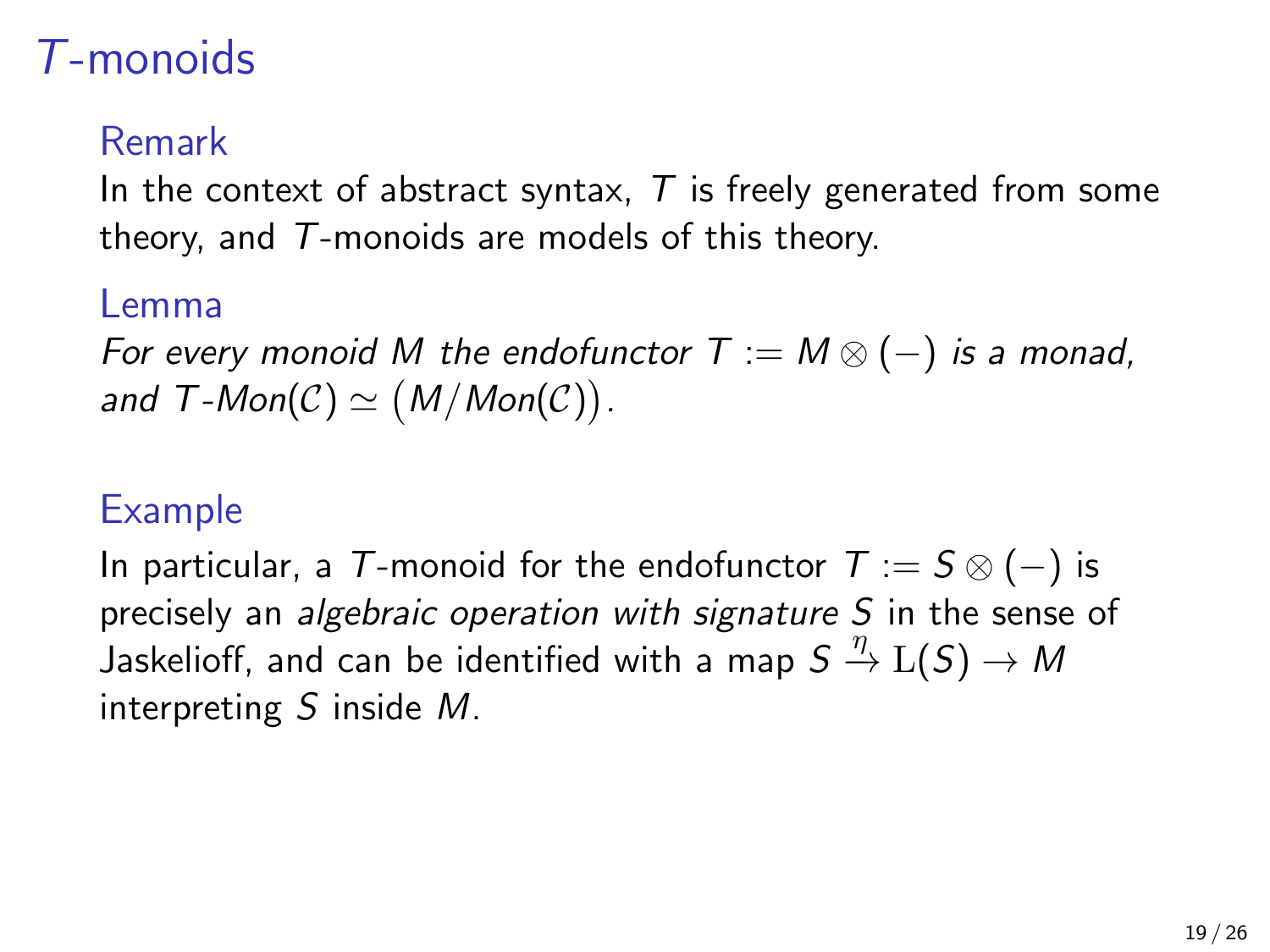#### Remark

In the context of abstract syntax,  $T$  is freely generated from some theory, and  $T$ -monoids are models of this theory.

#### Lemma

For every monoid M the endofunctor  $T := M \otimes (-)$  is a monad, and  $T\text{-}Mon(\mathcal{C})\simeq (M/Mon(\mathcal{C}))$ .

#### Example

In particular, a T-monoid for the endofunctor  $T := S \otimes (-)$  is precisely an *algebraic operation with signature S* in the sense of Jaskelioff, and can be identified with a map  $S \stackrel{\eta}{\to} {\rm L}(S) \to M$ interpreting  $S$  inside  $M$ .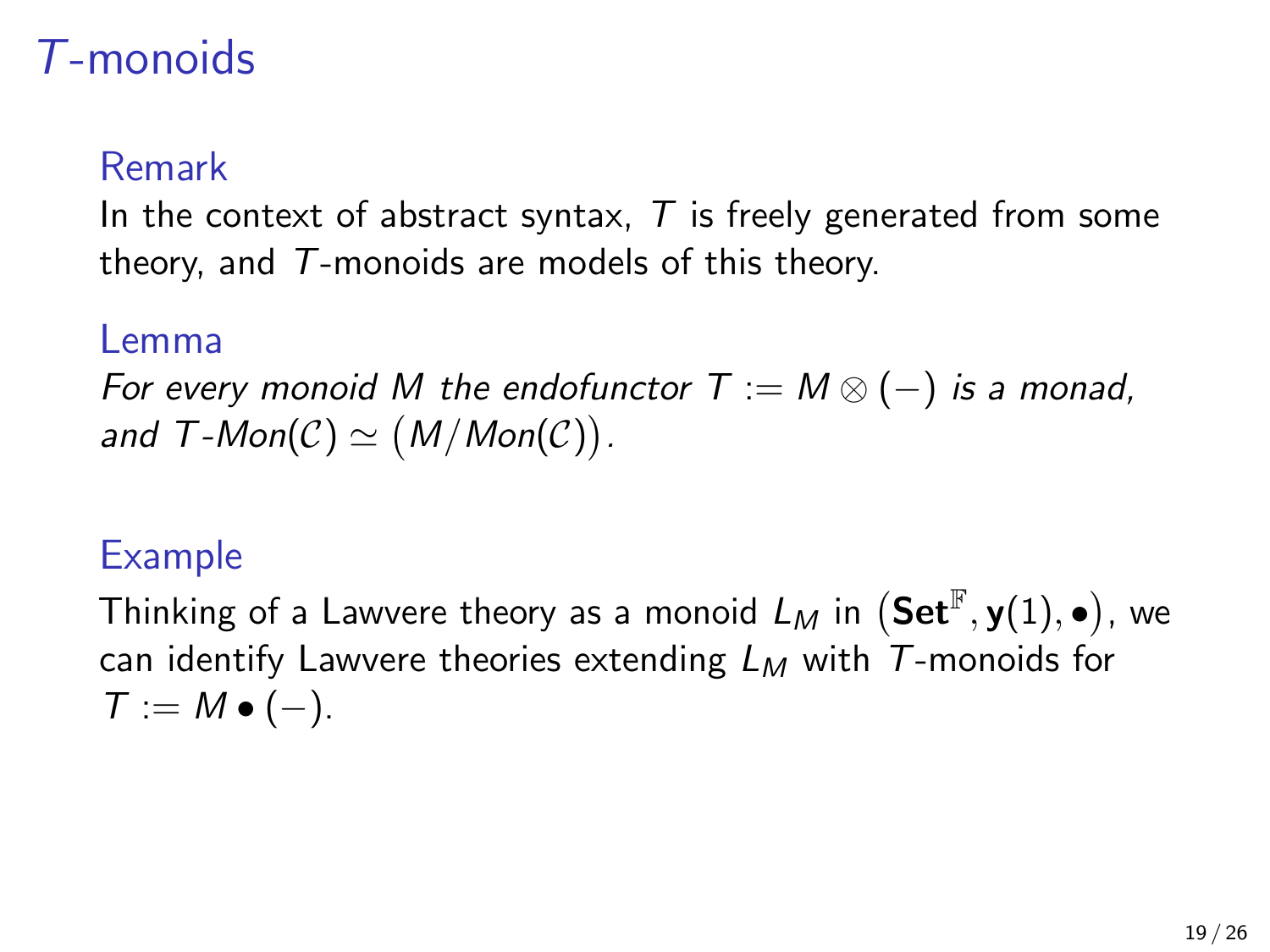#### Remark

In the context of abstract syntax,  $T$  is freely generated from some theory, and  $T$ -monoids are models of this theory.

#### Lemma

For every monoid M the endofunctor  $T := M \otimes (-)$  is a monad, and  $T\text{-}Mon(\mathcal{C})\simeq (M/Mon(\mathcal{C}))$ .

#### Example

Thinking of a Lawvere theory as a monoid  $L_M$  in  $({\mathbf{Set}}^{\mathbb{F}}, {\mathbf{y}}(1), \bullet)$ , we can identify Lawvere theories extending  $L_M$  with T-monoids for  $T := M \bullet (-).$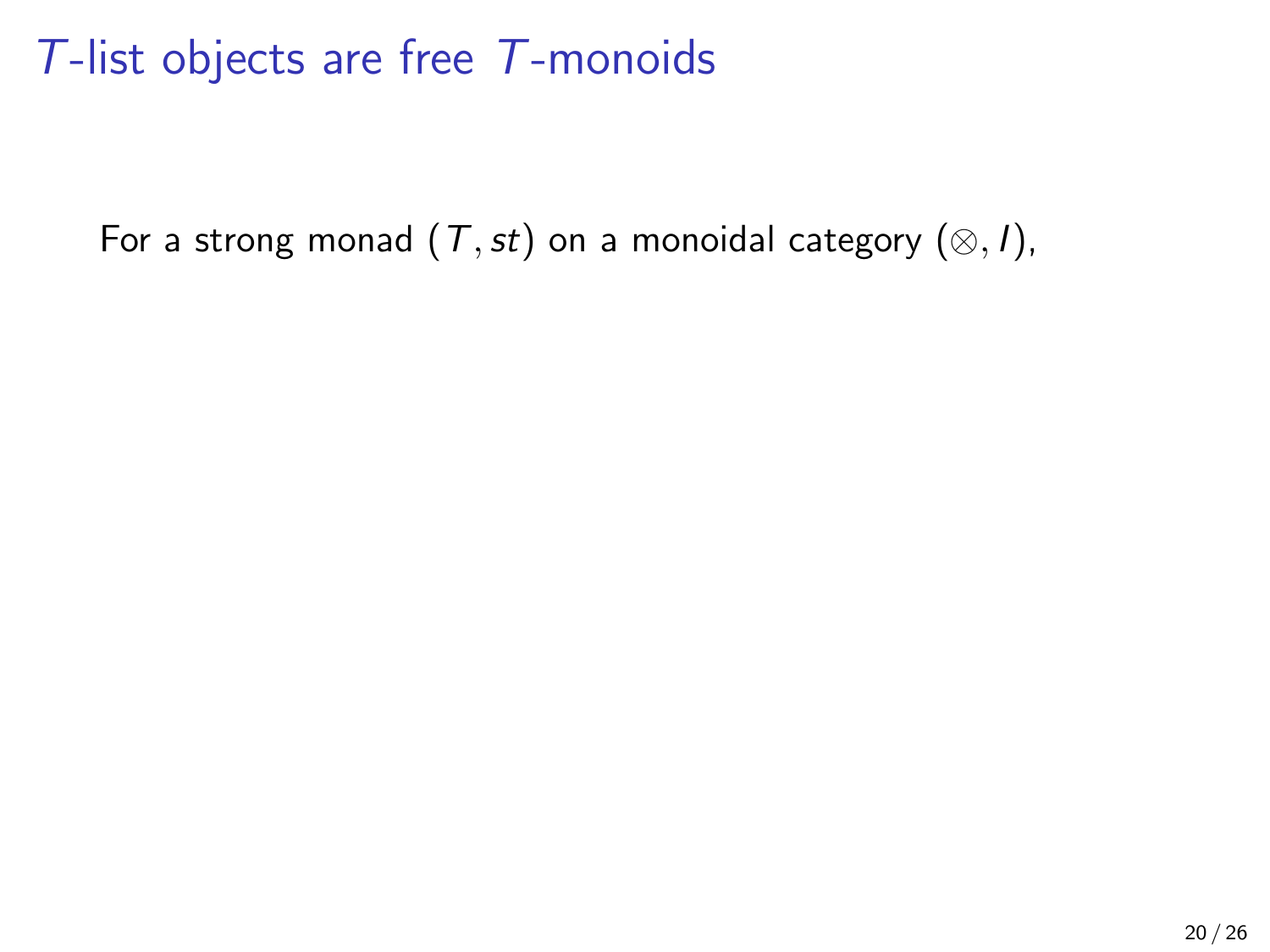For a strong monad  $(T,st)$  on a monoidal category  $(\otimes, I)$ ,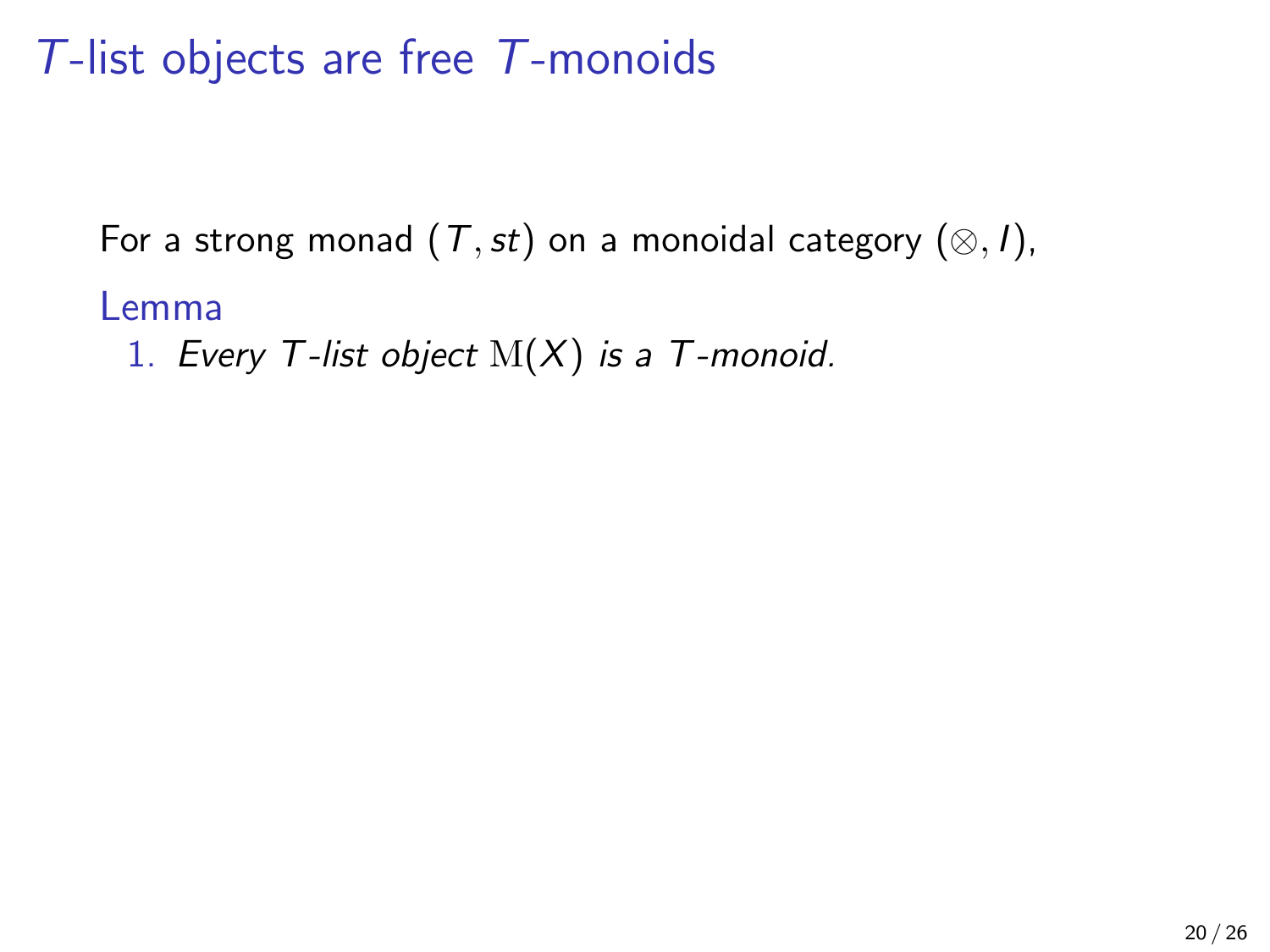For a strong monad  $(T,st)$  on a monoidal category  $(\otimes, I)$ ,

#### Lemma

1. Every T-list object  $M(X)$  is a T-monoid.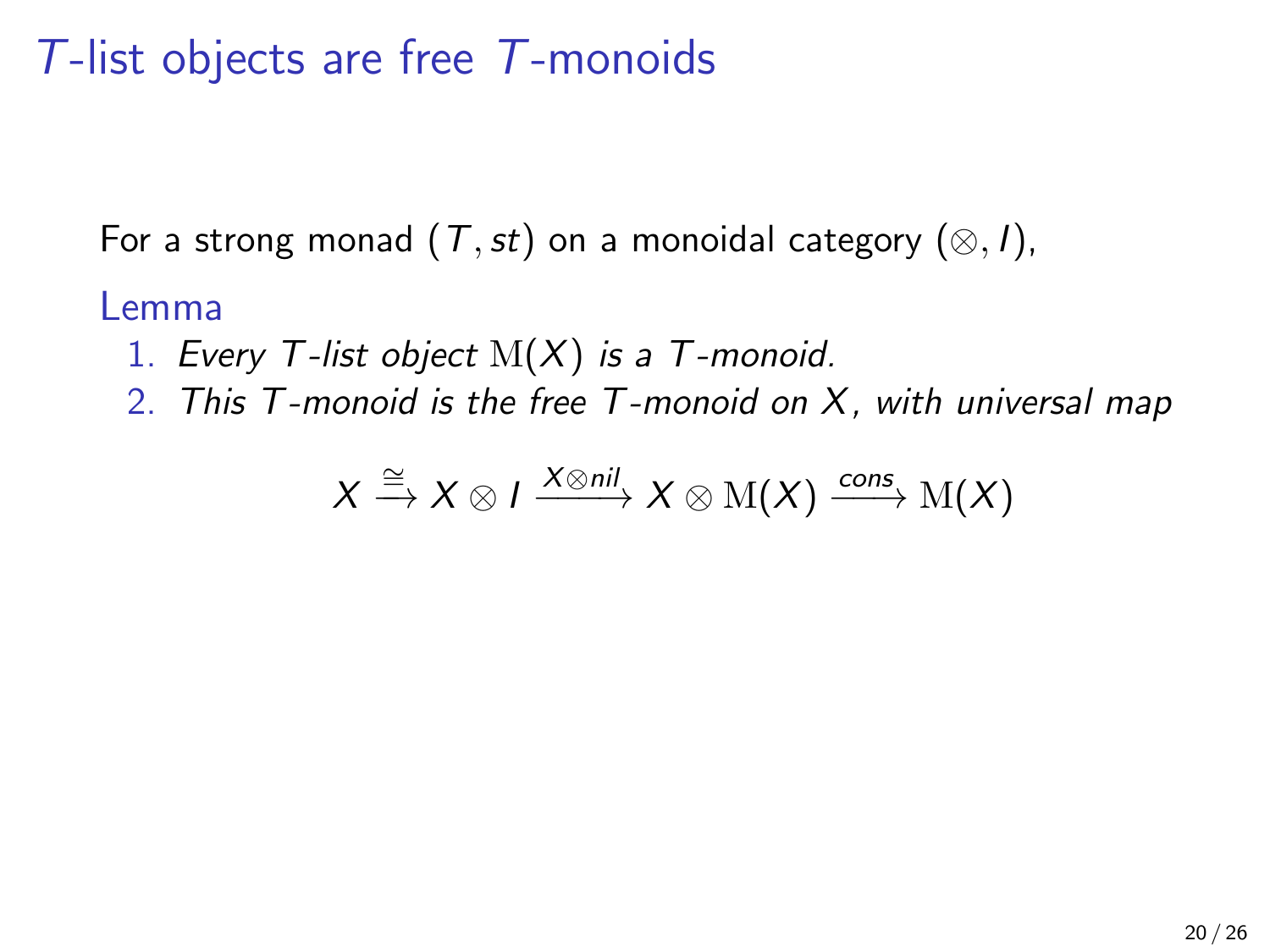For a strong monad  $(T,st)$  on a monoidal category  $(\otimes, I)$ ,

#### Lemma

- 1. Every T-list object  $M(X)$  is a T-monoid.
- 2. This T-monoid is the free T-monoid on X, with universal map

$$
X \xrightarrow{\cong} X \otimes I \xrightarrow{X \otimes nil} X \otimes M(X) \xrightarrow{cons} M(X)
$$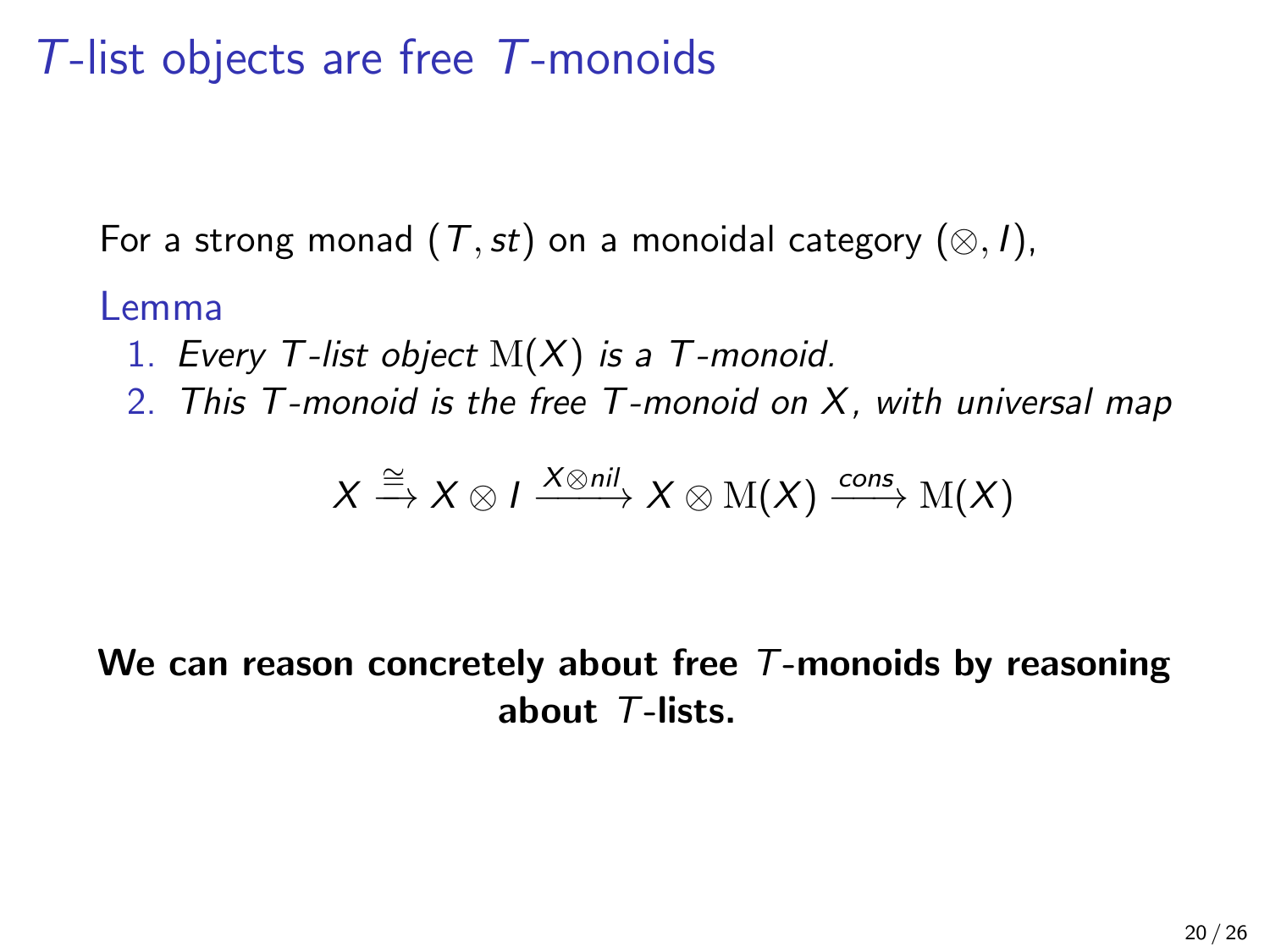For a strong monad  $(T,st)$  on a monoidal category  $(\otimes, I)$ ,

#### Lemma

- 1. Every T-list object  $M(X)$  is a T-monoid.
- 2. This  $T$ -monoid is the free  $T$ -monoid on  $X$ , with universal map

$$
X \xrightarrow{\cong} X \otimes I \xrightarrow{X \otimes nil} X \otimes M(X) \xrightarrow{cons} M(X)
$$

We can reason concretely about free  $T$ -monoids by reasoning about T-lists.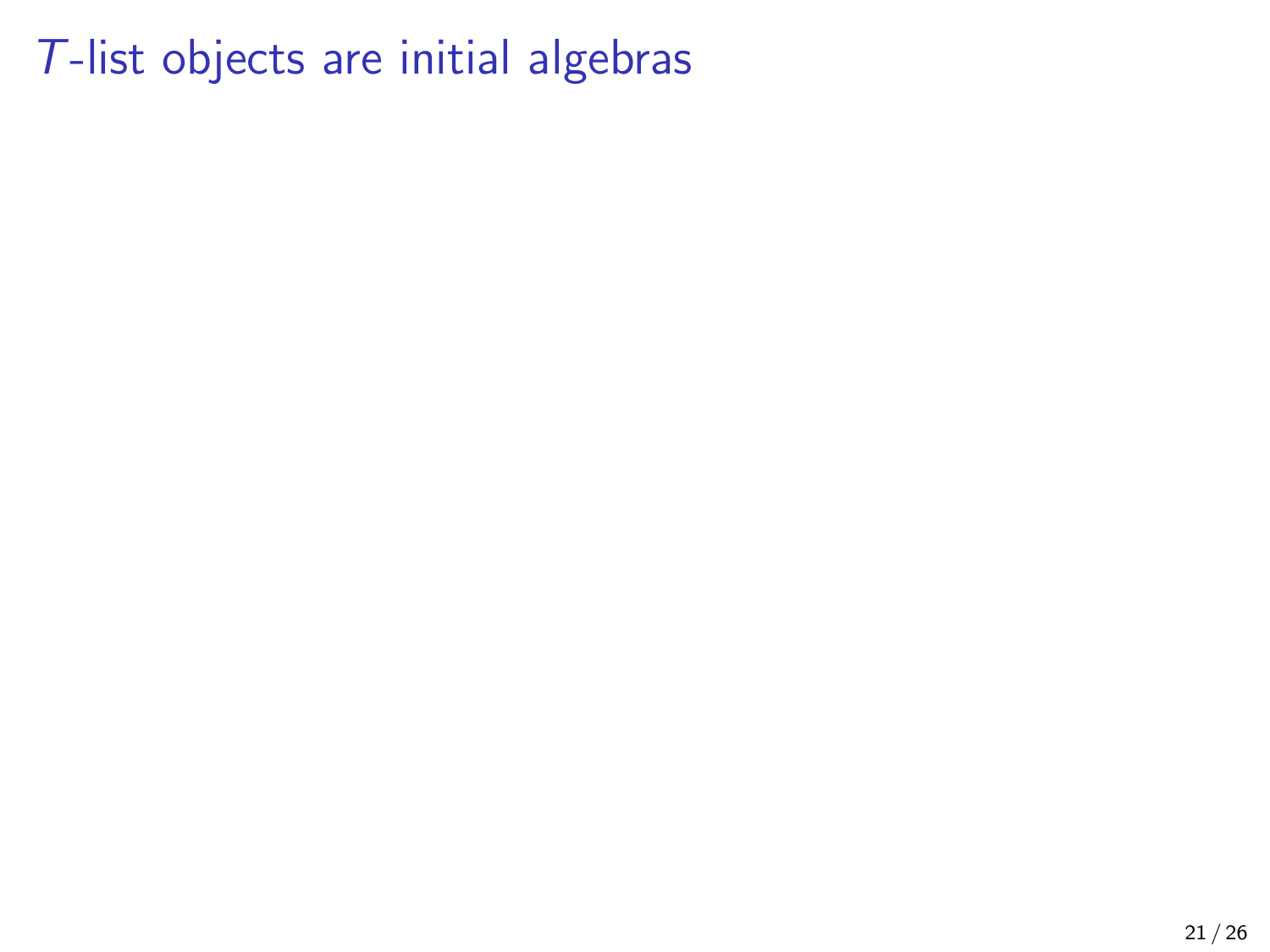## T-list objects are initial algebras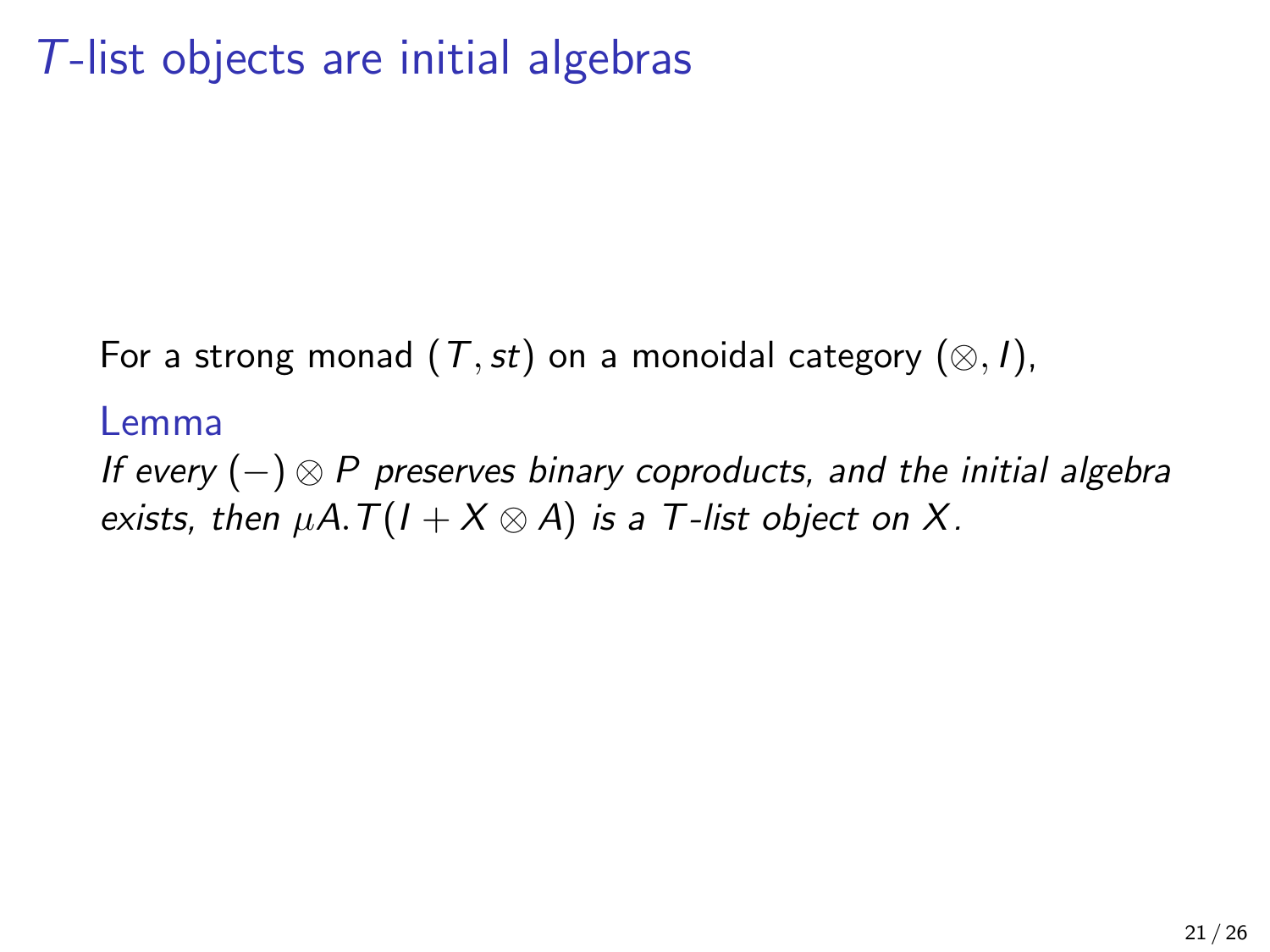# T-list objects are initial algebras

For a strong monad  $(T,st)$  on a monoidal category  $(\otimes, I)$ ,

#### Lemma

If every  $(-) \otimes P$  preserves binary coproducts, and the initial algebra exists, then  $\mu A. T(I + X \otimes A)$  is a T-list object on X.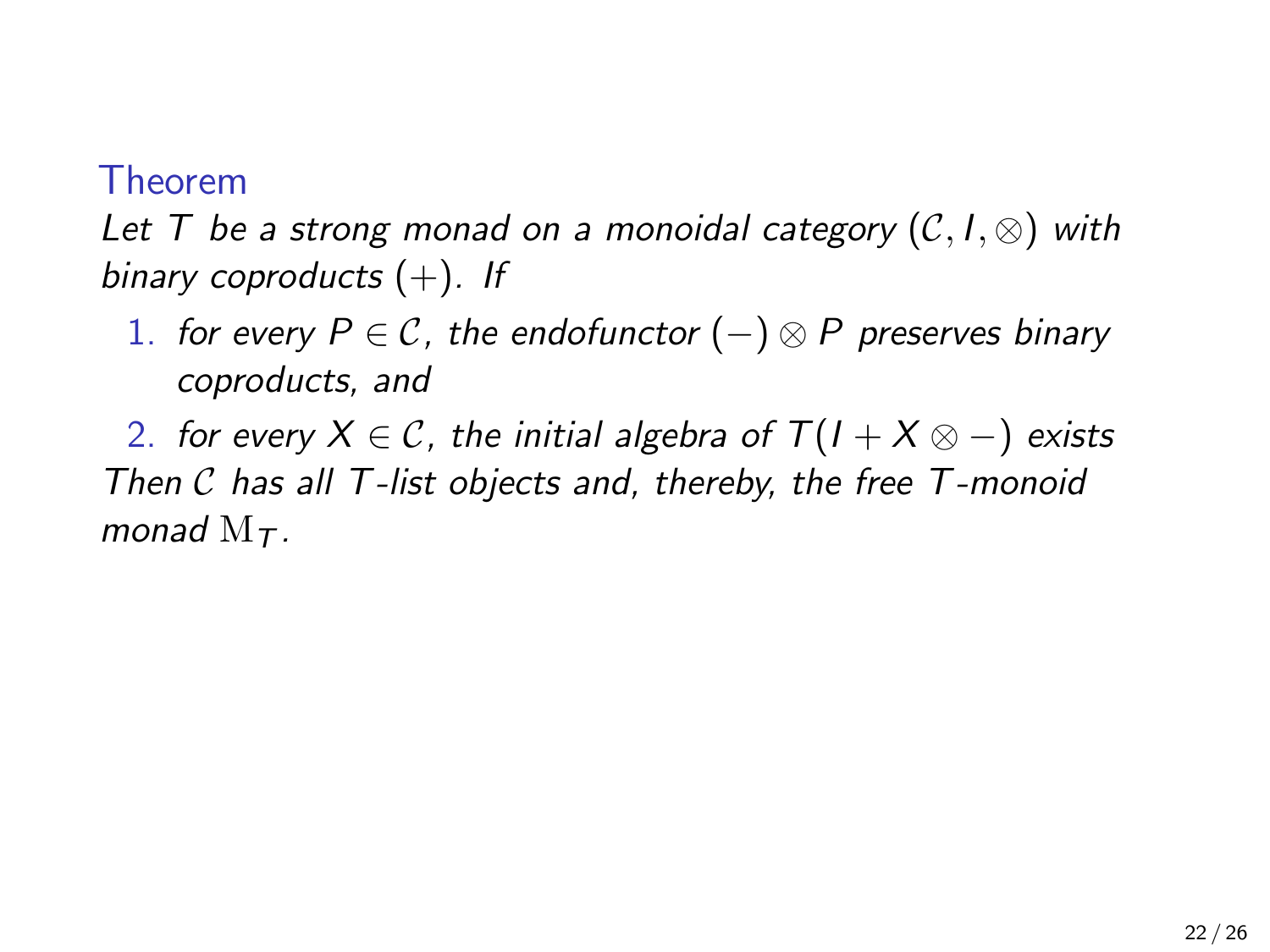#### Theorem

Let T be a strong monad on a monoidal category  $(C, I, \otimes)$  with binary coproducts  $(+)$ . If

1. for every  $P \in \mathcal{C}$ , the endofunctor  $(-) \otimes P$  preserves binary coproducts, and

2. for every  $X \in \mathcal{C}$ , the initial algebra of  $T(1 + X \otimes -)$  exists Then C has all T-list objects and, thereby, the free T-monoid monad  $M_{\tau}$ .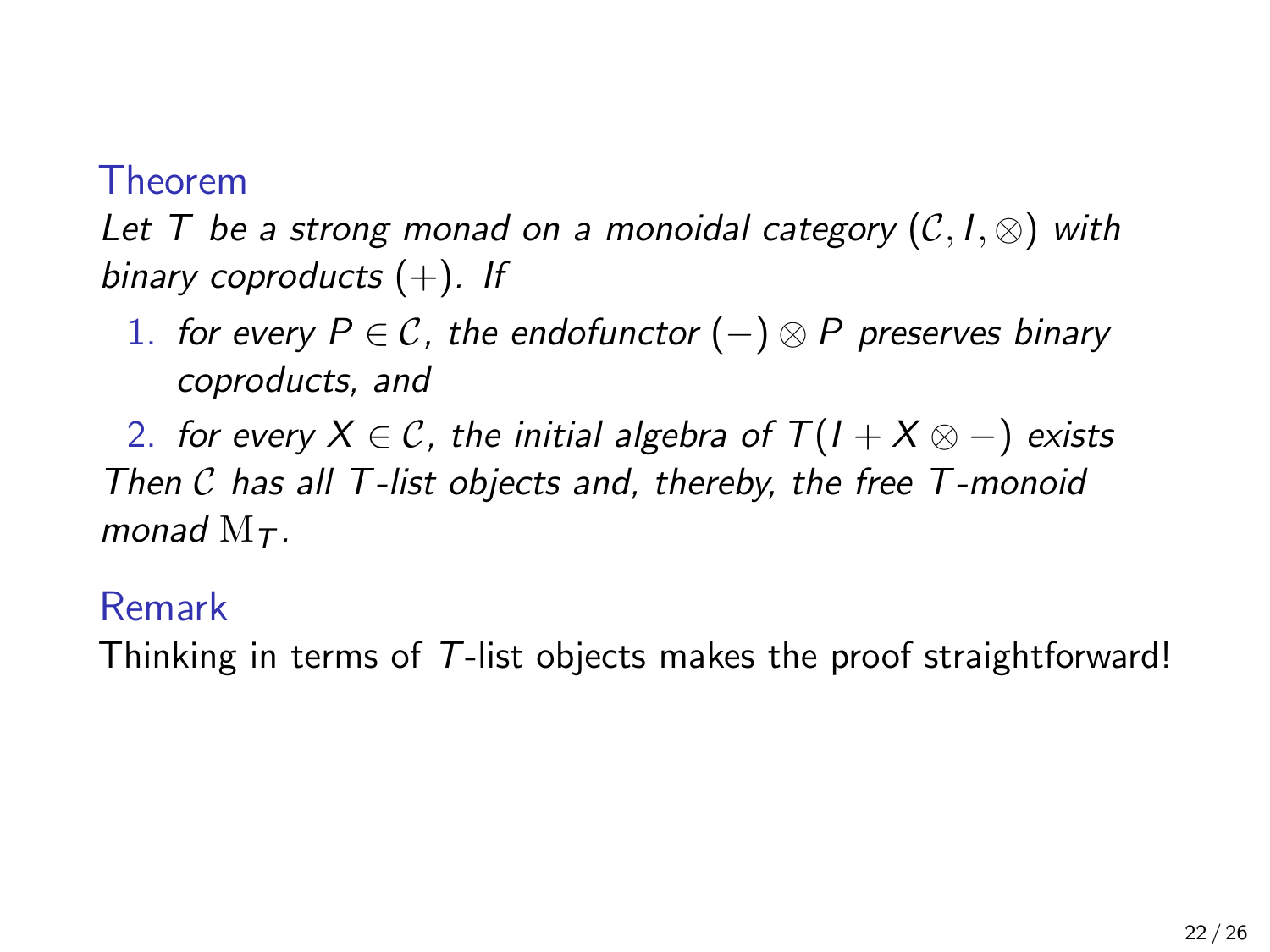#### Theorem

Let T be a strong monad on a monoidal category  $(C, I, \otimes)$  with binary coproducts  $(+)$ . If

1. for every  $P \in \mathcal{C}$ , the endofunctor  $(-) \otimes P$  preserves binary coproducts, and

2. for every  $X \in \mathcal{C}$ , the initial algebra of  $T(1 + X \otimes -)$  exists Then C has all T-list objects and, thereby, the free T-monoid monad  $M_{\tau}$ .

#### Remark

Thinking in terms of T-list objects makes the proof straightforward!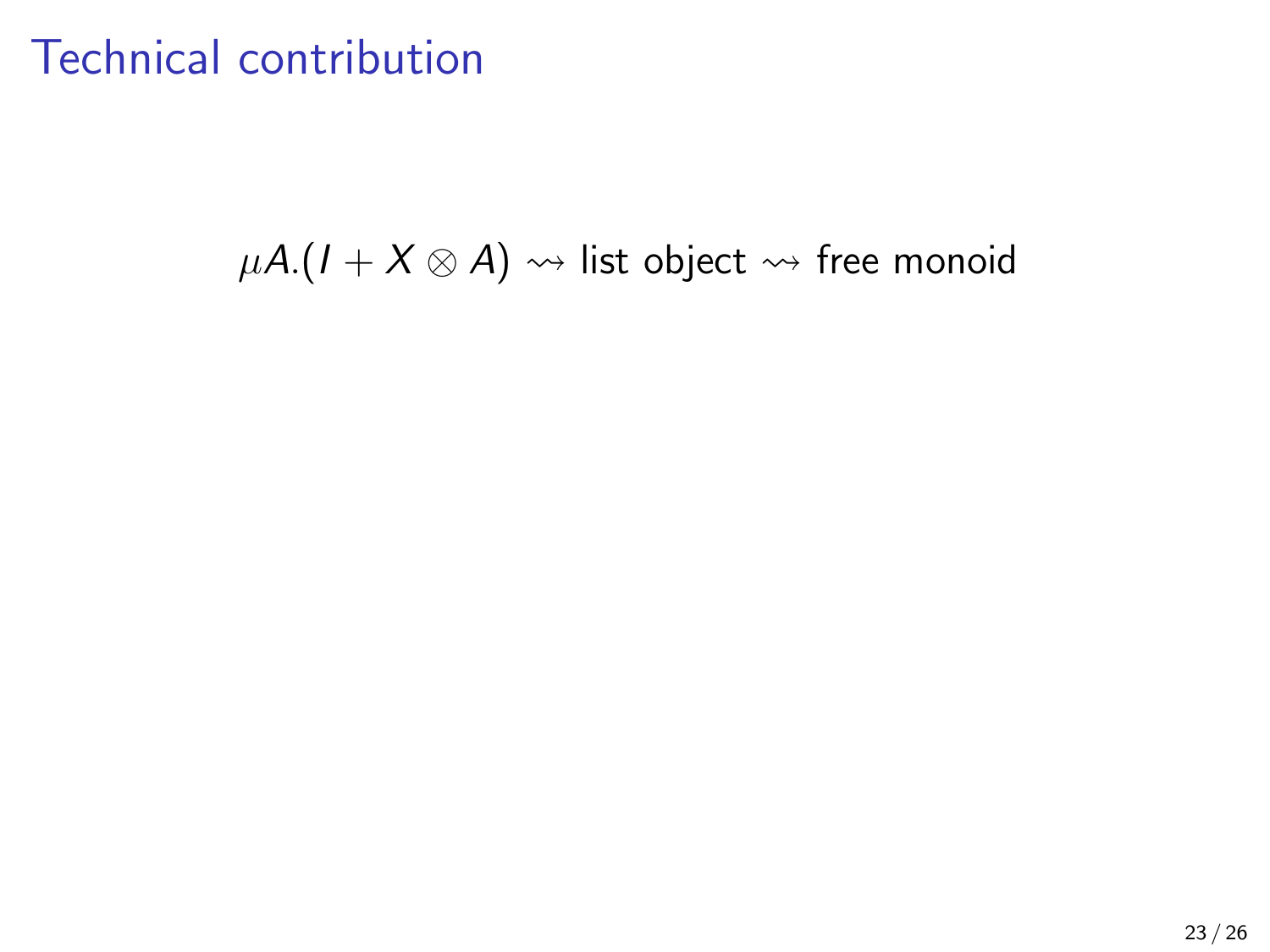$\mu A$ .(*I* + *X* ⊗ *A*)  $\rightsquigarrow$  list object  $\rightsquigarrow$  free monoid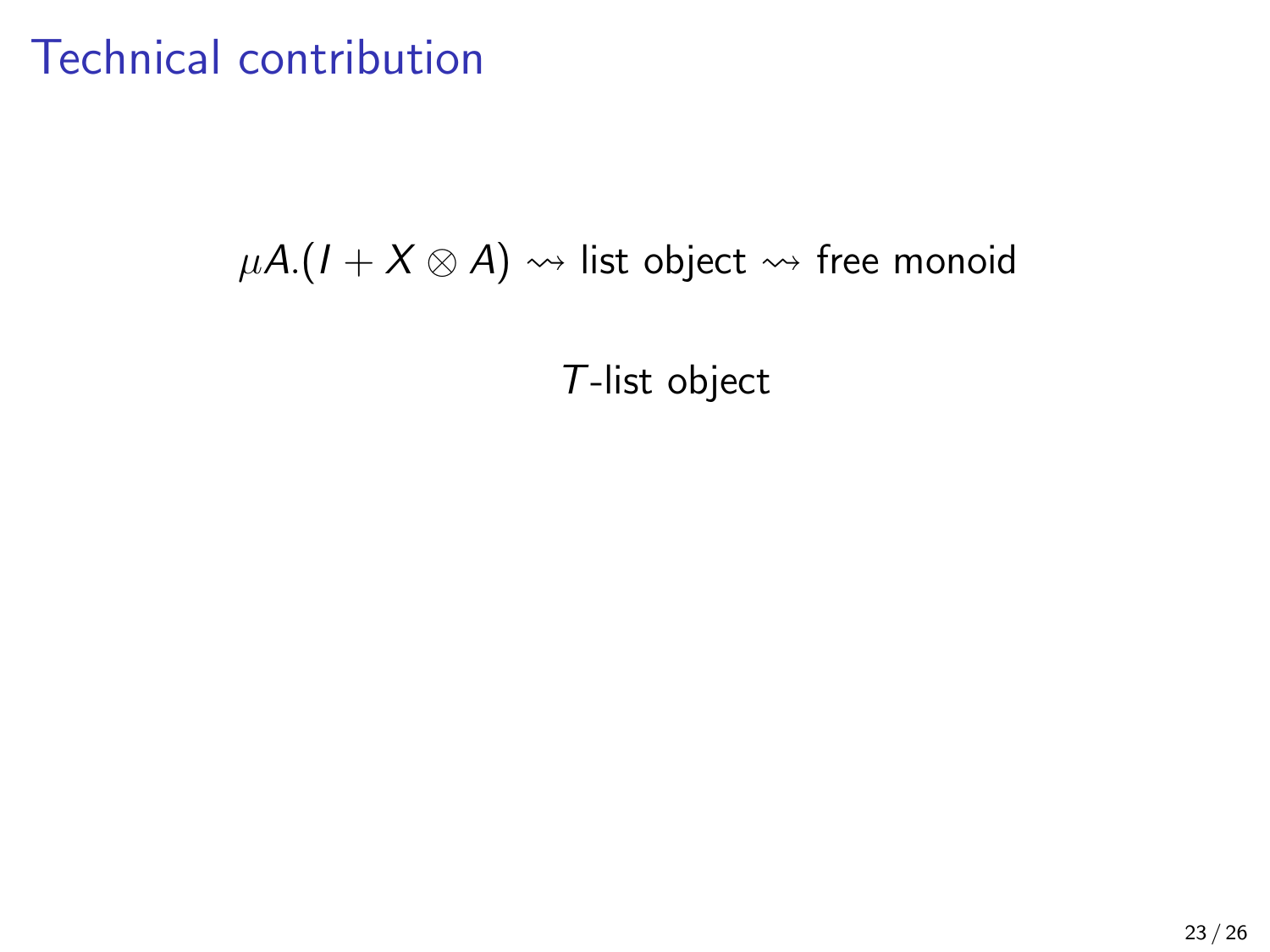#### $\mu A$ .( $I + X \otimes A$ )  $\rightsquigarrow$  list object  $\rightsquigarrow$  free monoid

T-list object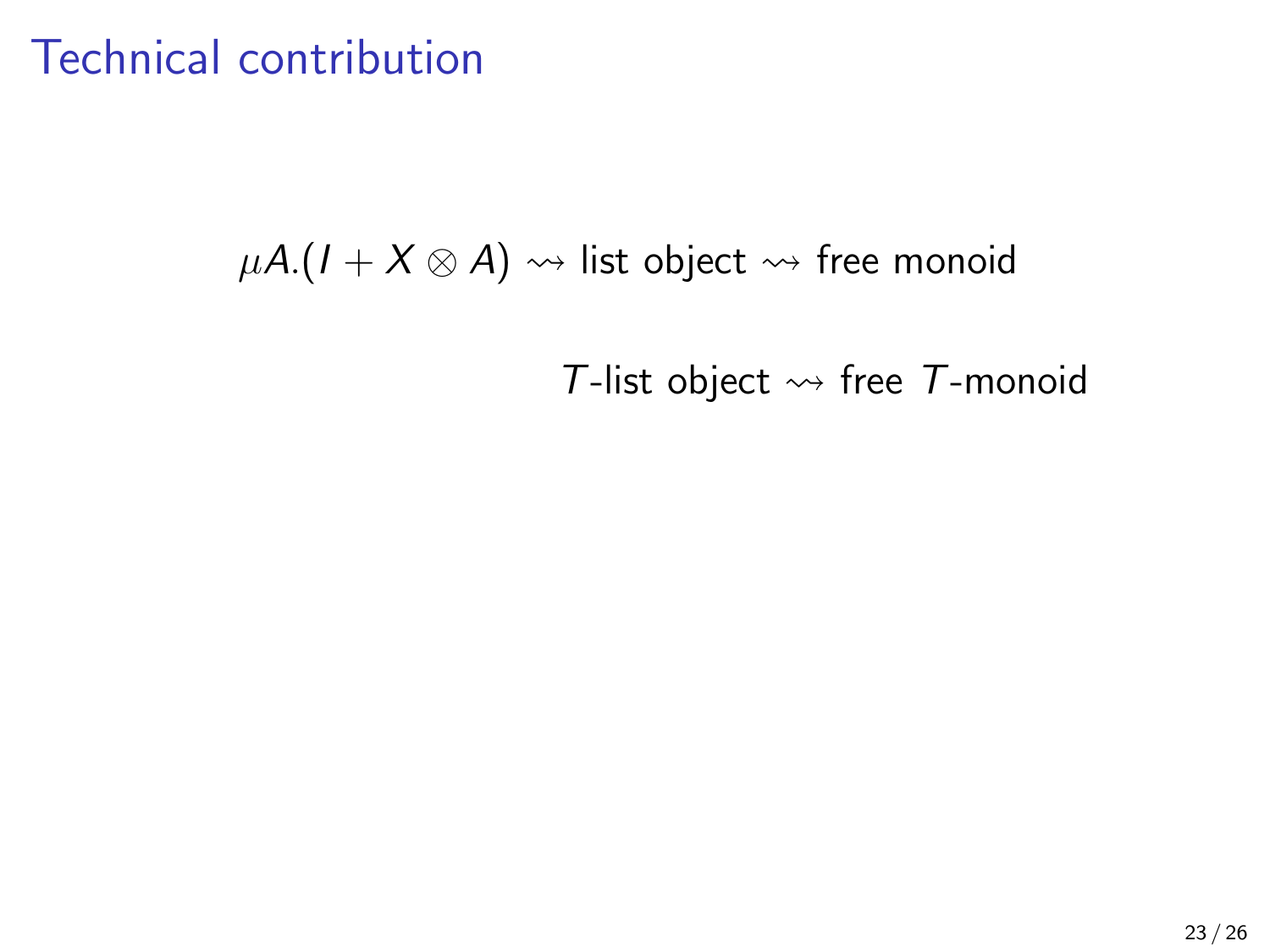$\mu A$ .( $I + X \otimes A$ )  $\rightsquigarrow$  list object  $\rightsquigarrow$  free monoid

T-list object  $\rightsquigarrow$  free T-monoid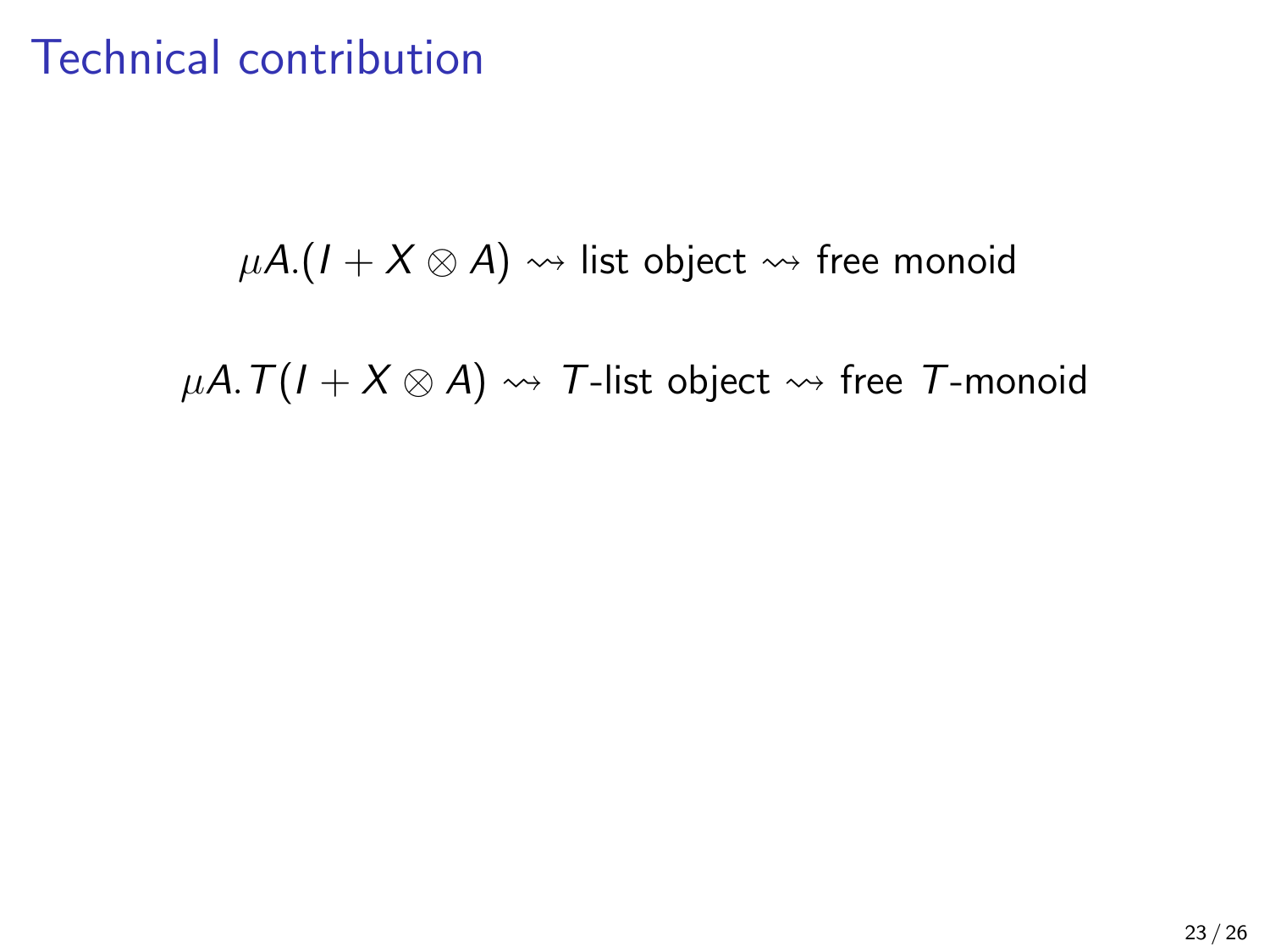$\mu A$ .( $I + X \otimes A$ )  $\rightsquigarrow$  list object  $\rightsquigarrow$  free monoid

 $\mu A. T(I + X \otimes A) \rightsquigarrow T$ -list object  $\rightsquigarrow$  free T-monoid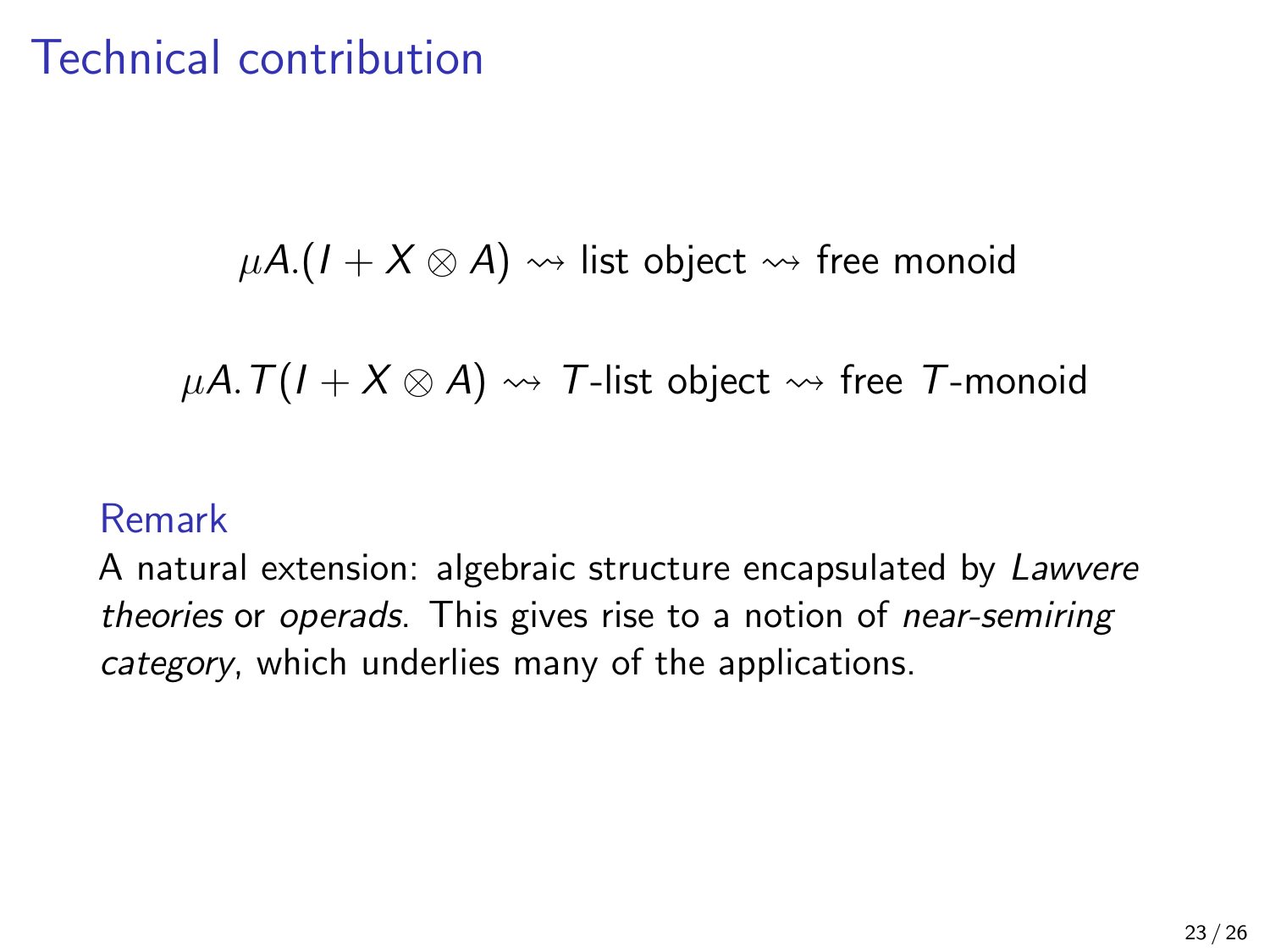$\mu A$ .( $I + X \otimes A$ )  $\rightsquigarrow$  list object  $\rightsquigarrow$  free monoid

 $\mu A. T(I + X \otimes A) \rightsquigarrow T$ -list object  $\rightsquigarrow$  free T-monoid

#### Remark

A natural extension: algebraic structure encapsulated by Lawvere theories or operads. This gives rise to a notion of near-semiring category, which underlies many of the applications.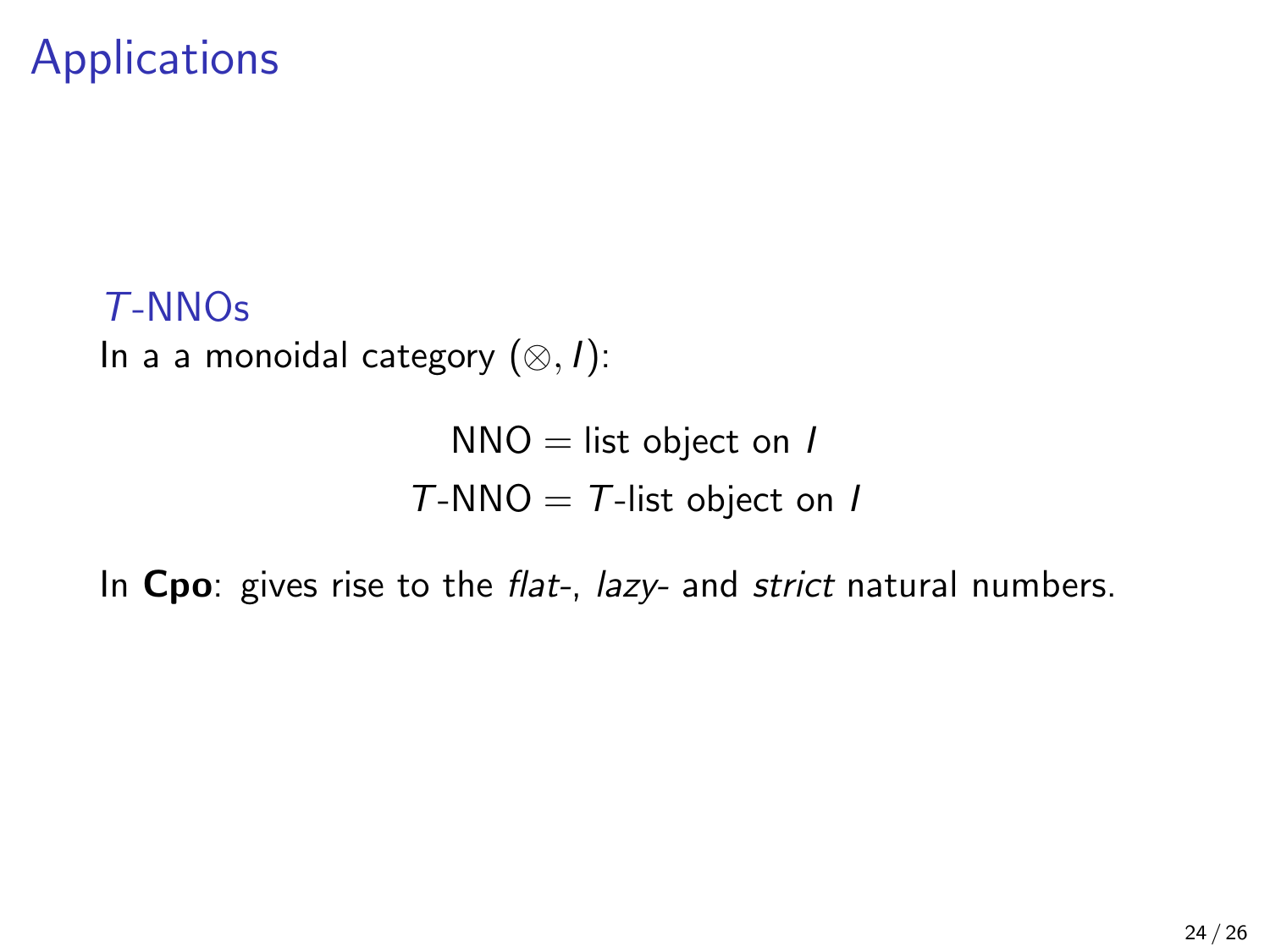T-NNOs In a a monoidal category  $(⊗, I)$ :

> $NNO =$  list object on I  $T\text{-}NNO = T\text{-}list object on I$

In Cpo: gives rise to the flat-, lazy- and strict natural numbers.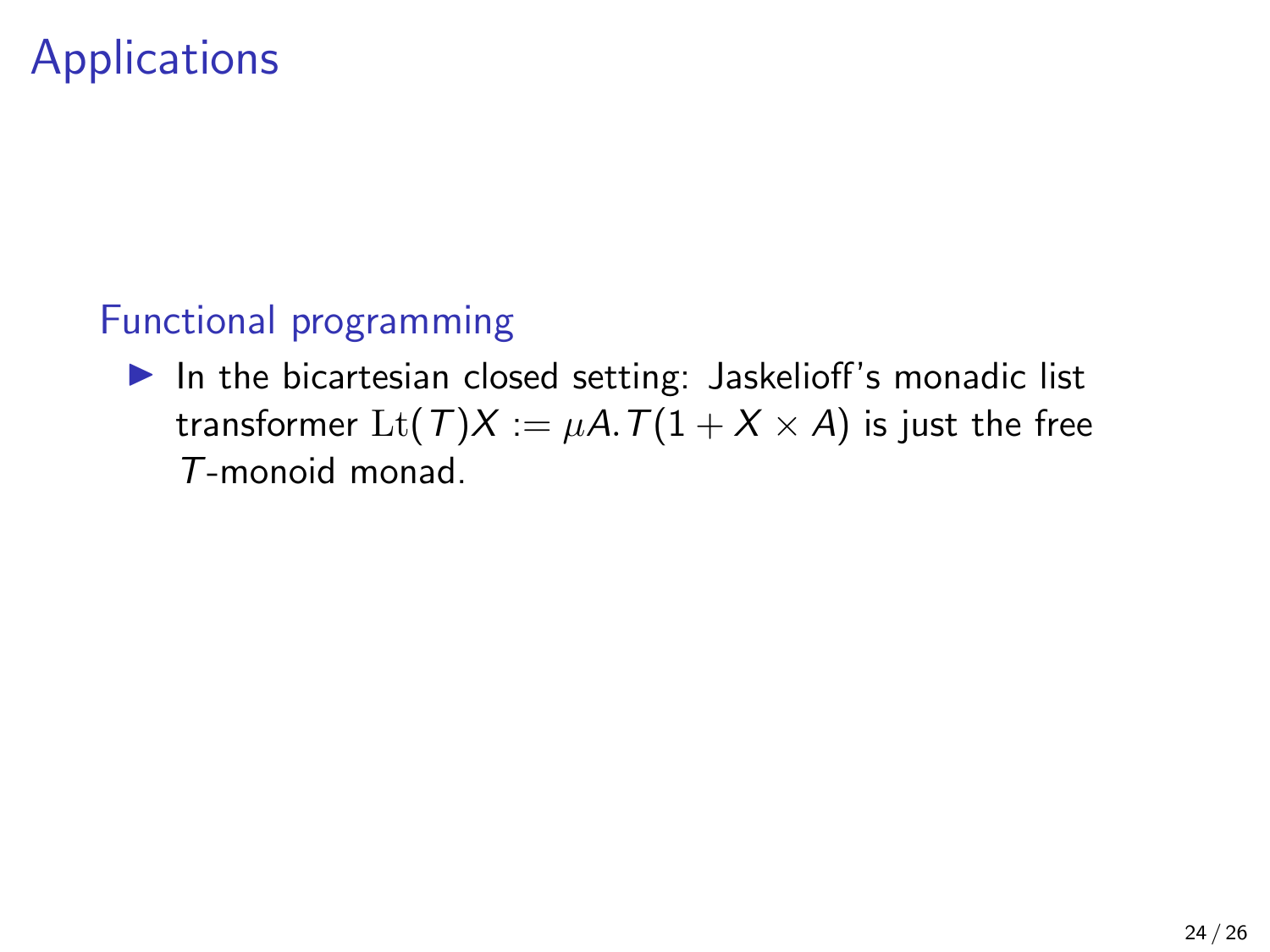#### Functional programming

 $\blacktriangleright$  In the bicartesian closed setting: Jaskelioff's monadic list transformer  $\text{Lt}(\mathcal{T})X := \mu A \cdot \mathcal{T}(1 + X \times A)$  is just the free T-monoid monad.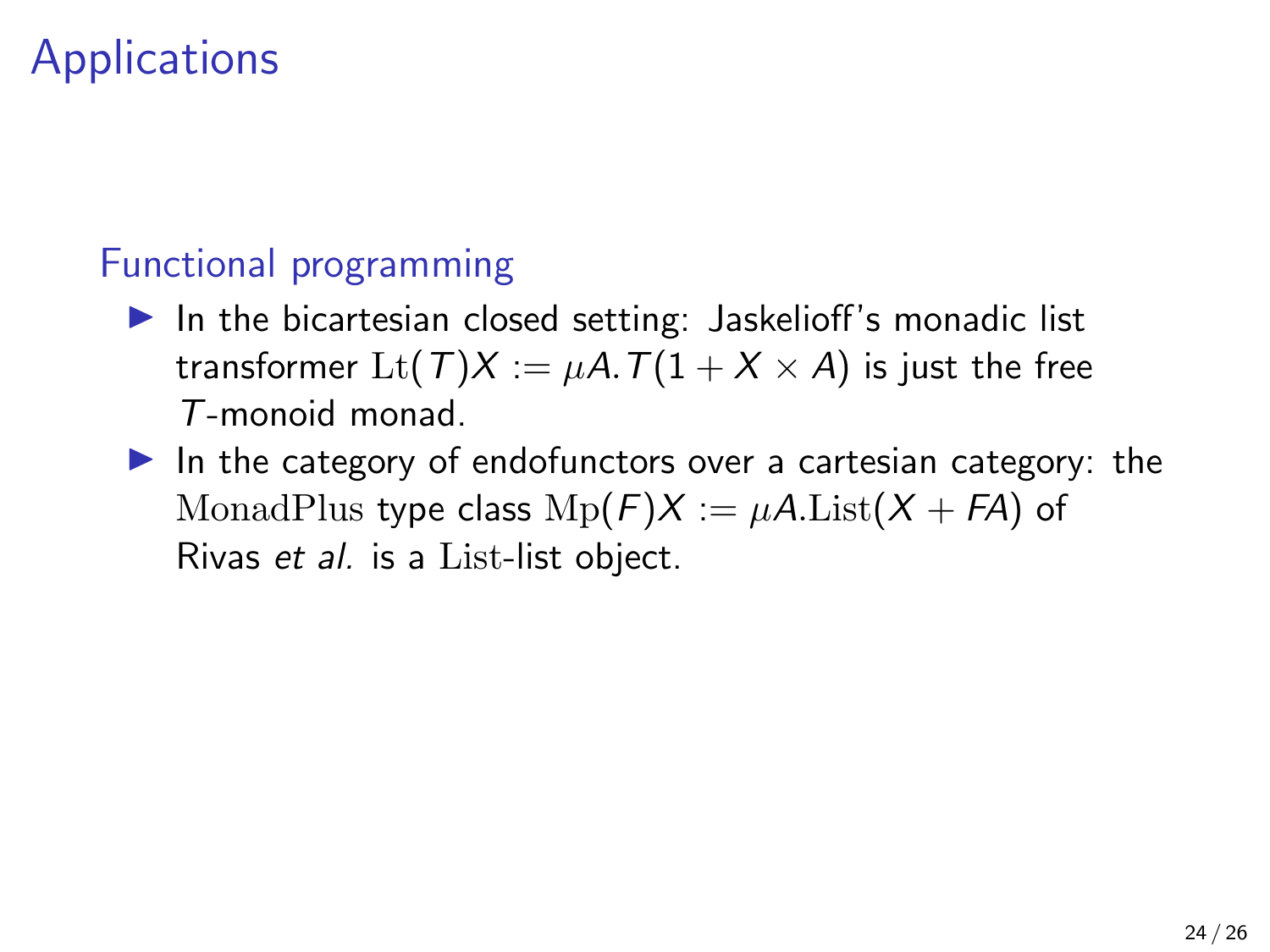#### Functional programming

- $\blacktriangleright$  In the bicartesian closed setting: Jaskelioff's monadic list transformer  $\mathrm{Lt}(T)X := \mu A \cdot T(1 + X \times A)$  is just the free T-monoid monad.
- $\blacktriangleright$  In the category of endofunctors over a cartesian category: the MonadPlus type class  $Mp(F)X := \mu A.List(X + FA)$  of Rivas et al. is a List-list object.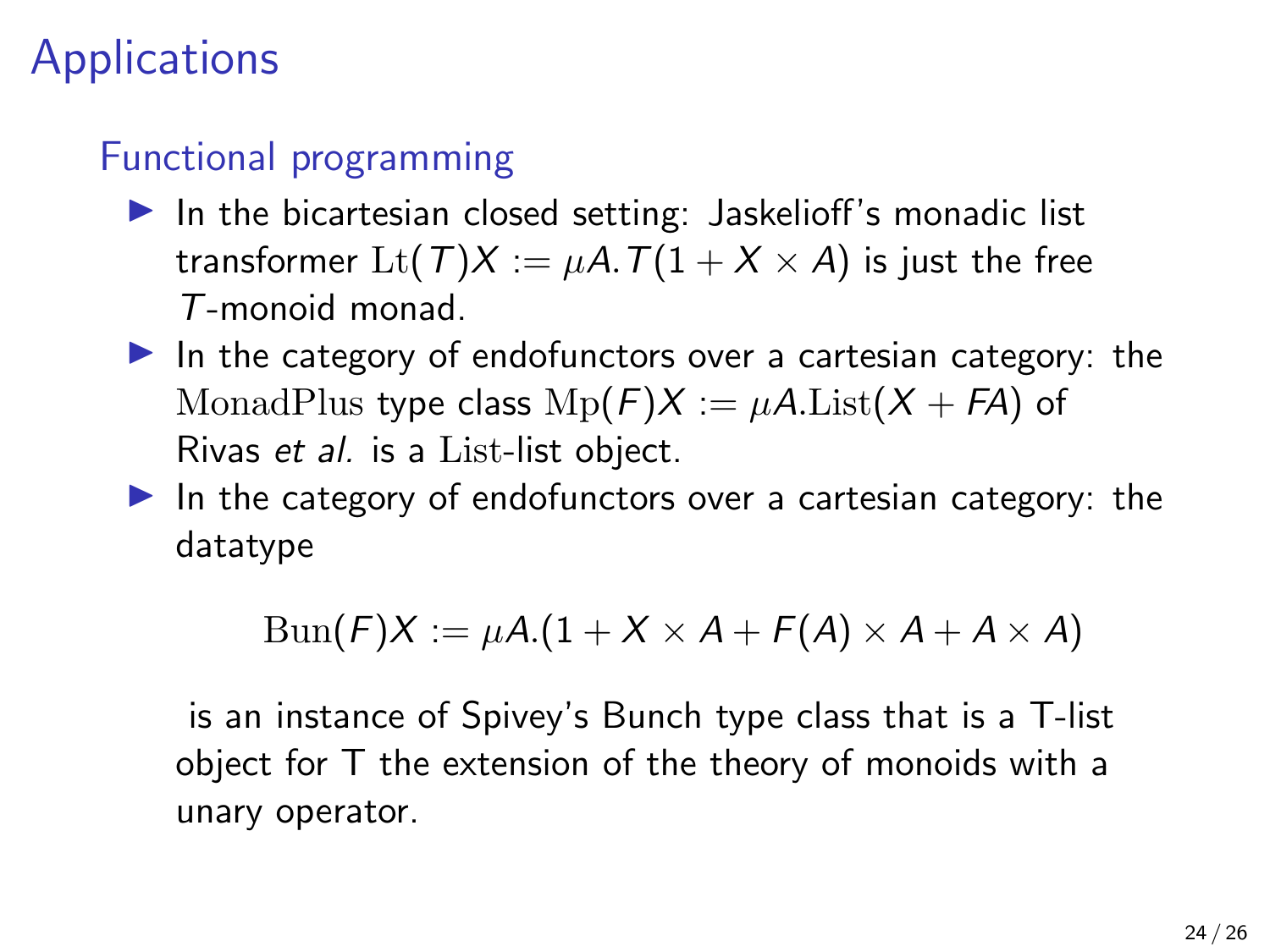#### Functional programming

- $\blacktriangleright$  In the bicartesian closed setting: Jaskelioff's monadic list transformer Lt(T)X :=  $\mu$ A. T(1 + X × A) is just the free T-monoid monad.
- In the category of endofunctors over a cartesian category: the MonadPlus type class  $Mp(F)X := \mu A.List(X + FA)$  of Rivas et al. is a List-list object.
- In the category of endofunctors over a cartesian category: the datatype

$$
Bun(F)X := \mu A.(1 + X \times A + F(A) \times A + A \times A)
$$

is an instance of Spivey's Bunch type class that is a T-list object for T the extension of the theory of monoids with a unary operator.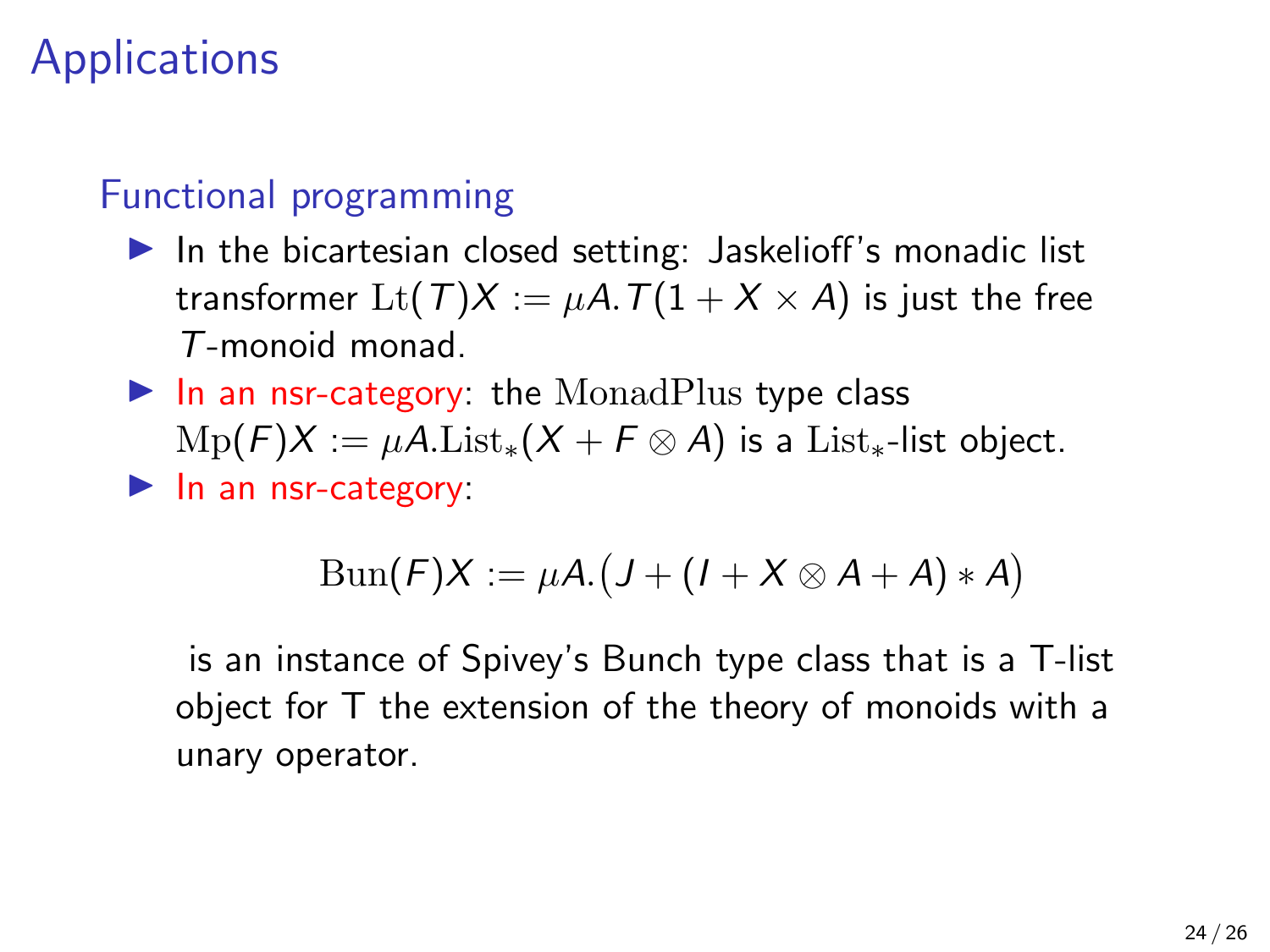#### Functional programming

- $\blacktriangleright$  In the bicartesian closed setting: Jaskelioff's monadic list transformer  $\text{Lt}(T)X := \mu A \cdot T(1 + X \times A)$  is just the free T-monoid monad.
- $\blacktriangleright$  In an nsr-category: the MonadPlus type class  $Mp(F)X := \mu A.List_*(X + F \otimes A)$  is a List<sub>\*</sub>-list object.  $\blacktriangleright$  In an nsr-category:

$$
\operatorname{Bun}(F)X := \mu A.(J + (I + X \otimes A + A) * A)
$$

is an instance of Spivey's Bunch type class that is a T-list object for T the extension of the theory of monoids with a unary operator.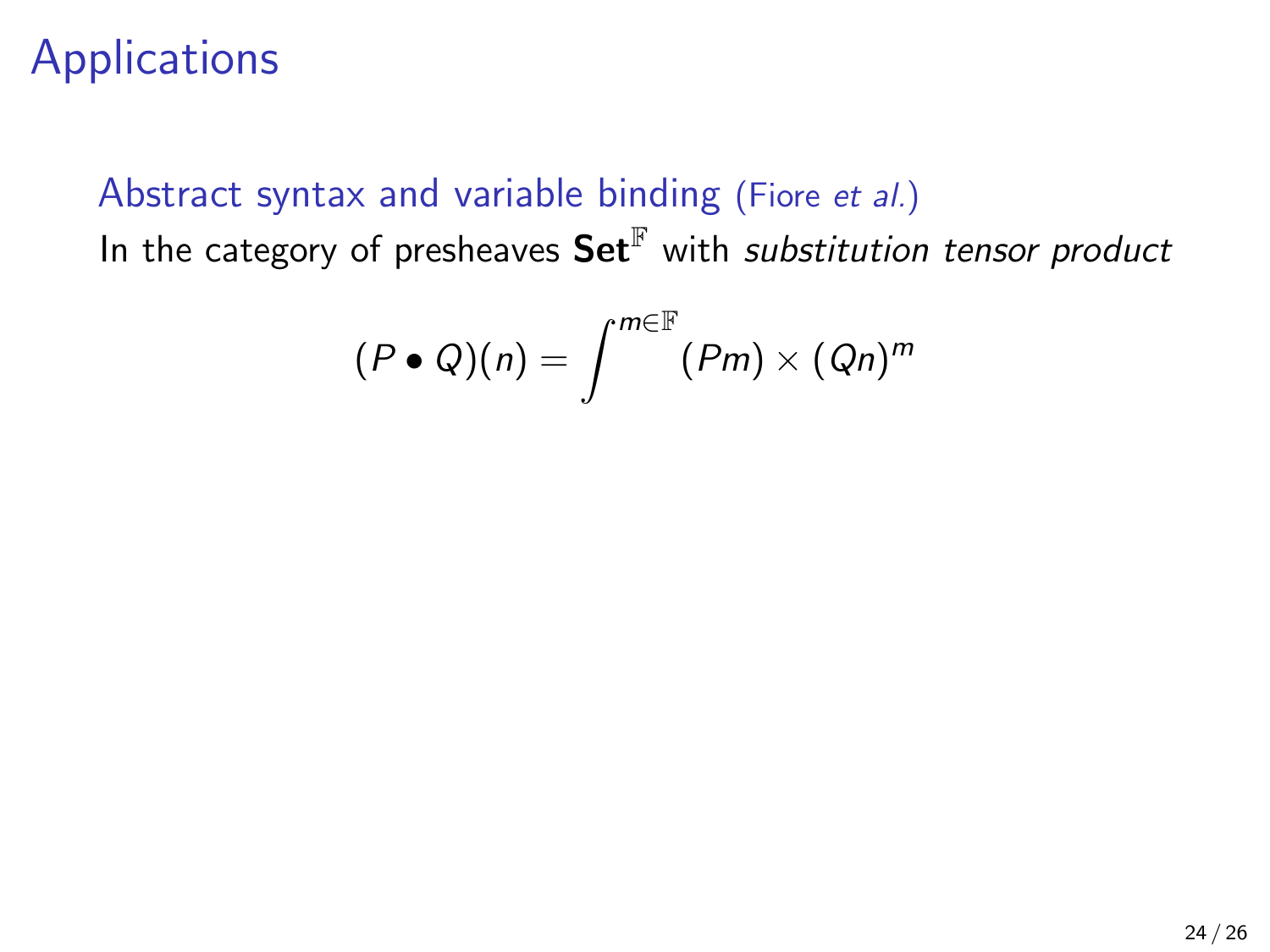#### Abstract syntax and variable binding (Fiore et al.) In the category of presheaves  $\mathbf{Set}^{\mathbb{F}}$  with substitution tensor product

$$
(P\bullet Q)(n)=\int^{m\in\mathbb{F}}(Pm)\times (Qn)^m
$$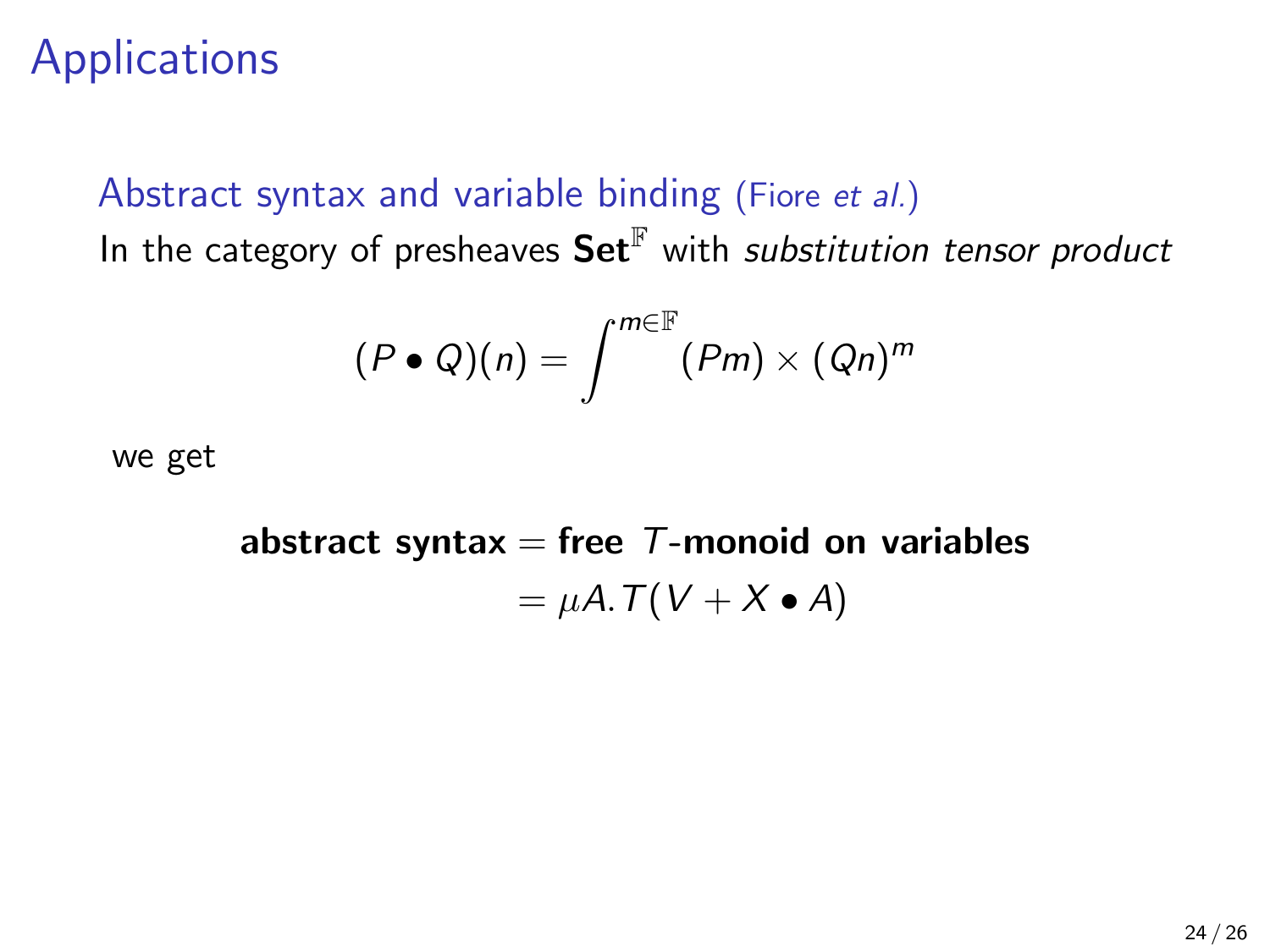# Abstract syntax and variable binding (Fiore et al.)

In the category of presheaves  $\mathbf{Set}^{\mathbb{F}}$  with substitution tensor product

$$
(P\bullet Q)(n)=\int^{m\in\mathbb{F}}(Pm)\times (Qn)^m
$$

we get

abstract syntax  $=$  free *-monoid on variables*  $= \mu A \cdot T(V + X \bullet A)$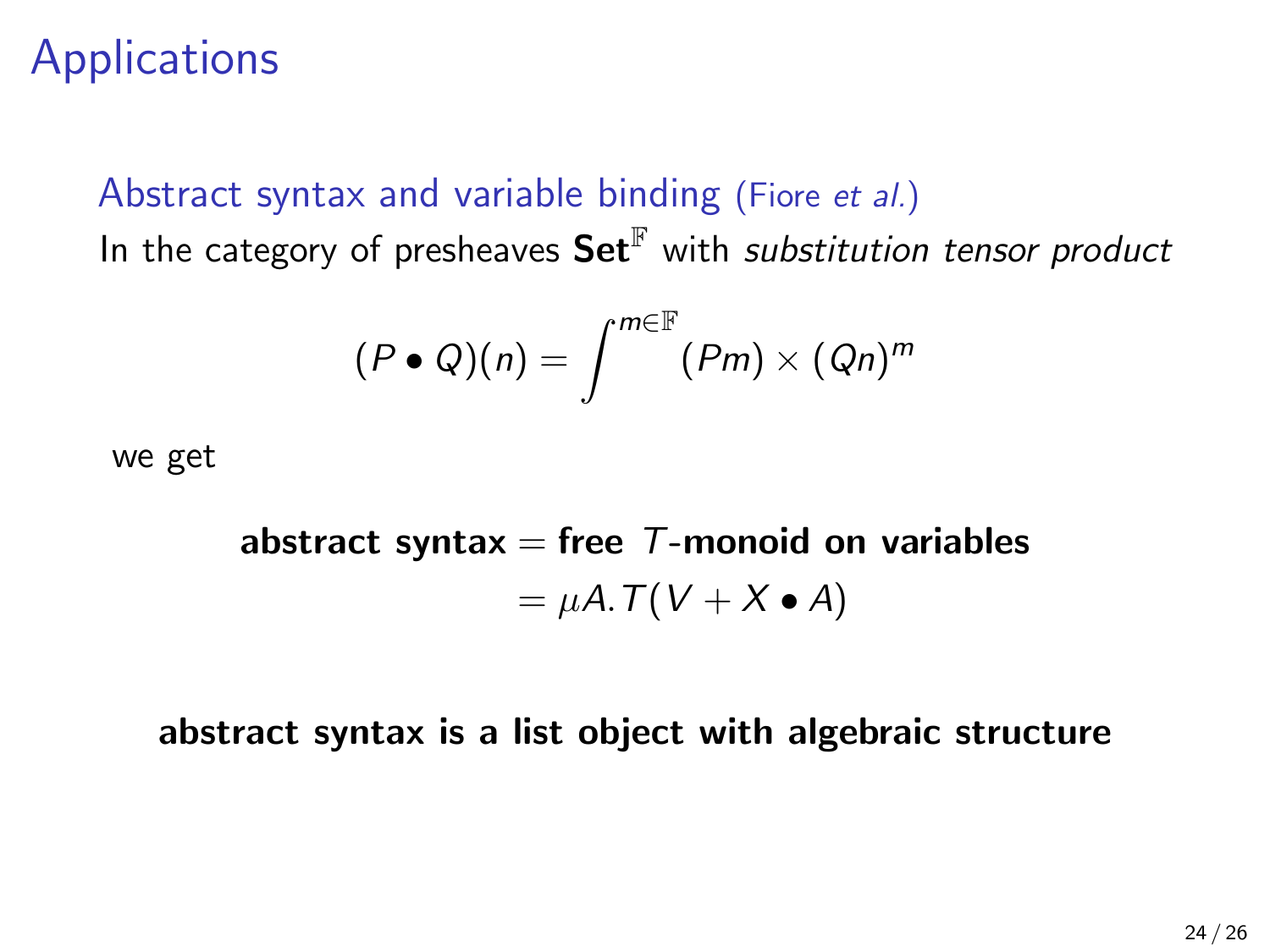#### Abstract syntax and variable binding (Fiore et al.) In the category of presheaves  $\mathbf{Set}^{\mathbb{F}}$  with substitution tensor product

$$
(P\bullet Q)(n)=\int^{m\in\mathbb{F}}(Pm)\times (Qn)^m
$$

we get

abstract syntax  $=$  free *-monoid on variables*  $= \mu A \cdot T(V + X \bullet A)$ 

#### abstract syntax is a list object with algebraic structure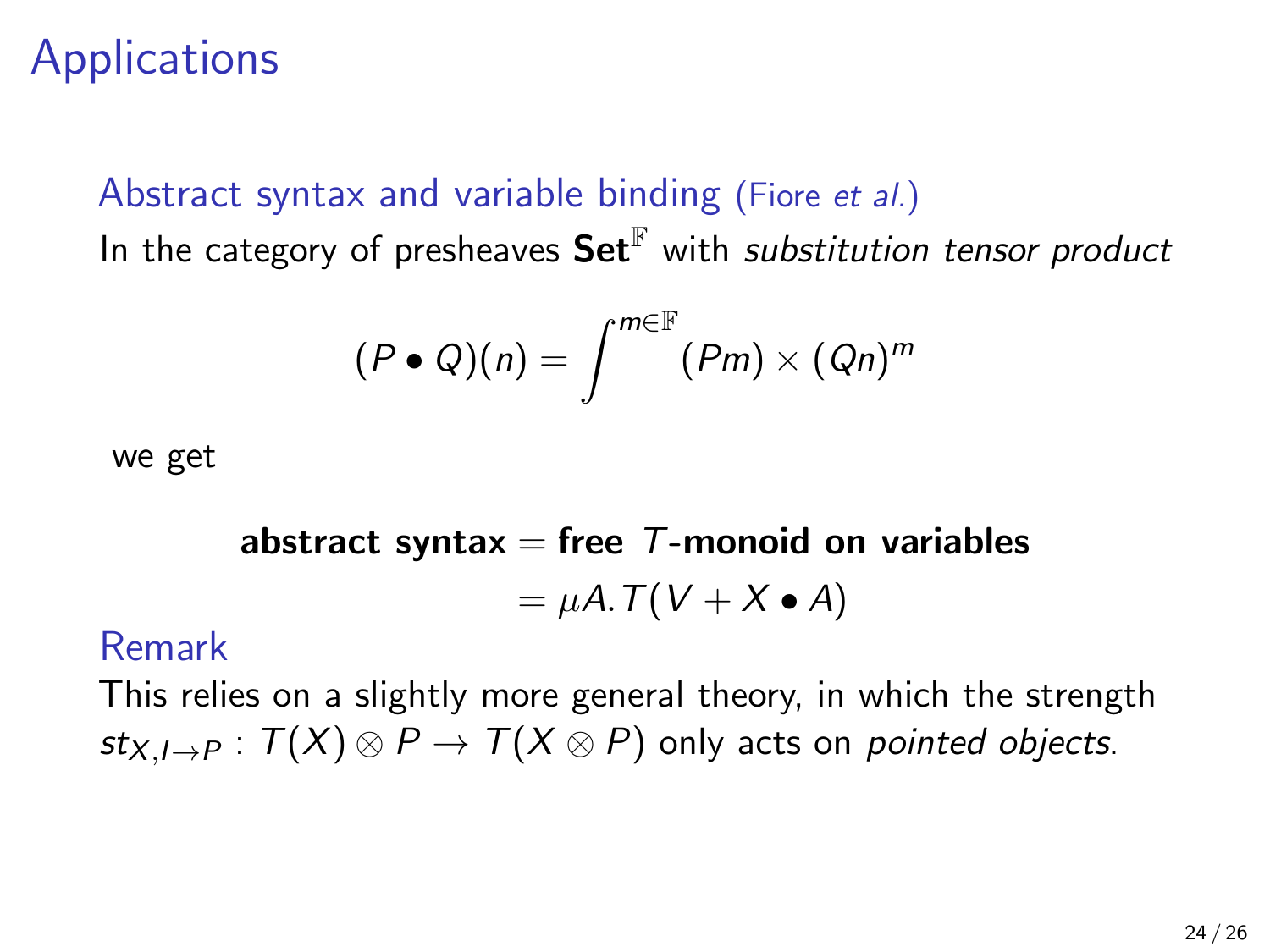#### Abstract syntax and variable binding (Fiore et al.)

In the category of presheaves  $\mathbf{Set}^{\mathbb{F}}$  with substitution tensor product

$$
(P\bullet Q)(n)=\int^{m\in\mathbb{F}}(Pm)\times (Qn)^m
$$

we get

abstract syntax = free T-monoid on variables  
= 
$$
\mu A \cdot T(V + X \cdot A)
$$

#### Remark

This relies on a slightly more general theory, in which the strength  $st_{X,I\rightarrow P}$ :  $T(X) \otimes P \rightarrow T(X \otimes P)$  only acts on pointed objects.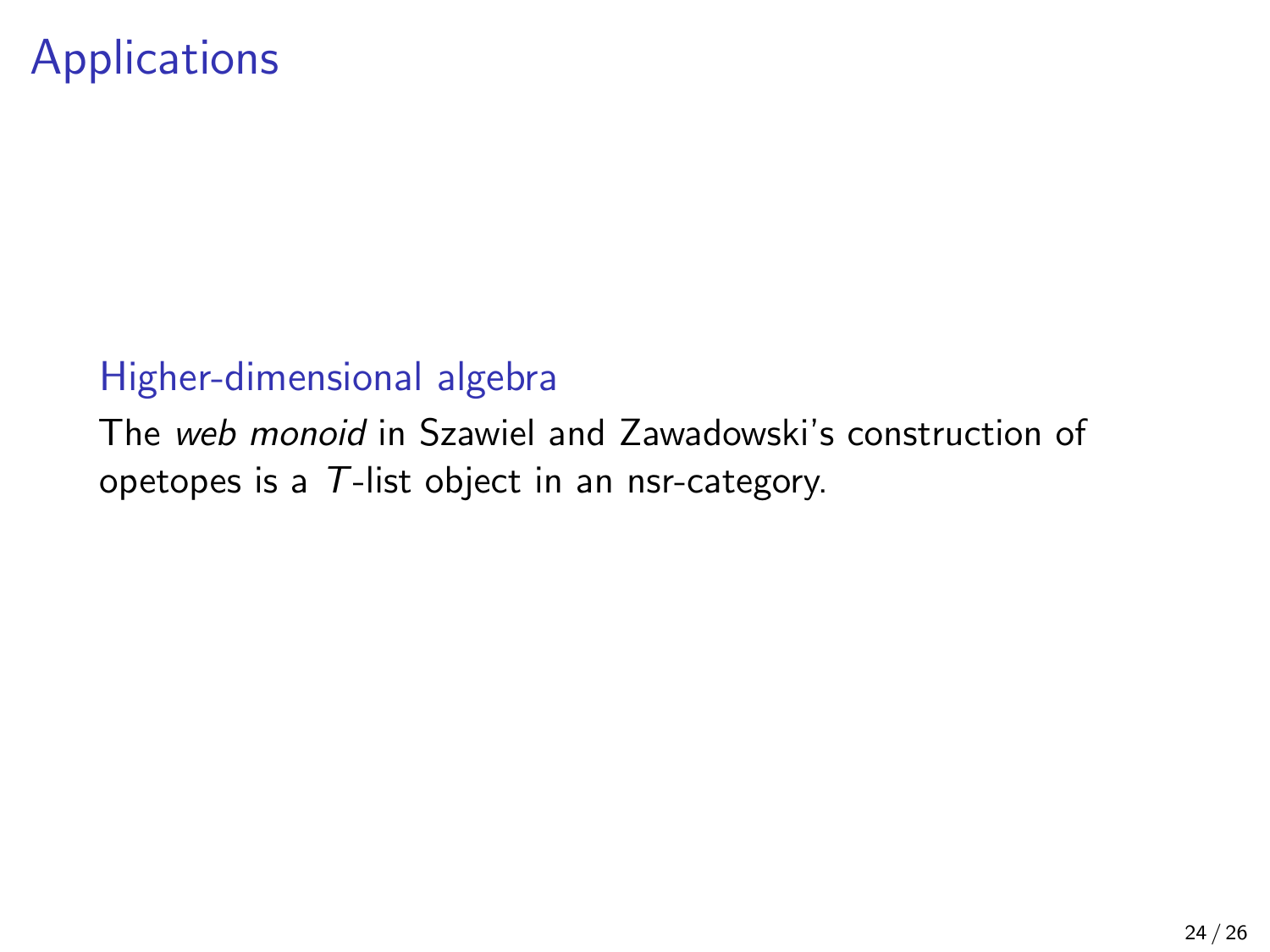#### Higher-dimensional algebra

The web monoid in Szawiel and Zawadowski's construction of opetopes is a T-list object in an nsr-category.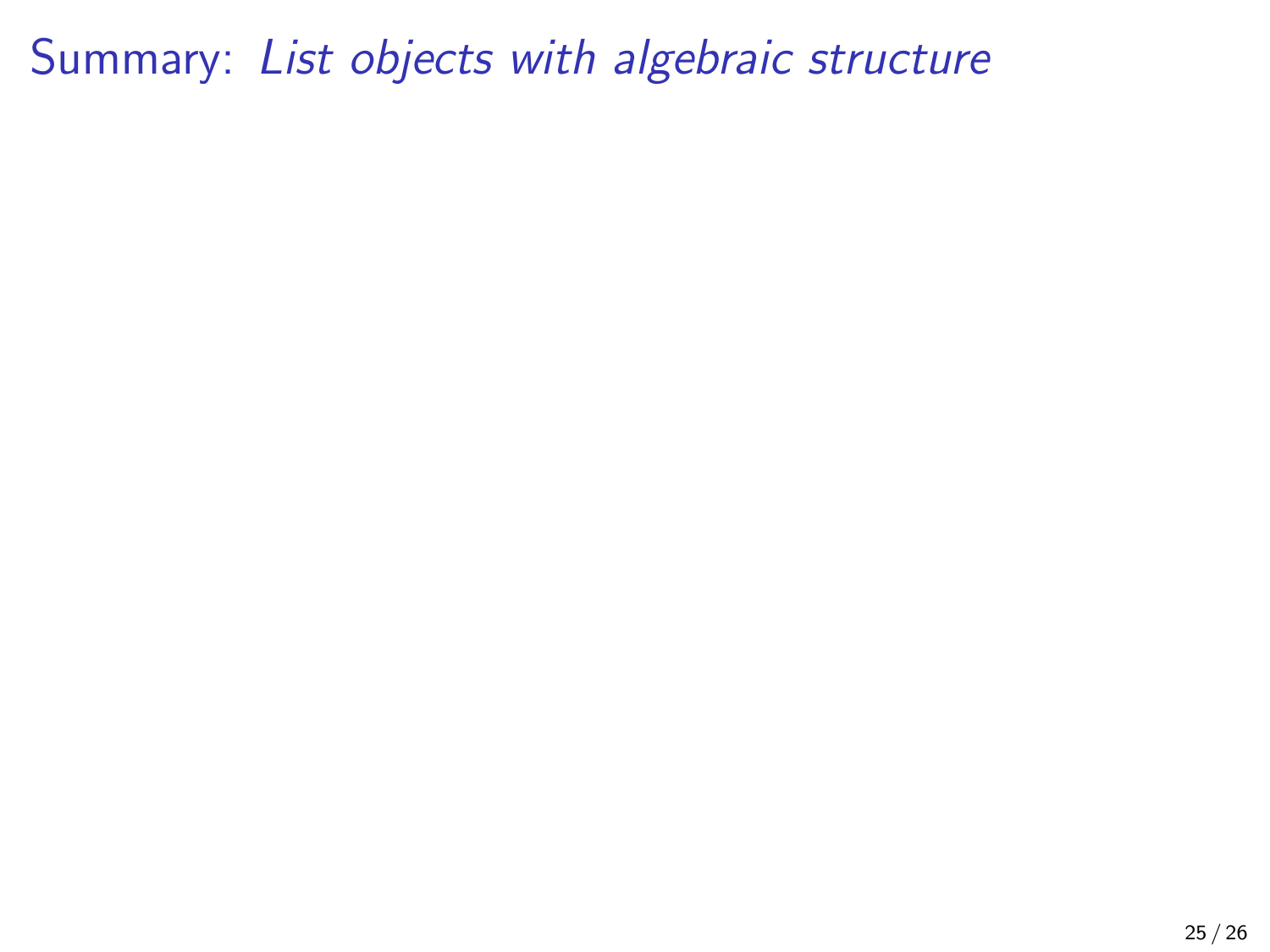Summary: List objects with algebraic structure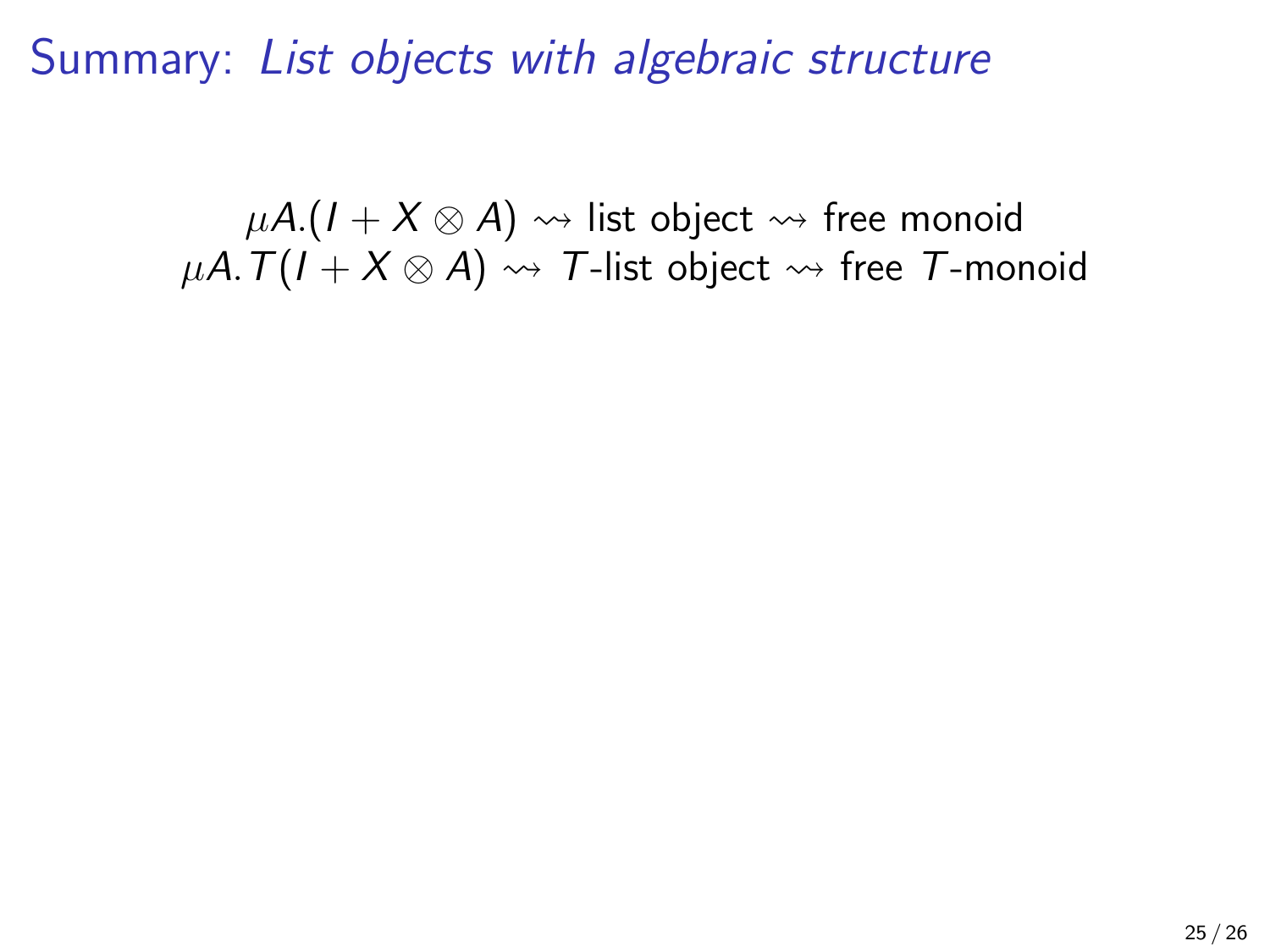Summary: List objects with algebraic structure

 $\mu A$ . $(I + X \otimes A) \rightsquigarrow$  list object  $\rightsquigarrow$  free monoid  $\mu A. T(I + X \otimes A) \rightsquigarrow T$ -list object  $\rightsquigarrow$  free T-monoid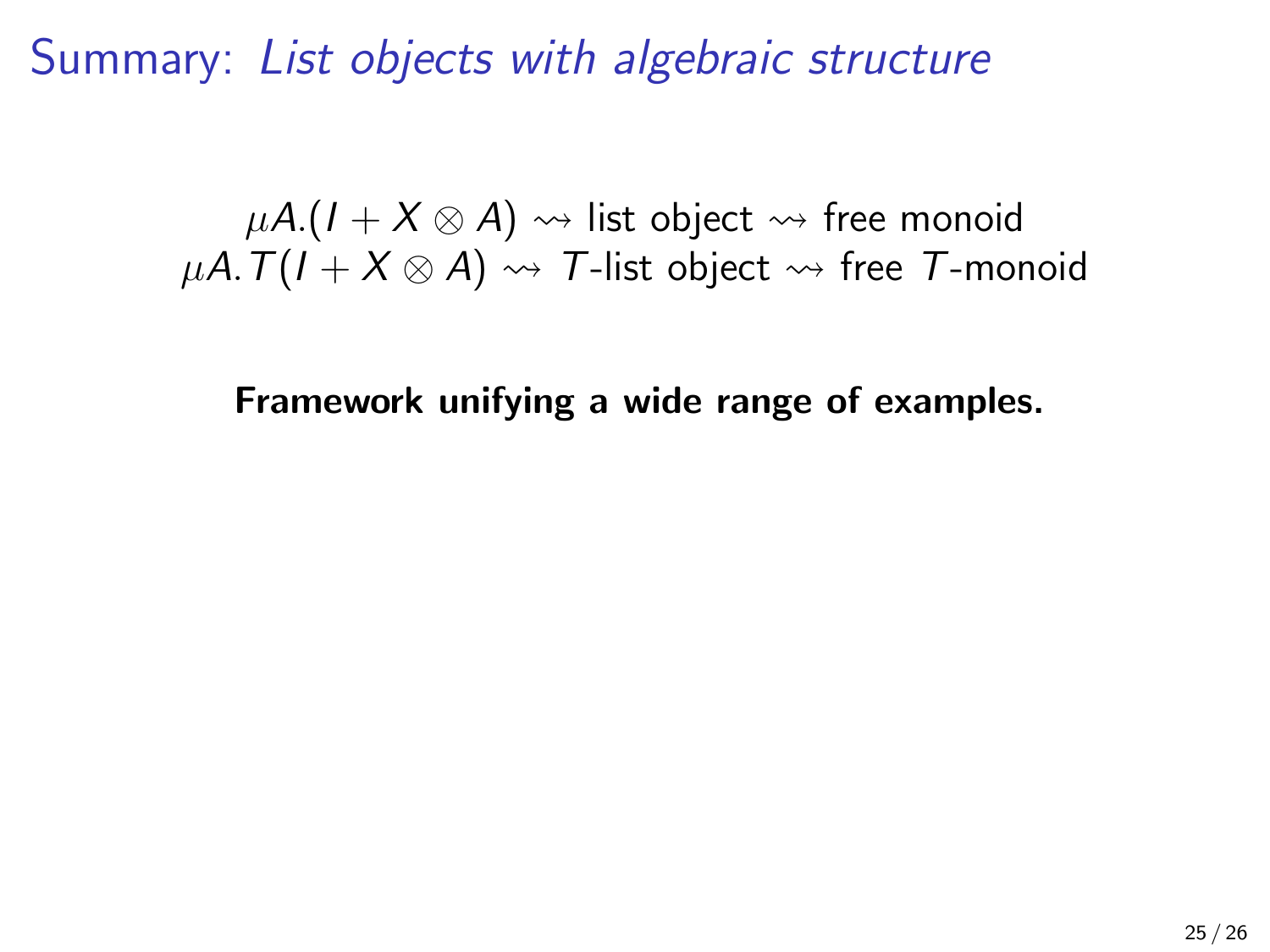$\mu A$ . $(I + X \otimes A) \rightsquigarrow$  list object  $\rightsquigarrow$  free monoid  $\mu A. T(I + X \otimes A) \rightsquigarrow T$ -list object  $\rightsquigarrow$  free T-monoid

Framework unifying a wide range of examples.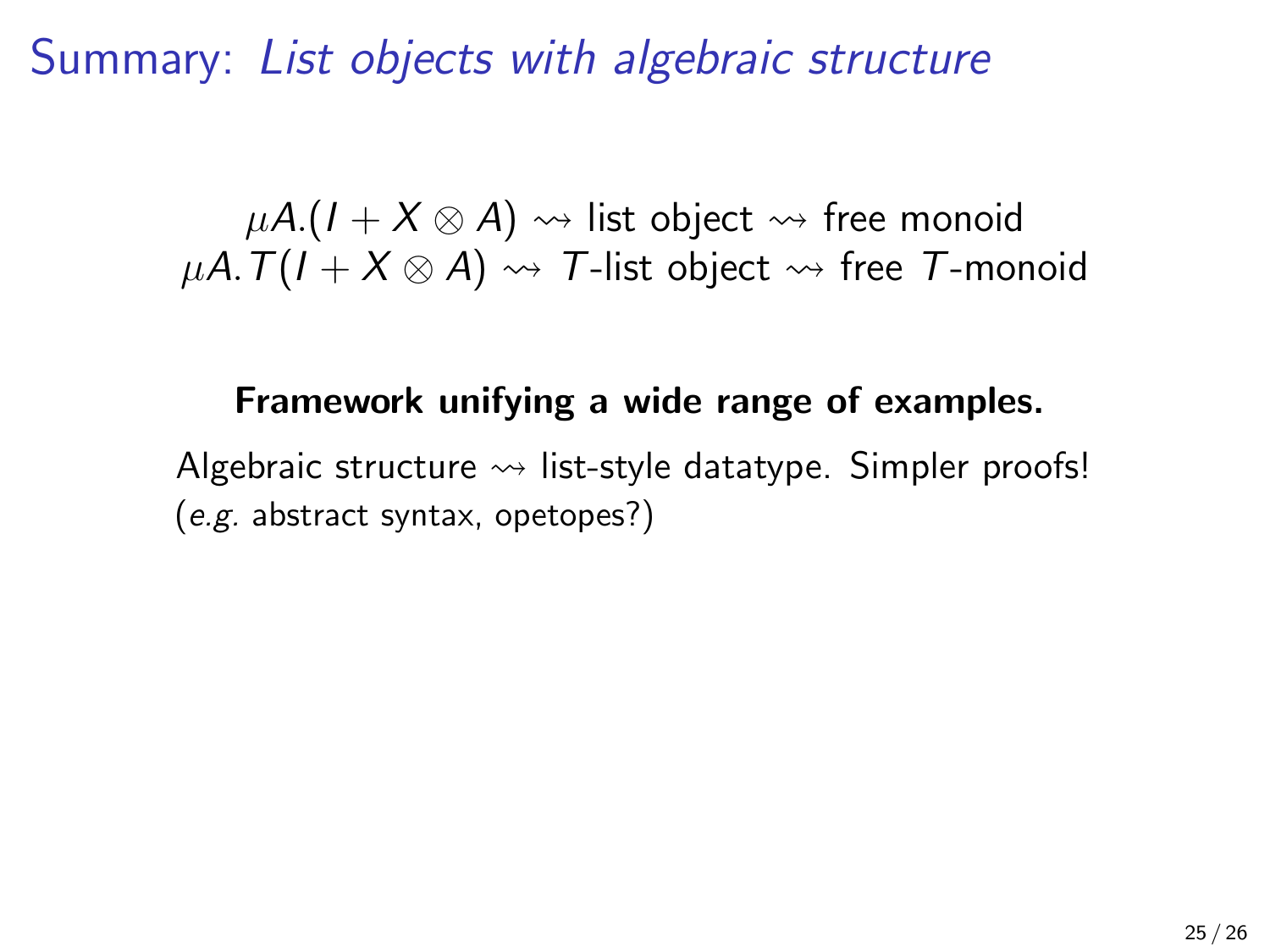$\mu A$ .( $I + X \otimes A$ )  $\rightsquigarrow$  list object  $\rightsquigarrow$  free monoid  $\mu$ A.  $T(I + X \otimes A) \rightsquigarrow T$ -list object  $\rightsquigarrow$  free T-monoid

## Framework unifying a wide range of examples.

Algebraic structure  $\rightsquigarrow$  list-style datatype. Simpler proofs! (e.g. abstract syntax, opetopes?)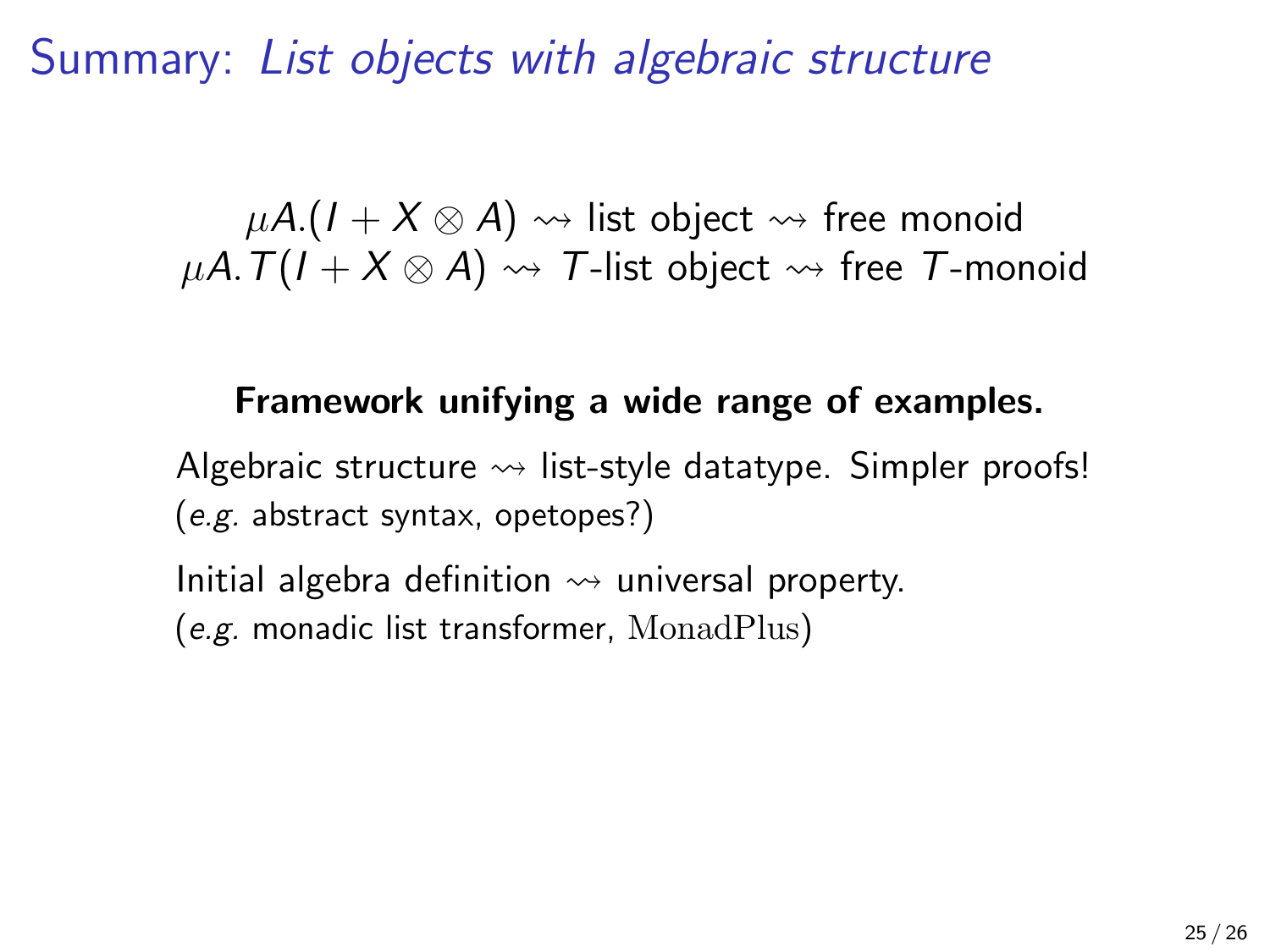$\mu A$ .( $I + X \otimes A$ )  $\rightsquigarrow$  list object  $\rightsquigarrow$  free monoid  $\mu A. T(I + X \otimes A) \rightsquigarrow T$ -list object  $\rightsquigarrow$  free T-monoid

## Framework unifying a wide range of examples.

Algebraic structure  $\rightsquigarrow$  list-style datatype. Simpler proofs! (e.g. abstract syntax, opetopes?)

Initial algebra definition  $\rightsquigarrow$  universal property. (e.g. monadic list transformer, MonadPlus)